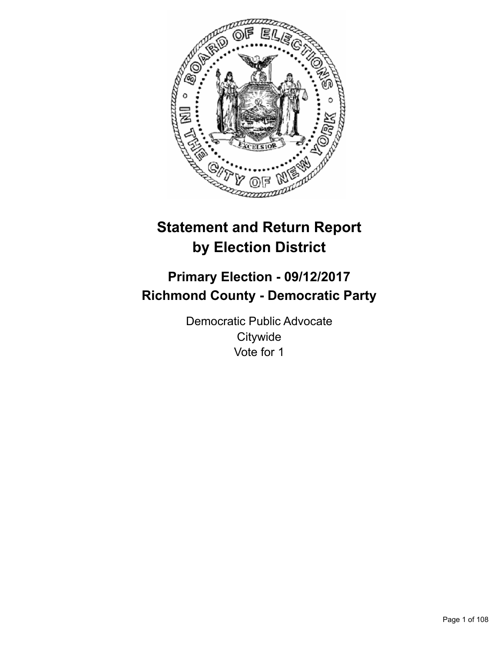

# **Statement and Return Report by Election District**

# **Primary Election - 09/12/2017 Richmond County - Democratic Party**

Democratic Public Advocate **Citywide** Vote for 1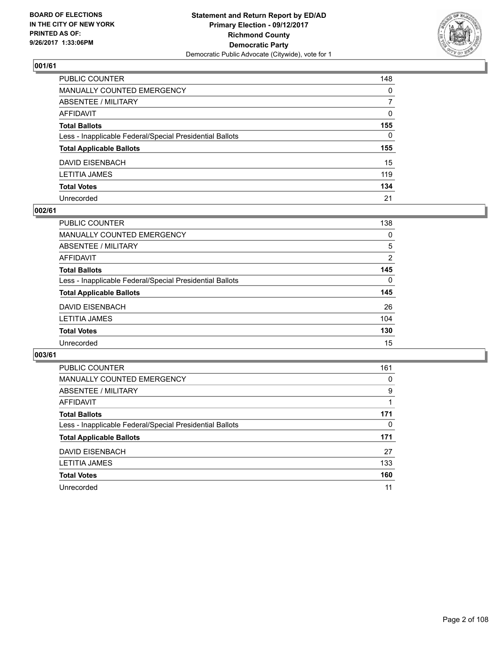

| PUBLIC COUNTER                                           | 148          |
|----------------------------------------------------------|--------------|
| MANUALLY COUNTED EMERGENCY                               | $\mathbf{0}$ |
| ABSENTEE / MILITARY                                      | 7            |
| AFFIDAVIT                                                | $\mathbf{0}$ |
| Total Ballots                                            | 155          |
| Less - Inapplicable Federal/Special Presidential Ballots | 0            |
| <b>Total Applicable Ballots</b>                          | 155          |
| DAVID EISENBACH                                          | 15           |
| LETITIA JAMES                                            | 119          |
| <b>Total Votes</b>                                       | 134          |
| Unrecorded                                               | 21           |

#### **002/61**

| <b>PUBLIC COUNTER</b>                                    | 138      |
|----------------------------------------------------------|----------|
| MANUALLY COUNTED EMERGENCY                               | 0        |
| ABSENTEE / MILITARY                                      | 5        |
| AFFIDAVIT                                                | 2        |
| <b>Total Ballots</b>                                     | 145      |
| Less - Inapplicable Federal/Special Presidential Ballots | $\Omega$ |
| <b>Total Applicable Ballots</b>                          | 145      |
| DAVID EISENBACH                                          | 26       |
| <b>LETITIA JAMES</b>                                     | 104      |
| <b>Total Votes</b>                                       | 130      |
| Unrecorded                                               | 15       |

| <b>PUBLIC COUNTER</b>                                    | 161 |
|----------------------------------------------------------|-----|
| <b>MANUALLY COUNTED EMERGENCY</b>                        | 0   |
| ABSENTEE / MILITARY                                      | 9   |
| <b>AFFIDAVIT</b>                                         |     |
| <b>Total Ballots</b>                                     | 171 |
| Less - Inapplicable Federal/Special Presidential Ballots | 0   |
| <b>Total Applicable Ballots</b>                          | 171 |
| <b>DAVID EISENBACH</b>                                   | 27  |
| <b>LETITIA JAMES</b>                                     | 133 |
| <b>Total Votes</b>                                       | 160 |
| Unrecorded                                               | 11  |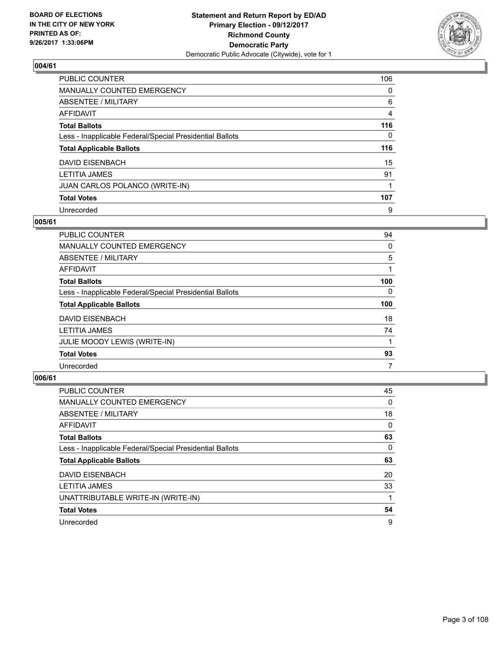

| <b>PUBLIC COUNTER</b>                                    | 106      |
|----------------------------------------------------------|----------|
| MANUALLY COUNTED EMERGENCY                               | 0        |
| ABSENTEE / MILITARY                                      | 6        |
| <b>AFFIDAVIT</b>                                         | 4        |
| <b>Total Ballots</b>                                     | 116      |
| Less - Inapplicable Federal/Special Presidential Ballots | $\Omega$ |
| <b>Total Applicable Ballots</b>                          | 116      |
| <b>DAVID EISENBACH</b>                                   | 15       |
| <b>LETITIA JAMES</b>                                     | 91       |
| JUAN CARLOS POLANCO (WRITE-IN)                           |          |
| <b>Total Votes</b>                                       | 107      |
| Unrecorded                                               | 9        |

#### **005/61**

| <b>PUBLIC COUNTER</b>                                    | 94       |
|----------------------------------------------------------|----------|
| <b>MANUALLY COUNTED EMERGENCY</b>                        | 0        |
| ABSENTEE / MILITARY                                      | 5        |
| <b>AFFIDAVIT</b>                                         |          |
| <b>Total Ballots</b>                                     | 100      |
| Less - Inapplicable Federal/Special Presidential Ballots | $\Omega$ |
| <b>Total Applicable Ballots</b>                          | 100      |
| <b>DAVID EISENBACH</b>                                   | 18       |
| <b>LETITIA JAMES</b>                                     | 74       |
| JULIE MOODY LEWIS (WRITE-IN)                             |          |
| <b>Total Votes</b>                                       | 93       |
| Unrecorded                                               | 7        |

| <b>PUBLIC COUNTER</b>                                    | 45 |
|----------------------------------------------------------|----|
| MANUALLY COUNTED EMERGENCY                               | 0  |
| ABSENTEE / MILITARY                                      | 18 |
| <b>AFFIDAVIT</b>                                         | 0  |
| <b>Total Ballots</b>                                     | 63 |
| Less - Inapplicable Federal/Special Presidential Ballots | 0  |
| <b>Total Applicable Ballots</b>                          | 63 |
| <b>DAVID EISENBACH</b>                                   | 20 |
| <b>LETITIA JAMES</b>                                     | 33 |
| UNATTRIBUTABLE WRITE-IN (WRITE-IN)                       |    |
| <b>Total Votes</b>                                       | 54 |
| Unrecorded                                               | 9  |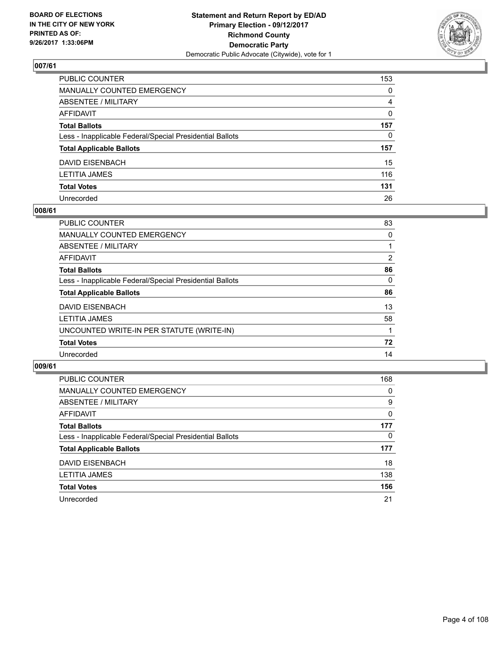

| PUBLIC COUNTER                                           | 153      |
|----------------------------------------------------------|----------|
| MANUALLY COUNTED EMERGENCY                               | 0        |
| ABSENTEE / MILITARY                                      | 4        |
| AFFIDAVIT                                                | $\Omega$ |
| Total Ballots                                            | 157      |
| Less - Inapplicable Federal/Special Presidential Ballots | 0        |
| <b>Total Applicable Ballots</b>                          | 157      |
| DAVID EISENBACH                                          | 15       |
| LETITIA JAMES                                            | 116      |
| <b>Total Votes</b>                                       | 131      |
| Unrecorded                                               | 26       |

#### **008/61**

| <b>PUBLIC COUNTER</b>                                    | 83             |
|----------------------------------------------------------|----------------|
| <b>MANUALLY COUNTED EMERGENCY</b>                        | 0              |
| ABSENTEE / MILITARY                                      |                |
| AFFIDAVIT                                                | $\overline{2}$ |
| <b>Total Ballots</b>                                     | 86             |
| Less - Inapplicable Federal/Special Presidential Ballots | 0              |
| <b>Total Applicable Ballots</b>                          | 86             |
| <b>DAVID EISENBACH</b>                                   | 13             |
| <b>LETITIA JAMES</b>                                     | 58             |
| UNCOUNTED WRITE-IN PER STATUTE (WRITE-IN)                |                |
| <b>Total Votes</b>                                       | 72             |
| Unrecorded                                               | 14             |

| <b>PUBLIC COUNTER</b>                                    | 168 |
|----------------------------------------------------------|-----|
| <b>MANUALLY COUNTED EMERGENCY</b>                        | 0   |
| ABSENTEE / MILITARY                                      | 9   |
| AFFIDAVIT                                                | 0   |
| <b>Total Ballots</b>                                     | 177 |
| Less - Inapplicable Federal/Special Presidential Ballots | 0   |
| <b>Total Applicable Ballots</b>                          | 177 |
| <b>DAVID EISENBACH</b>                                   | 18  |
| LETITIA JAMES                                            | 138 |
| <b>Total Votes</b>                                       | 156 |
| Unrecorded                                               | 21  |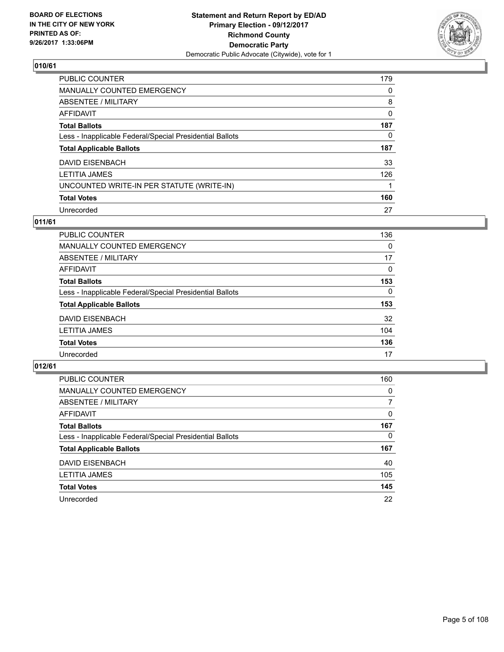

| PUBLIC COUNTER                                           | 179      |
|----------------------------------------------------------|----------|
| <b>MANUALLY COUNTED EMERGENCY</b>                        | $\Omega$ |
| <b>ABSENTEE / MILITARY</b>                               | 8        |
| <b>AFFIDAVIT</b>                                         | 0        |
| <b>Total Ballots</b>                                     | 187      |
| Less - Inapplicable Federal/Special Presidential Ballots | 0        |
| <b>Total Applicable Ballots</b>                          | 187      |
| <b>DAVID EISENBACH</b>                                   | 33       |
| <b>LETITIA JAMES</b>                                     | 126      |
| UNCOUNTED WRITE-IN PER STATUTE (WRITE-IN)                |          |
| <b>Total Votes</b>                                       | 160      |
| Unrecorded                                               | 27       |

## **011/61**

| <b>PUBLIC COUNTER</b>                                    | 136      |
|----------------------------------------------------------|----------|
| MANUALLY COUNTED EMERGENCY                               | 0        |
| ABSENTEE / MILITARY                                      | 17       |
| AFFIDAVIT                                                | $\Omega$ |
| <b>Total Ballots</b>                                     | 153      |
| Less - Inapplicable Federal/Special Presidential Ballots | $\Omega$ |
| <b>Total Applicable Ballots</b>                          | 153      |
| DAVID EISENBACH                                          | 32       |
| <b>LETITIA JAMES</b>                                     | 104      |
| <b>Total Votes</b>                                       | 136      |
| Unrecorded                                               | 17       |

| <b>PUBLIC COUNTER</b>                                    | 160 |
|----------------------------------------------------------|-----|
| MANUALLY COUNTED EMERGENCY                               | 0   |
| ABSENTEE / MILITARY                                      | 7   |
| AFFIDAVIT                                                | 0   |
| <b>Total Ballots</b>                                     | 167 |
| Less - Inapplicable Federal/Special Presidential Ballots | 0   |
| <b>Total Applicable Ballots</b>                          | 167 |
| <b>DAVID EISENBACH</b>                                   | 40  |
| <b>LETITIA JAMES</b>                                     | 105 |
| <b>Total Votes</b>                                       | 145 |
| Unrecorded                                               | 22  |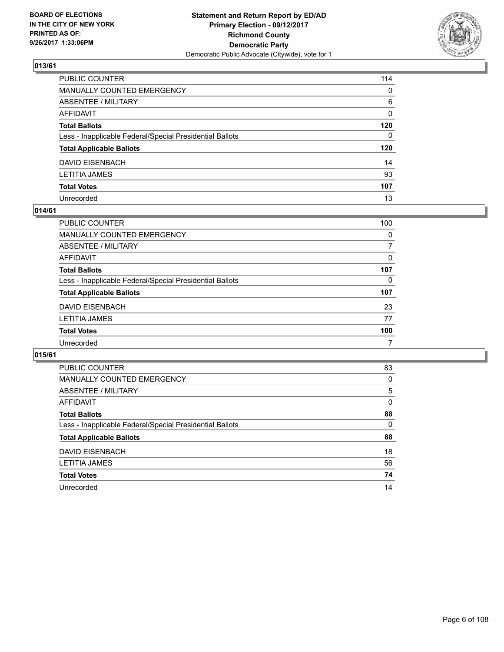

| PUBLIC COUNTER                                           | 114          |
|----------------------------------------------------------|--------------|
| MANUALLY COUNTED EMERGENCY                               | $\mathbf{0}$ |
| ABSENTEE / MILITARY                                      | 6            |
| AFFIDAVIT                                                | 0            |
| Total Ballots                                            | 120          |
| Less - Inapplicable Federal/Special Presidential Ballots | $\mathbf{0}$ |
| <b>Total Applicable Ballots</b>                          | 120          |
| DAVID EISENBACH                                          | 14           |
| LETITIA JAMES                                            | 93           |
| <b>Total Votes</b>                                       | 107          |
| Unrecorded                                               | 13           |

### **014/61**

| <b>PUBLIC COUNTER</b>                                    | 100      |
|----------------------------------------------------------|----------|
| MANUALLY COUNTED EMERGENCY                               | $\Omega$ |
| ABSENTEE / MILITARY                                      | 7        |
| AFFIDAVIT                                                | 0        |
| <b>Total Ballots</b>                                     | 107      |
| Less - Inapplicable Federal/Special Presidential Ballots | 0        |
| <b>Total Applicable Ballots</b>                          | 107      |
| DAVID EISENBACH                                          | 23       |
| <b>LETITIA JAMES</b>                                     | 77       |
| <b>Total Votes</b>                                       | 100      |
| Unrecorded                                               | 7        |

| <b>PUBLIC COUNTER</b>                                    | 83 |
|----------------------------------------------------------|----|
| MANUALLY COUNTED EMERGENCY                               | 0  |
| ABSENTEE / MILITARY                                      | 5  |
| AFFIDAVIT                                                | 0  |
| <b>Total Ballots</b>                                     | 88 |
| Less - Inapplicable Federal/Special Presidential Ballots | 0  |
| <b>Total Applicable Ballots</b>                          | 88 |
| DAVID EISENBACH                                          | 18 |
| <b>LETITIA JAMES</b>                                     | 56 |
| <b>Total Votes</b>                                       | 74 |
| Unrecorded                                               |    |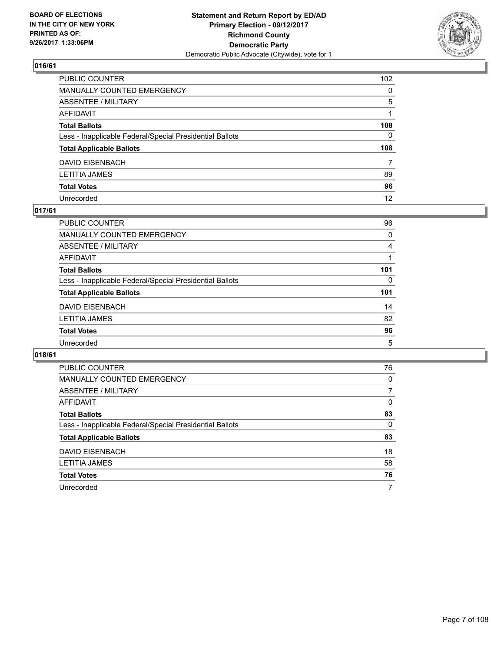

| PUBLIC COUNTER                                           | 102            |
|----------------------------------------------------------|----------------|
| MANUALLY COUNTED EMERGENCY                               | $\Omega$       |
| ABSENTEE / MILITARY                                      | 5              |
| AFFIDAVIT                                                |                |
| Total Ballots                                            | 108            |
| Less - Inapplicable Federal/Special Presidential Ballots | 0              |
| <b>Total Applicable Ballots</b>                          | 108            |
| DAVID EISENBACH                                          | $\overline{7}$ |
| LETITIA JAMES                                            | 89             |
| <b>Total Votes</b>                                       | 96             |
| Unrecorded                                               | 12             |

## **017/61**

| <b>PUBLIC COUNTER</b>                                    | 96       |
|----------------------------------------------------------|----------|
| <b>MANUALLY COUNTED EMERGENCY</b>                        | 0        |
| <b>ABSENTEE / MILITARY</b>                               | 4        |
| AFFIDAVIT                                                |          |
| <b>Total Ballots</b>                                     | 101      |
| Less - Inapplicable Federal/Special Presidential Ballots | $\Omega$ |
| <b>Total Applicable Ballots</b>                          | 101      |
| <b>DAVID EISENBACH</b>                                   | 14       |
| <b>LETITIA JAMES</b>                                     | 82       |
| <b>Total Votes</b>                                       | 96       |
| Unrecorded                                               | 5        |

| <b>PUBLIC COUNTER</b>                                    | 76 |
|----------------------------------------------------------|----|
| <b>MANUALLY COUNTED EMERGENCY</b>                        | 0  |
| ABSENTEE / MILITARY                                      | 7  |
| AFFIDAVIT                                                | 0  |
| <b>Total Ballots</b>                                     | 83 |
| Less - Inapplicable Federal/Special Presidential Ballots | 0  |
| <b>Total Applicable Ballots</b>                          | 83 |
| DAVID EISENBACH                                          | 18 |
| <b>LETITIA JAMES</b>                                     | 58 |
| <b>Total Votes</b>                                       | 76 |
| Unrecorded                                               | 7  |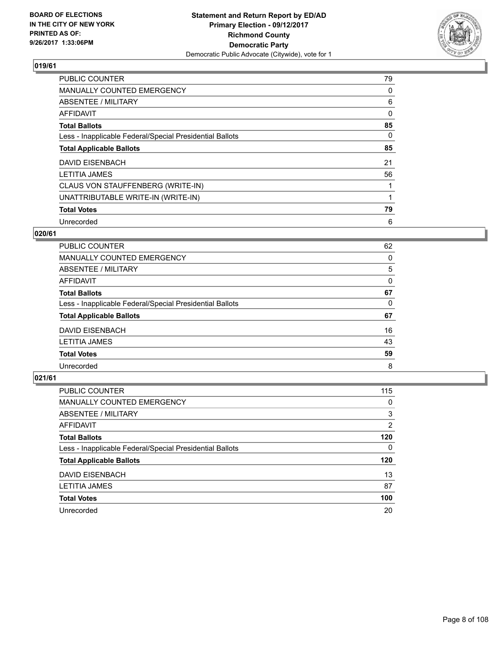

| <b>PUBLIC COUNTER</b>                                    | 79 |
|----------------------------------------------------------|----|
| <b>MANUALLY COUNTED EMERGENCY</b>                        | 0  |
| ABSENTEE / MILITARY                                      | 6  |
| <b>AFFIDAVIT</b>                                         | 0  |
| <b>Total Ballots</b>                                     | 85 |
| Less - Inapplicable Federal/Special Presidential Ballots | 0  |
| <b>Total Applicable Ballots</b>                          | 85 |
| <b>DAVID EISENBACH</b>                                   | 21 |
| <b>LETITIA JAMES</b>                                     | 56 |
| CLAUS VON STAUFFENBERG (WRITE-IN)                        |    |
| UNATTRIBUTABLE WRITE-IN (WRITE-IN)                       |    |
| <b>Total Votes</b>                                       | 79 |
| Unrecorded                                               | 6  |

## **020/61**

| PUBLIC COUNTER                                           | 62 |
|----------------------------------------------------------|----|
| <b>MANUALLY COUNTED EMERGENCY</b>                        | 0  |
| ABSENTEE / MILITARY                                      | 5  |
| AFFIDAVIT                                                | 0  |
| <b>Total Ballots</b>                                     | 67 |
| Less - Inapplicable Federal/Special Presidential Ballots | 0  |
| <b>Total Applicable Ballots</b>                          | 67 |
| <b>DAVID EISENBACH</b>                                   | 16 |
| <b>LETITIA JAMES</b>                                     | 43 |
| <b>Total Votes</b>                                       | 59 |
| Unrecorded                                               | 8  |

| <b>PUBLIC COUNTER</b>                                    | 115 |
|----------------------------------------------------------|-----|
| MANUALLY COUNTED EMERGENCY                               | 0   |
| ABSENTEE / MILITARY                                      | 3   |
| AFFIDAVIT                                                | 2   |
| <b>Total Ballots</b>                                     | 120 |
| Less - Inapplicable Federal/Special Presidential Ballots | 0   |
| <b>Total Applicable Ballots</b>                          | 120 |
| DAVID EISENBACH                                          | 13  |
| <b>LETITIA JAMES</b>                                     | 87  |
| <b>Total Votes</b>                                       | 100 |
| Unrecorded                                               | 20  |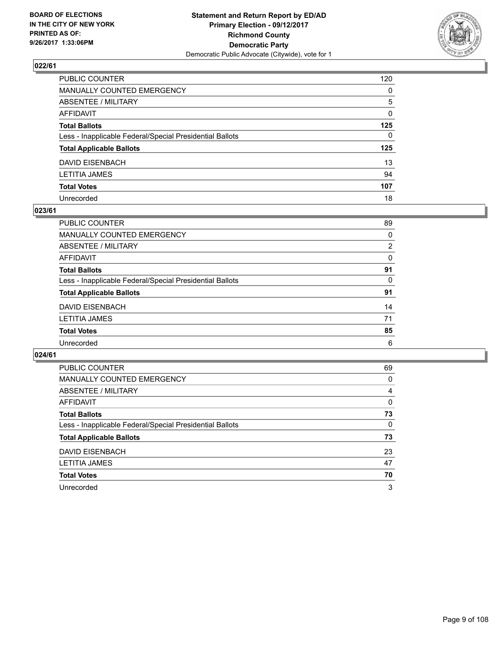

| PUBLIC COUNTER                                           | 120          |
|----------------------------------------------------------|--------------|
| MANUALLY COUNTED EMERGENCY                               | 0            |
| ABSENTEE / MILITARY                                      | 5            |
| AFFIDAVIT                                                | 0            |
| Total Ballots                                            | 125          |
| Less - Inapplicable Federal/Special Presidential Ballots | $\mathbf{0}$ |
| <b>Total Applicable Ballots</b>                          | 125          |
| DAVID EISENBACH                                          | 13           |
| LETITIA JAMES                                            | 94           |
| <b>Total Votes</b>                                       | 107          |
| Unrecorded                                               | 18           |

#### **023/61**

| <b>PUBLIC COUNTER</b>                                    | 89             |
|----------------------------------------------------------|----------------|
| <b>MANUALLY COUNTED EMERGENCY</b>                        | 0              |
| ABSENTEE / MILITARY                                      | $\overline{2}$ |
| AFFIDAVIT                                                | $\Omega$       |
| <b>Total Ballots</b>                                     | 91             |
| Less - Inapplicable Federal/Special Presidential Ballots | 0              |
| <b>Total Applicable Ballots</b>                          | 91             |
| <b>DAVID EISENBACH</b>                                   | 14             |
| <b>LETITIA JAMES</b>                                     | 71             |
| <b>Total Votes</b>                                       | 85             |
| Unrecorded                                               | 6              |

| <b>PUBLIC COUNTER</b>                                    | 69 |
|----------------------------------------------------------|----|
| <b>MANUALLY COUNTED EMERGENCY</b>                        | 0  |
| ABSENTEE / MILITARY                                      | 4  |
| AFFIDAVIT                                                | 0  |
| <b>Total Ballots</b>                                     | 73 |
| Less - Inapplicable Federal/Special Presidential Ballots | 0  |
| <b>Total Applicable Ballots</b>                          | 73 |
| DAVID EISENBACH                                          | 23 |
| <b>LETITIA JAMES</b>                                     | 47 |
| <b>Total Votes</b>                                       | 70 |
| Unrecorded                                               | 3  |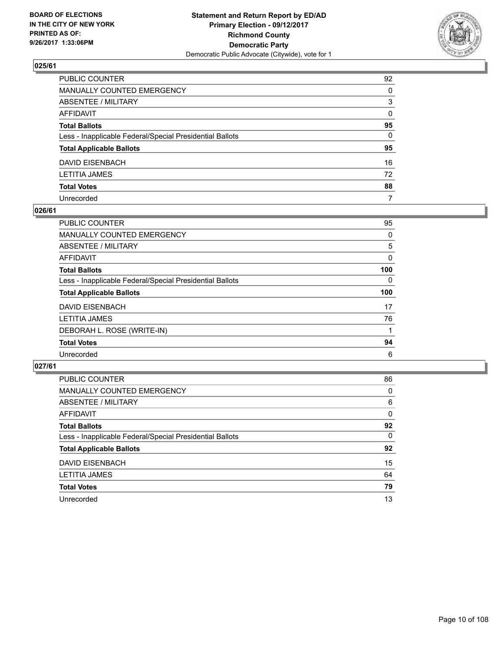

| PUBLIC COUNTER                                           | 92           |
|----------------------------------------------------------|--------------|
| MANUALLY COUNTED EMERGENCY                               | 0            |
| ABSENTEE / MILITARY                                      | 3            |
| AFFIDAVIT                                                | $\mathbf{0}$ |
| Total Ballots                                            | 95           |
| Less - Inapplicable Federal/Special Presidential Ballots | 0            |
| <b>Total Applicable Ballots</b>                          | 95           |
| DAVID EISENBACH                                          | 16           |
| LETITIA JAMES                                            | 72           |
| <b>Total Votes</b>                                       | 88           |
| Unrecorded                                               | 7            |

### **026/61**

| <b>PUBLIC COUNTER</b>                                    | 95  |
|----------------------------------------------------------|-----|
| <b>MANUALLY COUNTED EMERGENCY</b>                        | 0   |
| ABSENTEE / MILITARY                                      | 5   |
| AFFIDAVIT                                                | 0   |
| <b>Total Ballots</b>                                     | 100 |
| Less - Inapplicable Federal/Special Presidential Ballots | 0   |
| <b>Total Applicable Ballots</b>                          | 100 |
| DAVID EISENBACH                                          | 17  |
| <b>LETITIA JAMES</b>                                     | 76  |
| DEBORAH L. ROSE (WRITE-IN)                               |     |
| <b>Total Votes</b>                                       | 94  |
| Unrecorded                                               | 6   |

| <b>PUBLIC COUNTER</b>                                    | 86 |
|----------------------------------------------------------|----|
| MANUALLY COUNTED EMERGENCY                               | 0  |
| ABSENTEE / MILITARY                                      | 6  |
| AFFIDAVIT                                                | 0  |
| <b>Total Ballots</b>                                     | 92 |
| Less - Inapplicable Federal/Special Presidential Ballots | 0  |
| <b>Total Applicable Ballots</b>                          | 92 |
| DAVID EISENBACH                                          | 15 |
| <b>LETITIA JAMES</b>                                     | 64 |
| <b>Total Votes</b>                                       | 79 |
| Unrecorded                                               | 13 |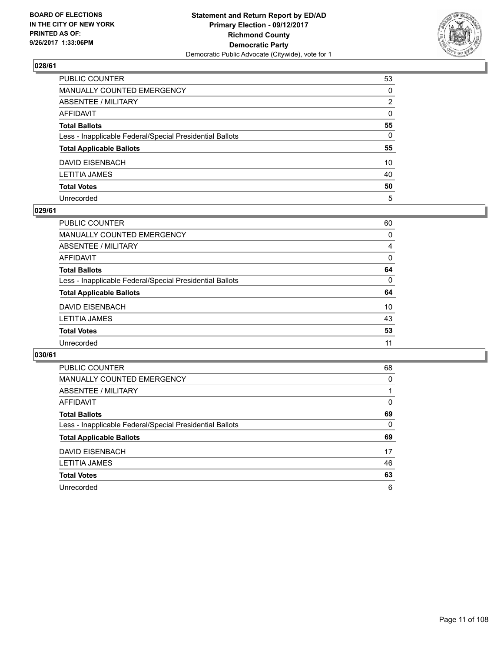

| PUBLIC COUNTER                                           | 53           |
|----------------------------------------------------------|--------------|
| MANUALLY COUNTED EMERGENCY                               | $\Omega$     |
| ABSENTEE / MILITARY                                      | 2            |
| AFFIDAVIT                                                | $\mathbf{0}$ |
| Total Ballots                                            | 55           |
| Less - Inapplicable Federal/Special Presidential Ballots | $\mathbf{0}$ |
| <b>Total Applicable Ballots</b>                          | 55           |
| DAVID EISENBACH                                          | 10           |
| LETITIA JAMES                                            | 40           |
| <b>Total Votes</b>                                       | 50           |
| Unrecorded                                               | 5            |

#### **029/61**

| <b>PUBLIC COUNTER</b>                                    | 60       |
|----------------------------------------------------------|----------|
| <b>MANUALLY COUNTED EMERGENCY</b>                        | 0        |
| ABSENTEE / MILITARY                                      | 4        |
| AFFIDAVIT                                                | $\Omega$ |
| <b>Total Ballots</b>                                     | 64       |
| Less - Inapplicable Federal/Special Presidential Ballots | 0        |
| <b>Total Applicable Ballots</b>                          | 64       |
| <b>DAVID EISENBACH</b>                                   | 10       |
| <b>LETITIA JAMES</b>                                     | 43       |
| <b>Total Votes</b>                                       | 53       |
| Unrecorded                                               | 11       |
|                                                          |          |

| <b>PUBLIC COUNTER</b>                                    | 68 |
|----------------------------------------------------------|----|
| MANUALLY COUNTED EMERGENCY                               | 0  |
| ABSENTEE / MILITARY                                      |    |
| AFFIDAVIT                                                | 0  |
| <b>Total Ballots</b>                                     | 69 |
| Less - Inapplicable Federal/Special Presidential Ballots | 0  |
| <b>Total Applicable Ballots</b>                          | 69 |
| DAVID EISENBACH                                          | 17 |
| <b>LETITIA JAMES</b>                                     | 46 |
| <b>Total Votes</b>                                       | 63 |
| Unrecorded                                               | 6  |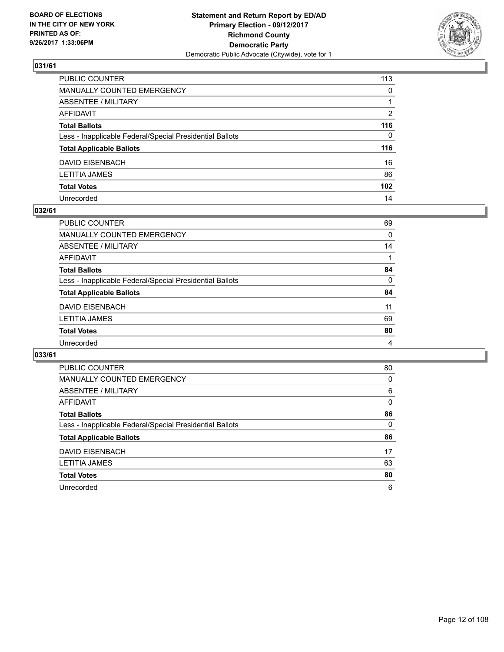

| PUBLIC COUNTER                                           | 113              |
|----------------------------------------------------------|------------------|
| MANUALLY COUNTED EMERGENCY                               | $\mathbf{0}$     |
| ABSENTEE / MILITARY                                      |                  |
| AFFIDAVIT                                                | 2                |
| Total Ballots                                            | 116              |
| Less - Inapplicable Federal/Special Presidential Ballots | $\mathbf{0}$     |
| <b>Total Applicable Ballots</b>                          | 116              |
| DAVID EISENBACH                                          | 16               |
| LETITIA JAMES                                            | 86               |
| <b>Total Votes</b>                                       | 102 <sub>2</sub> |
| Unrecorded                                               | 14               |

### **032/61**

| PUBLIC COUNTER                                           | 69 |
|----------------------------------------------------------|----|
| MANUALLY COUNTED EMERGENCY                               | 0  |
| ABSENTEE / MILITARY                                      | 14 |
| AFFIDAVIT                                                |    |
| <b>Total Ballots</b>                                     | 84 |
| Less - Inapplicable Federal/Special Presidential Ballots | 0  |
| <b>Total Applicable Ballots</b>                          | 84 |
| DAVID EISENBACH                                          | 11 |
| <b>LETITIA JAMES</b>                                     | 69 |
| <b>Total Votes</b>                                       | 80 |
| Unrecorded                                               | 4  |

| <b>PUBLIC COUNTER</b>                                    | 80 |
|----------------------------------------------------------|----|
| MANUALLY COUNTED EMERGENCY                               | 0  |
| ABSENTEE / MILITARY                                      | 6  |
| AFFIDAVIT                                                | 0  |
| <b>Total Ballots</b>                                     | 86 |
| Less - Inapplicable Federal/Special Presidential Ballots | 0  |
| <b>Total Applicable Ballots</b>                          | 86 |
| DAVID EISENBACH                                          | 17 |
|                                                          |    |
| <b>LETITIA JAMES</b>                                     | 63 |
| <b>Total Votes</b>                                       | 80 |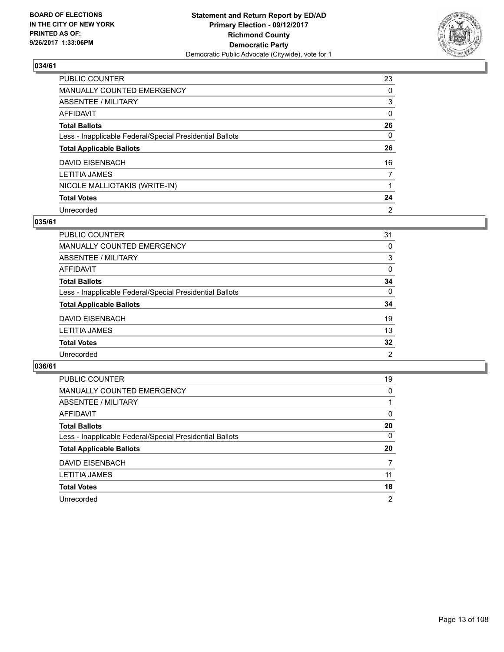

| <b>PUBLIC COUNTER</b>                                    | 23             |
|----------------------------------------------------------|----------------|
| MANUALLY COUNTED EMERGENCY                               | 0              |
| ABSENTEE / MILITARY                                      | 3              |
| AFFIDAVIT                                                | 0              |
| <b>Total Ballots</b>                                     | 26             |
| Less - Inapplicable Federal/Special Presidential Ballots | $\Omega$       |
| <b>Total Applicable Ballots</b>                          | 26             |
| <b>DAVID EISENBACH</b>                                   | 16             |
| <b>LETITIA JAMES</b>                                     | 7              |
| NICOLE MALLIOTAKIS (WRITE-IN)                            |                |
| <b>Total Votes</b>                                       | 24             |
| Unrecorded                                               | $\overline{2}$ |

## **035/61**

| <b>PUBLIC COUNTER</b>                                    | 31       |
|----------------------------------------------------------|----------|
| <b>MANUALLY COUNTED EMERGENCY</b>                        | 0        |
| ABSENTEE / MILITARY                                      | 3        |
| AFFIDAVIT                                                | 0        |
| <b>Total Ballots</b>                                     | 34       |
| Less - Inapplicable Federal/Special Presidential Ballots | $\Omega$ |
| <b>Total Applicable Ballots</b>                          | 34       |
| <b>DAVID EISENBACH</b>                                   | 19       |
| <b>LETITIA JAMES</b>                                     | 13       |
| <b>Total Votes</b>                                       | 32       |
| Unrecorded                                               | 2        |
|                                                          |          |

| PUBLIC COUNTER                                           | 19             |
|----------------------------------------------------------|----------------|
| MANUALLY COUNTED EMERGENCY                               | 0              |
| ABSENTEE / MILITARY                                      |                |
| AFFIDAVIT                                                | 0              |
| <b>Total Ballots</b>                                     | 20             |
| Less - Inapplicable Federal/Special Presidential Ballots | 0              |
| <b>Total Applicable Ballots</b>                          | 20             |
| DAVID EISENBACH                                          | 7              |
| <b>LETITIA JAMES</b>                                     | 11             |
| <b>Total Votes</b>                                       | 18             |
| Unrecorded                                               | $\overline{2}$ |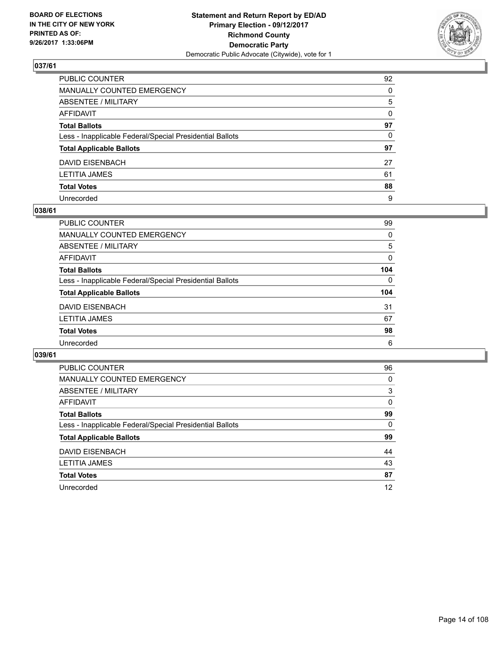

| PUBLIC COUNTER                                           | 92           |
|----------------------------------------------------------|--------------|
| MANUALLY COUNTED EMERGENCY                               | $\Omega$     |
| ABSENTEE / MILITARY                                      | 5            |
| AFFIDAVIT                                                | $\mathbf{0}$ |
| Total Ballots                                            | 97           |
| Less - Inapplicable Federal/Special Presidential Ballots | $\Omega$     |
| <b>Total Applicable Ballots</b>                          | 97           |
| DAVID EISENBACH                                          | 27           |
| LETITIA JAMES                                            | 61           |
| <b>Total Votes</b>                                       | 88           |
| Unrecorded                                               | 9            |

#### **038/61**

| <b>PUBLIC COUNTER</b>                                    | 99       |
|----------------------------------------------------------|----------|
| MANUALLY COUNTED EMERGENCY                               | 0        |
| ABSENTEE / MILITARY                                      | 5        |
| AFFIDAVIT                                                | 0        |
| <b>Total Ballots</b>                                     | 104      |
| Less - Inapplicable Federal/Special Presidential Ballots | $\Omega$ |
| <b>Total Applicable Ballots</b>                          | 104      |
| DAVID EISENBACH                                          | 31       |
| <b>LETITIA JAMES</b>                                     | 67       |
| <b>Total Votes</b>                                       | 98       |
| Unrecorded                                               | 6        |

| <b>PUBLIC COUNTER</b>                                    | 96 |
|----------------------------------------------------------|----|
| <b>MANUALLY COUNTED EMERGENCY</b>                        | 0  |
| ABSENTEE / MILITARY                                      | 3  |
| <b>AFFIDAVIT</b>                                         | 0  |
| <b>Total Ballots</b>                                     | 99 |
| Less - Inapplicable Federal/Special Presidential Ballots | 0  |
| <b>Total Applicable Ballots</b>                          | 99 |
| DAVID EISENBACH                                          | 44 |
| <b>LETITIA JAMES</b>                                     | 43 |
| <b>Total Votes</b>                                       | 87 |
| Unrecorded                                               | 12 |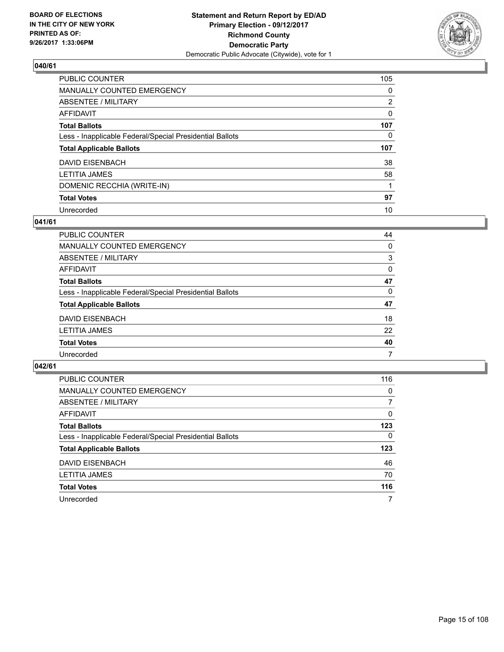

| <b>PUBLIC COUNTER</b>                                    | 105            |
|----------------------------------------------------------|----------------|
| MANUALLY COUNTED EMERGENCY                               | 0              |
| ABSENTEE / MILITARY                                      | $\overline{2}$ |
| AFFIDAVIT                                                | 0              |
| <b>Total Ballots</b>                                     | 107            |
| Less - Inapplicable Federal/Special Presidential Ballots | 0              |
| <b>Total Applicable Ballots</b>                          | 107            |
| DAVID EISENBACH                                          | 38             |
| <b>LETITIA JAMES</b>                                     | 58             |
| DOMENIC RECCHIA (WRITE-IN)                               |                |
| <b>Total Votes</b>                                       | 97             |
| Unrecorded                                               | 10             |

#### **041/61**

| <b>PUBLIC COUNTER</b>                                    | 44       |
|----------------------------------------------------------|----------|
| MANUALLY COUNTED EMERGENCY                               | 0        |
| ABSENTEE / MILITARY                                      | 3        |
| AFFIDAVIT                                                | $\Omega$ |
| <b>Total Ballots</b>                                     | 47       |
| Less - Inapplicable Federal/Special Presidential Ballots | 0        |
| <b>Total Applicable Ballots</b>                          | 47       |
| DAVID EISENBACH                                          | 18       |
| <b>LETITIA JAMES</b>                                     | 22       |
| <b>Total Votes</b>                                       | 40       |
| Unrecorded                                               | 7        |

| PUBLIC COUNTER                                           | 116 |
|----------------------------------------------------------|-----|
| MANUALLY COUNTED EMERGENCY                               | 0   |
| ABSENTEE / MILITARY                                      | 7   |
| AFFIDAVIT                                                | 0   |
| <b>Total Ballots</b>                                     | 123 |
| Less - Inapplicable Federal/Special Presidential Ballots | 0   |
| <b>Total Applicable Ballots</b>                          | 123 |
| DAVID EISENBACH                                          | 46  |
| <b>LETITIA JAMES</b>                                     | 70  |
| <b>Total Votes</b>                                       | 116 |
| Unrecorded                                               | 7   |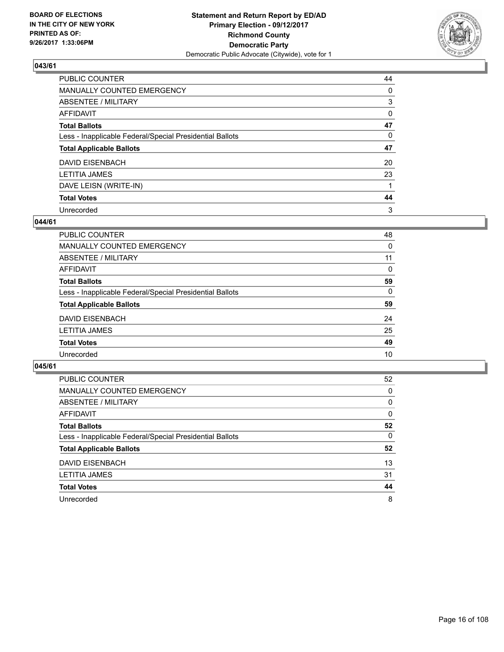

| <b>PUBLIC COUNTER</b>                                    | 44 |
|----------------------------------------------------------|----|
| <b>MANUALLY COUNTED EMERGENCY</b>                        | 0  |
| ABSENTEE / MILITARY                                      | 3  |
| <b>AFFIDAVIT</b>                                         | 0  |
| <b>Total Ballots</b>                                     | 47 |
| Less - Inapplicable Federal/Special Presidential Ballots | 0  |
| <b>Total Applicable Ballots</b>                          | 47 |
| DAVID EISENBACH                                          | 20 |
| <b>LETITIA JAMES</b>                                     | 23 |
| DAVE LEISN (WRITE-IN)                                    |    |
| <b>Total Votes</b>                                       | 44 |
| Unrecorded                                               | 3  |

#### **044/61**

| <b>PUBLIC COUNTER</b>                                    | 48 |
|----------------------------------------------------------|----|
| <b>MANUALLY COUNTED EMERGENCY</b>                        | 0  |
| ABSENTEE / MILITARY                                      | 11 |
| AFFIDAVIT                                                | 0  |
| <b>Total Ballots</b>                                     | 59 |
| Less - Inapplicable Federal/Special Presidential Ballots | 0  |
| <b>Total Applicable Ballots</b>                          | 59 |
| DAVID EISENBACH                                          | 24 |
| <b>LETITIA JAMES</b>                                     | 25 |
| <b>Total Votes</b>                                       | 49 |
| Unrecorded                                               | 10 |

| PUBLIC COUNTER                                           | 52 |
|----------------------------------------------------------|----|
| <b>MANUALLY COUNTED EMERGENCY</b>                        | 0  |
| ABSENTEE / MILITARY                                      | 0  |
| AFFIDAVIT                                                | 0  |
| <b>Total Ballots</b>                                     | 52 |
| Less - Inapplicable Federal/Special Presidential Ballots | 0  |
| <b>Total Applicable Ballots</b>                          | 52 |
| <b>DAVID EISENBACH</b>                                   | 13 |
| <b>LETITIA JAMES</b>                                     | 31 |
| <b>Total Votes</b>                                       | 44 |
| Unrecorded                                               | 8  |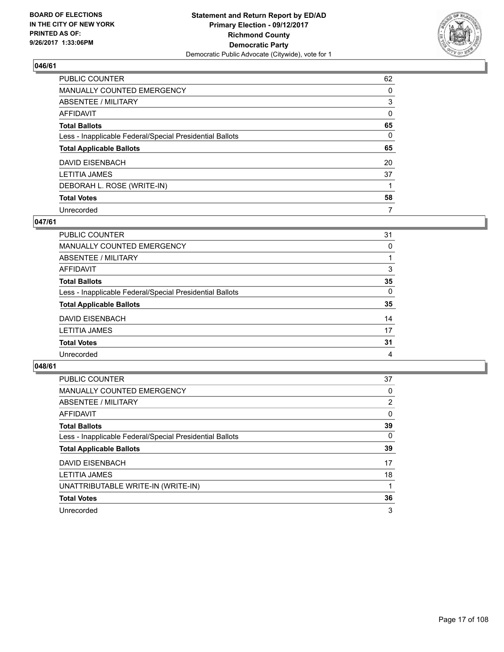

| <b>PUBLIC COUNTER</b>                                    | 62 |
|----------------------------------------------------------|----|
| MANUALLY COUNTED EMERGENCY                               | 0  |
| ABSENTEE / MILITARY                                      | 3  |
| AFFIDAVIT                                                | 0  |
| <b>Total Ballots</b>                                     | 65 |
| Less - Inapplicable Federal/Special Presidential Ballots | 0  |
| <b>Total Applicable Ballots</b>                          | 65 |
| <b>DAVID EISENBACH</b>                                   | 20 |
| <b>LETITIA JAMES</b>                                     | 37 |
| DEBORAH L. ROSE (WRITE-IN)                               |    |
| <b>Total Votes</b>                                       | 58 |
| Unrecorded                                               | 7  |

#### **047/61**

| <b>PUBLIC COUNTER</b>                                    | 31       |
|----------------------------------------------------------|----------|
|                                                          |          |
| MANUALLY COUNTED EMERGENCY                               | 0        |
| ABSENTEE / MILITARY                                      |          |
| AFFIDAVIT                                                | 3        |
| <b>Total Ballots</b>                                     | 35       |
| Less - Inapplicable Federal/Special Presidential Ballots | $\Omega$ |
| <b>Total Applicable Ballots</b>                          | 35       |
| DAVID EISENBACH                                          | 14       |
| <b>LETITIA JAMES</b>                                     | 17       |
| <b>Total Votes</b>                                       | 31       |
| Unrecorded                                               | 4        |
|                                                          |          |

| <b>PUBLIC COUNTER</b>                                    | 37             |
|----------------------------------------------------------|----------------|
| MANUALLY COUNTED EMERGENCY                               | 0              |
| ABSENTEE / MILITARY                                      | $\overline{2}$ |
| AFFIDAVIT                                                | $\Omega$       |
| <b>Total Ballots</b>                                     | 39             |
| Less - Inapplicable Federal/Special Presidential Ballots | $\Omega$       |
| <b>Total Applicable Ballots</b>                          | 39             |
| DAVID EISENBACH                                          | 17             |
| LETITIA JAMES                                            | 18             |
| UNATTRIBUTABLE WRITE-IN (WRITE-IN)                       |                |
| <b>Total Votes</b>                                       | 36             |
| Unrecorded                                               | 3              |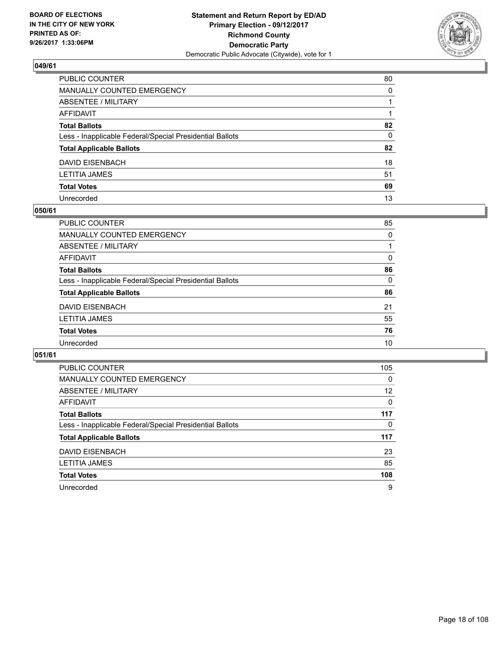

| PUBLIC COUNTER                                           | 80 |
|----------------------------------------------------------|----|
| MANUALLY COUNTED EMERGENCY                               | 0  |
| ABSENTEE / MILITARY                                      |    |
| AFFIDAVIT                                                |    |
| Total Ballots                                            | 82 |
| Less - Inapplicable Federal/Special Presidential Ballots | 0  |
| <b>Total Applicable Ballots</b>                          | 82 |
| DAVID EISENBACH                                          | 18 |
| LETITIA JAMES                                            | 51 |
| <b>Total Votes</b>                                       | 69 |
| Unrecorded                                               | 13 |

#### **050/61**

| PUBLIC COUNTER                                           | 85 |
|----------------------------------------------------------|----|
| <b>MANUALLY COUNTED EMERGENCY</b>                        | 0  |
| ABSENTEE / MILITARY                                      |    |
| AFFIDAVIT                                                | 0  |
| <b>Total Ballots</b>                                     | 86 |
| Less - Inapplicable Federal/Special Presidential Ballots | 0  |
| <b>Total Applicable Ballots</b>                          | 86 |
| DAVID EISENBACH                                          | 21 |
| <b>LETITIA JAMES</b>                                     | 55 |
| <b>Total Votes</b>                                       | 76 |
| Unrecorded                                               | 10 |

| <b>PUBLIC COUNTER</b>                                    | 105      |
|----------------------------------------------------------|----------|
| <b>MANUALLY COUNTED EMERGENCY</b>                        | 0        |
| ABSENTEE / MILITARY                                      | 12       |
| AFFIDAVIT                                                | $\Omega$ |
| <b>Total Ballots</b>                                     | 117      |
| Less - Inapplicable Federal/Special Presidential Ballots | 0        |
| <b>Total Applicable Ballots</b>                          | 117      |
| <b>DAVID EISENBACH</b>                                   | 23       |
| <b>LETITIA JAMES</b>                                     | 85       |
| <b>Total Votes</b>                                       | 108      |
| Unrecorded                                               | 9        |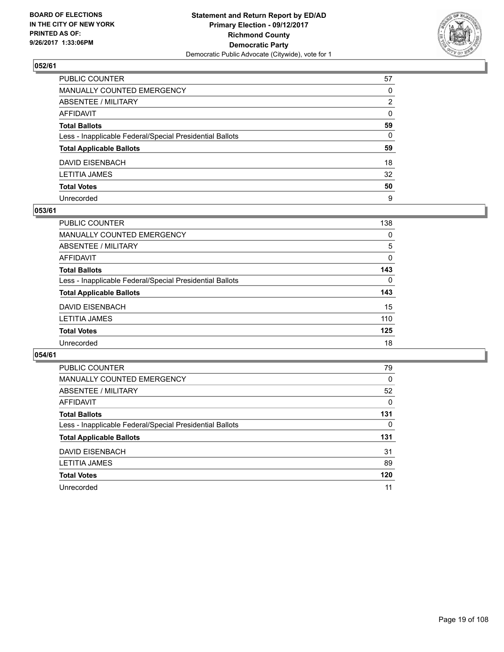

| PUBLIC COUNTER                                           | 57           |
|----------------------------------------------------------|--------------|
| MANUALLY COUNTED EMERGENCY                               | $\Omega$     |
| ABSENTEE / MILITARY                                      | 2            |
| AFFIDAVIT                                                | $\mathbf{0}$ |
| Total Ballots                                            | 59           |
| Less - Inapplicable Federal/Special Presidential Ballots | $\mathbf{0}$ |
| <b>Total Applicable Ballots</b>                          | 59           |
| DAVID EISENBACH                                          | 18           |
| LETITIA JAMES                                            | 32           |
| <b>Total Votes</b>                                       | 50           |
| Unrecorded                                               | 9            |

#### **053/61**

| PUBLIC COUNTER                                           | 138      |
|----------------------------------------------------------|----------|
| <b>MANUALLY COUNTED EMERGENCY</b>                        | 0        |
| ABSENTEE / MILITARY                                      | 5        |
| AFFIDAVIT                                                | $\Omega$ |
| <b>Total Ballots</b>                                     | 143      |
| Less - Inapplicable Federal/Special Presidential Ballots | 0        |
| <b>Total Applicable Ballots</b>                          | 143      |
| DAVID EISENBACH                                          | 15       |
| <b>LETITIA JAMES</b>                                     | 110      |
| <b>Total Votes</b>                                       | 125      |
| Unrecorded                                               | 18       |

| <b>PUBLIC COUNTER</b>                                    | 79  |
|----------------------------------------------------------|-----|
| <b>MANUALLY COUNTED EMERGENCY</b>                        | 0   |
| ABSENTEE / MILITARY                                      | 52  |
| <b>AFFIDAVIT</b>                                         | 0   |
| <b>Total Ballots</b>                                     | 131 |
| Less - Inapplicable Federal/Special Presidential Ballots | 0   |
| <b>Total Applicable Ballots</b>                          | 131 |
| DAVID EISENBACH                                          | 31  |
| <b>LETITIA JAMES</b>                                     | 89  |
| <b>Total Votes</b>                                       | 120 |
|                                                          |     |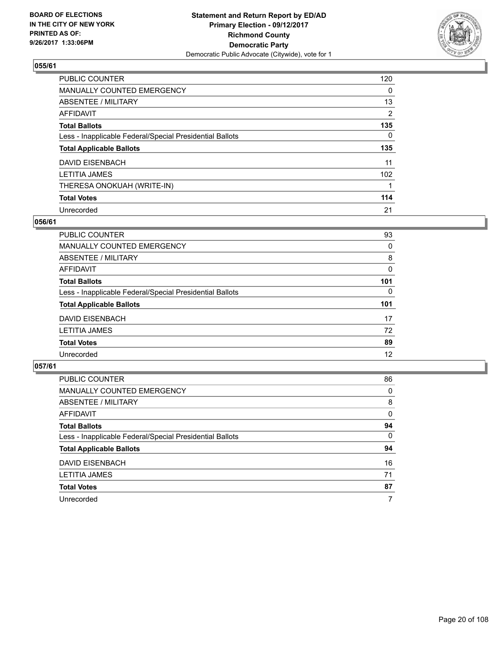

| <b>PUBLIC COUNTER</b>                                    | 120 |
|----------------------------------------------------------|-----|
| MANUALLY COUNTED EMERGENCY                               | 0   |
| ABSENTEE / MILITARY                                      | 13  |
| AFFIDAVIT                                                | 2   |
| <b>Total Ballots</b>                                     | 135 |
| Less - Inapplicable Federal/Special Presidential Ballots | 0   |
| <b>Total Applicable Ballots</b>                          | 135 |
| DAVID EISENBACH                                          | 11  |
| <b>LETITIA JAMES</b>                                     | 102 |
| THERESA ONOKUAH (WRITE-IN)                               |     |
| <b>Total Votes</b>                                       | 114 |
| Unrecorded                                               | 21  |

#### **056/61**

| PUBLIC COUNTER                                           | 93  |
|----------------------------------------------------------|-----|
| MANUALLY COUNTED EMERGENCY                               | 0   |
| ABSENTEE / MILITARY                                      | 8   |
| AFFIDAVIT                                                | 0   |
| <b>Total Ballots</b>                                     | 101 |
| Less - Inapplicable Federal/Special Presidential Ballots | 0   |
| <b>Total Applicable Ballots</b>                          | 101 |
| DAVID EISENBACH                                          | 17  |
| <b>LETITIA JAMES</b>                                     | 72  |
| <b>Total Votes</b>                                       | 89  |
| Unrecorded                                               | 12  |

| <b>PUBLIC COUNTER</b>                                    | 86 |
|----------------------------------------------------------|----|
| MANUALLY COUNTED EMERGENCY                               | 0  |
| ABSENTEE / MILITARY                                      | 8  |
| AFFIDAVIT                                                | 0  |
| <b>Total Ballots</b>                                     | 94 |
| Less - Inapplicable Federal/Special Presidential Ballots | 0  |
| <b>Total Applicable Ballots</b>                          | 94 |
| DAVID EISENBACH                                          | 16 |
| <b>LETITIA JAMES</b>                                     | 71 |
| <b>Total Votes</b>                                       | 87 |
| Unrecorded                                               | 7  |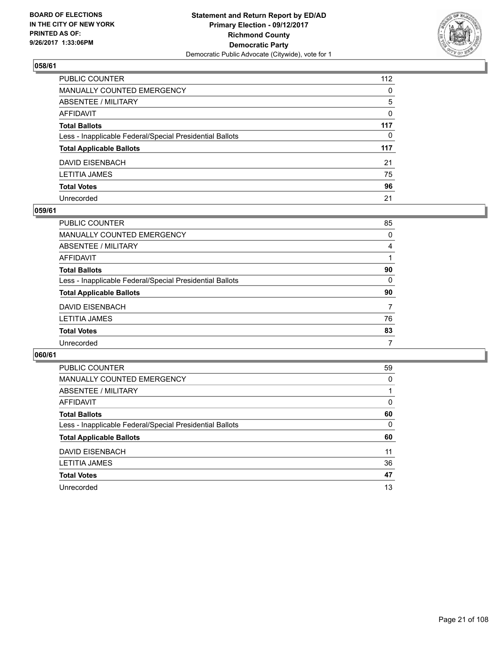

| PUBLIC COUNTER                                           | 112          |
|----------------------------------------------------------|--------------|
| MANUALLY COUNTED EMERGENCY                               | $\mathbf{0}$ |
| ABSENTEE / MILITARY                                      | 5            |
| AFFIDAVIT                                                | 0            |
| Total Ballots                                            | 117          |
| Less - Inapplicable Federal/Special Presidential Ballots | 0            |
| <b>Total Applicable Ballots</b>                          | 117          |
| DAVID EISENBACH                                          | 21           |
| LETITIA JAMES                                            | 75           |
| <b>Total Votes</b>                                       | 96           |
| Unrecorded                                               | 21           |

#### **059/61**

| <b>PUBLIC COUNTER</b>                                    | 85 |
|----------------------------------------------------------|----|
| <b>MANUALLY COUNTED EMERGENCY</b>                        | 0  |
| ABSENTEE / MILITARY                                      | 4  |
| AFFIDAVIT                                                |    |
| <b>Total Ballots</b>                                     | 90 |
| Less - Inapplicable Federal/Special Presidential Ballots | 0  |
| <b>Total Applicable Ballots</b>                          | 90 |
| DAVID EISENBACH                                          | 7  |
| <b>LETITIA JAMES</b>                                     | 76 |
| <b>Total Votes</b>                                       | 83 |
| Unrecorded                                               | 7  |

| <b>PUBLIC COUNTER</b>                                    | 59 |
|----------------------------------------------------------|----|
| <b>MANUALLY COUNTED EMERGENCY</b>                        | 0  |
| <b>ABSENTEE / MILITARY</b>                               |    |
| AFFIDAVIT                                                | 0  |
| <b>Total Ballots</b>                                     | 60 |
| Less - Inapplicable Federal/Special Presidential Ballots | 0  |
| <b>Total Applicable Ballots</b>                          | 60 |
| <b>DAVID EISENBACH</b>                                   | 11 |
| <b>LETITIA JAMES</b>                                     | 36 |
|                                                          |    |
| <b>Total Votes</b>                                       | 47 |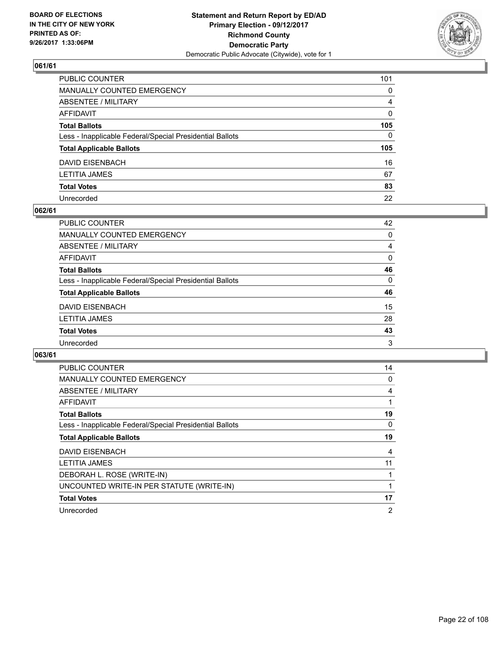

| PUBLIC COUNTER                                           | 101          |
|----------------------------------------------------------|--------------|
| MANUALLY COUNTED EMERGENCY                               | $\Omega$     |
| ABSENTEE / MILITARY                                      | 4            |
| AFFIDAVIT                                                | $\mathbf{0}$ |
| Total Ballots                                            | 105          |
| Less - Inapplicable Federal/Special Presidential Ballots | $\mathbf{0}$ |
| <b>Total Applicable Ballots</b>                          | 105          |
| DAVID EISENBACH                                          | 16           |
| LETITIA JAMES                                            | 67           |
| <b>Total Votes</b>                                       | 83           |
| Unrecorded                                               | 22           |

#### **062/61**

| <b>PUBLIC COUNTER</b>                                    | 42       |
|----------------------------------------------------------|----------|
| <b>MANUALLY COUNTED EMERGENCY</b>                        | $\Omega$ |
| ABSENTEE / MILITARY                                      | 4        |
| AFFIDAVIT                                                | 0        |
| <b>Total Ballots</b>                                     | 46       |
| Less - Inapplicable Federal/Special Presidential Ballots | $\Omega$ |
| <b>Total Applicable Ballots</b>                          | 46       |
| DAVID EISENBACH                                          | 15       |
| <b>LETITIA JAMES</b>                                     | 28       |
| <b>Total Votes</b>                                       | 43       |
| Unrecorded                                               | 3        |

| <b>PUBLIC COUNTER</b>                                    | 14             |
|----------------------------------------------------------|----------------|
| <b>MANUALLY COUNTED EMERGENCY</b>                        | 0              |
| <b>ABSENTEE / MILITARY</b>                               | 4              |
| AFFIDAVIT                                                |                |
| <b>Total Ballots</b>                                     | 19             |
| Less - Inapplicable Federal/Special Presidential Ballots | 0              |
| <b>Total Applicable Ballots</b>                          | 19             |
| <b>DAVID EISENBACH</b>                                   | 4              |
| <b>LETITIA JAMES</b>                                     | 11             |
| DEBORAH L. ROSE (WRITE-IN)                               |                |
| UNCOUNTED WRITE-IN PER STATUTE (WRITE-IN)                | 1              |
| <b>Total Votes</b>                                       | 17             |
| Unrecorded                                               | $\overline{2}$ |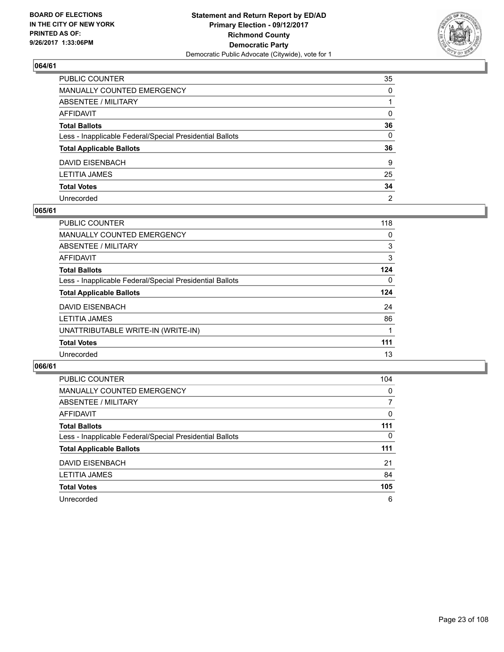

| PUBLIC COUNTER                                           | 35             |
|----------------------------------------------------------|----------------|
| MANUALLY COUNTED EMERGENCY                               | $\Omega$       |
| ABSENTEE / MILITARY                                      |                |
| AFFIDAVIT                                                | 0              |
| Total Ballots                                            | 36             |
| Less - Inapplicable Federal/Special Presidential Ballots | $\mathbf{0}$   |
| <b>Total Applicable Ballots</b>                          | 36             |
| DAVID EISENBACH                                          | 9              |
| LETITIA JAMES                                            | 25             |
| <b>Total Votes</b>                                       | 34             |
| Unrecorded                                               | $\overline{2}$ |

#### **065/61**

| <b>PUBLIC COUNTER</b>                                    | 118 |
|----------------------------------------------------------|-----|
| <b>MANUALLY COUNTED EMERGENCY</b>                        | 0   |
| ABSENTEE / MILITARY                                      | 3   |
| AFFIDAVIT                                                | 3   |
| <b>Total Ballots</b>                                     | 124 |
| Less - Inapplicable Federal/Special Presidential Ballots | 0   |
| <b>Total Applicable Ballots</b>                          | 124 |
| DAVID EISENBACH                                          | 24  |
| <b>LETITIA JAMES</b>                                     | 86  |
| UNATTRIBUTABLE WRITE-IN (WRITE-IN)                       |     |
| <b>Total Votes</b>                                       | 111 |
| Unrecorded                                               | 13  |

| <b>PUBLIC COUNTER</b>                                    | 104 |
|----------------------------------------------------------|-----|
| <b>MANUALLY COUNTED EMERGENCY</b>                        | 0   |
| ABSENTEE / MILITARY                                      | 7   |
| AFFIDAVIT                                                | 0   |
| <b>Total Ballots</b>                                     | 111 |
| Less - Inapplicable Federal/Special Presidential Ballots | 0   |
| <b>Total Applicable Ballots</b>                          | 111 |
| DAVID EISENBACH                                          | 21  |
| <b>LETITIA JAMES</b>                                     | 84  |
| <b>Total Votes</b>                                       | 105 |
| Unrecorded                                               | 6   |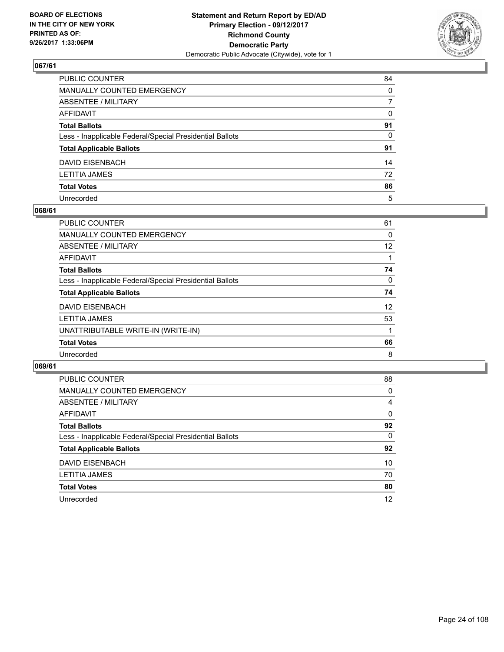

| PUBLIC COUNTER                                           | 84           |
|----------------------------------------------------------|--------------|
| MANUALLY COUNTED EMERGENCY                               | $\mathbf{0}$ |
| ABSENTEE / MILITARY                                      | 7            |
| AFFIDAVIT                                                | 0            |
| Total Ballots                                            | 91           |
| Less - Inapplicable Federal/Special Presidential Ballots | $\mathbf{0}$ |
| <b>Total Applicable Ballots</b>                          | 91           |
| DAVID EISENBACH                                          | 14           |
| LETITIA JAMES                                            | 72           |
| <b>Total Votes</b>                                       | 86           |
| Unrecorded                                               | 5            |

#### **068/61**

| PUBLIC COUNTER                                           | 61 |
|----------------------------------------------------------|----|
| <b>MANUALLY COUNTED EMERGENCY</b>                        | 0  |
| ABSENTEE / MILITARY                                      | 12 |
| AFFIDAVIT                                                |    |
| <b>Total Ballots</b>                                     | 74 |
| Less - Inapplicable Federal/Special Presidential Ballots | 0  |
| <b>Total Applicable Ballots</b>                          | 74 |
| DAVID EISENBACH                                          | 12 |
| <b>LETITIA JAMES</b>                                     | 53 |
| UNATTRIBUTABLE WRITE-IN (WRITE-IN)                       |    |
| <b>Total Votes</b>                                       | 66 |
| Unrecorded                                               | 8  |

| <b>PUBLIC COUNTER</b>                                    | 88 |
|----------------------------------------------------------|----|
| <b>MANUALLY COUNTED EMERGENCY</b>                        | 0  |
| ABSENTEE / MILITARY                                      | 4  |
| AFFIDAVIT                                                | 0  |
| <b>Total Ballots</b>                                     | 92 |
| Less - Inapplicable Federal/Special Presidential Ballots | 0  |
| <b>Total Applicable Ballots</b>                          | 92 |
| <b>DAVID EISENBACH</b>                                   | 10 |
| <b>LETITIA JAMES</b>                                     | 70 |
| <b>Total Votes</b>                                       | 80 |
| Unrecorded                                               | 12 |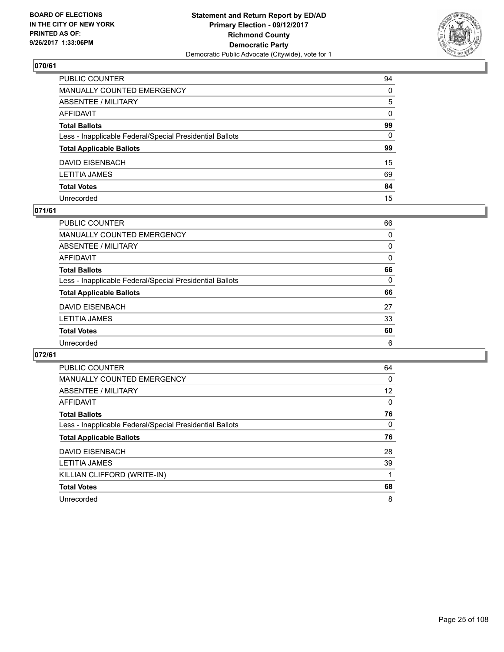

| PUBLIC COUNTER                                           | 94           |
|----------------------------------------------------------|--------------|
| MANUALLY COUNTED EMERGENCY                               | $\Omega$     |
| ABSENTEE / MILITARY                                      | 5            |
| AFFIDAVIT                                                | $\mathbf{0}$ |
| Total Ballots                                            | 99           |
| Less - Inapplicable Federal/Special Presidential Ballots | $\mathbf{0}$ |
| <b>Total Applicable Ballots</b>                          | 99           |
| DAVID EISENBACH                                          | 15           |
| LETITIA JAMES                                            | 69           |
| <b>Total Votes</b>                                       | 84           |
| Unrecorded                                               | 15           |

#### **071/61**

| <b>PUBLIC COUNTER</b>                                    | 66       |
|----------------------------------------------------------|----------|
| <b>MANUALLY COUNTED EMERGENCY</b>                        | 0        |
|                                                          |          |
| ABSENTEE / MILITARY                                      | 0        |
| AFFIDAVIT                                                | 0        |
| <b>Total Ballots</b>                                     | 66       |
| Less - Inapplicable Federal/Special Presidential Ballots | $\Omega$ |
| <b>Total Applicable Ballots</b>                          | 66       |
| <b>DAVID EISENBACH</b>                                   | 27       |
| <b>LETITIA JAMES</b>                                     | 33       |
| <b>Total Votes</b>                                       | 60       |
| Unrecorded                                               | 6        |

| <b>PUBLIC COUNTER</b>                                    | 64 |
|----------------------------------------------------------|----|
| <b>MANUALLY COUNTED EMERGENCY</b>                        | 0  |
| ABSENTEE / MILITARY                                      | 12 |
| <b>AFFIDAVIT</b>                                         | 0  |
| <b>Total Ballots</b>                                     | 76 |
| Less - Inapplicable Federal/Special Presidential Ballots | 0  |
| <b>Total Applicable Ballots</b>                          | 76 |
| <b>DAVID EISENBACH</b>                                   | 28 |
| <b>LETITIA JAMES</b>                                     | 39 |
| KILLIAN CLIFFORD (WRITE-IN)                              |    |
| <b>Total Votes</b>                                       | 68 |
| Unrecorded                                               | 8  |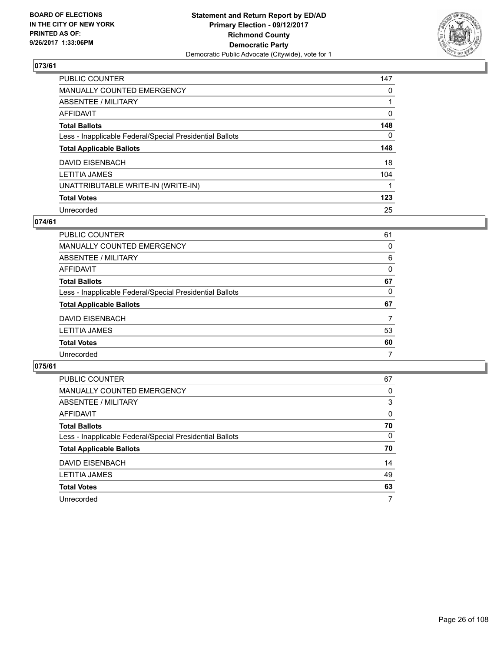

| <b>PUBLIC COUNTER</b>                                    | 147      |
|----------------------------------------------------------|----------|
| <b>MANUALLY COUNTED EMERGENCY</b>                        | 0        |
| ABSENTEE / MILITARY                                      |          |
| <b>AFFIDAVIT</b>                                         | 0        |
| <b>Total Ballots</b>                                     | 148      |
| Less - Inapplicable Federal/Special Presidential Ballots | $\Omega$ |
| <b>Total Applicable Ballots</b>                          | 148      |
| <b>DAVID EISENBACH</b>                                   | 18       |
| <b>LETITIA JAMES</b>                                     | 104      |
| UNATTRIBUTABLE WRITE-IN (WRITE-IN)                       |          |
| <b>Total Votes</b>                                       | 123      |
| Unrecorded                                               | 25       |

#### **074/61**

| PUBLIC COUNTER                                           | 61 |
|----------------------------------------------------------|----|
| MANUALLY COUNTED EMERGENCY                               | 0  |
| ABSENTEE / MILITARY                                      | 6  |
| AFFIDAVIT                                                | 0  |
| <b>Total Ballots</b>                                     | 67 |
| Less - Inapplicable Federal/Special Presidential Ballots | 0  |
| <b>Total Applicable Ballots</b>                          | 67 |
| DAVID EISENBACH                                          | 7  |
| <b>LETITIA JAMES</b>                                     | 53 |
| <b>Total Votes</b>                                       | 60 |
| Unrecorded                                               | 7  |

| PUBLIC COUNTER                                           | 67 |
|----------------------------------------------------------|----|
| MANUALLY COUNTED EMERGENCY                               | 0  |
| ABSENTEE / MILITARY                                      | 3  |
| AFFIDAVIT                                                | 0  |
| <b>Total Ballots</b>                                     | 70 |
| Less - Inapplicable Federal/Special Presidential Ballots | 0  |
| <b>Total Applicable Ballots</b>                          | 70 |
| DAVID EISENBACH                                          | 14 |
| <b>LETITIA JAMES</b>                                     | 49 |
| <b>Total Votes</b>                                       | 63 |
| Unrecorded                                               | 7  |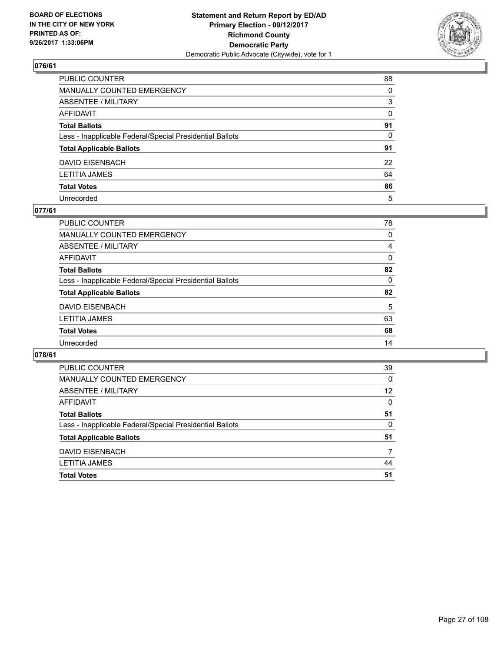

| PUBLIC COUNTER                                           | 88       |
|----------------------------------------------------------|----------|
| MANUALLY COUNTED EMERGENCY                               | $\Omega$ |
| ABSENTEE / MILITARY                                      | 3        |
| AFFIDAVIT                                                | 0        |
| Total Ballots                                            | 91       |
| Less - Inapplicable Federal/Special Presidential Ballots | $\Omega$ |
| <b>Total Applicable Ballots</b>                          | 91       |
| DAVID EISENBACH                                          | 22       |
| LETITIA JAMES                                            | 64       |
| <b>Total Votes</b>                                       | 86       |
| Unrecorded                                               | 5        |

### **077/61**

| <b>PUBLIC COUNTER</b>                                    | 78       |
|----------------------------------------------------------|----------|
| <b>MANUALLY COUNTED EMERGENCY</b>                        | 0        |
| ABSENTEE / MILITARY                                      | 4        |
| AFFIDAVIT                                                | 0        |
| <b>Total Ballots</b>                                     | 82       |
| Less - Inapplicable Federal/Special Presidential Ballots | $\Omega$ |
| <b>Total Applicable Ballots</b>                          | 82       |
| <b>DAVID EISENBACH</b>                                   | 5        |
| <b>LETITIA JAMES</b>                                     | 63       |
| <b>Total Votes</b>                                       | 68       |
| Unrecorded                                               | 14       |
|                                                          |          |

| <b>PUBLIC COUNTER</b>                                    | 39 |
|----------------------------------------------------------|----|
| MANUALLY COUNTED EMERGENCY                               | 0  |
| ABSENTEE / MILITARY                                      | 12 |
| AFFIDAVIT                                                | 0  |
| <b>Total Ballots</b>                                     | 51 |
| Less - Inapplicable Federal/Special Presidential Ballots | 0  |
| <b>Total Applicable Ballots</b>                          | 51 |
| DAVID EISENBACH                                          |    |
| <b>LETITIA JAMES</b>                                     | 44 |
| <b>Total Votes</b>                                       | 51 |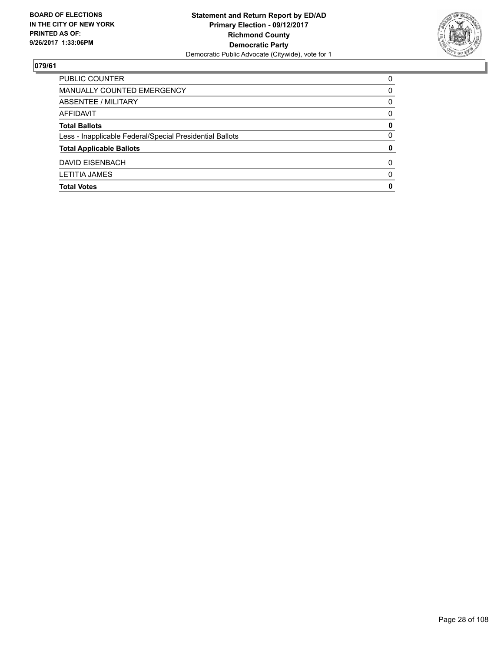

| <b>Total Votes</b>                                       | 0        |
|----------------------------------------------------------|----------|
| <b>LETITIA JAMES</b>                                     | $\Omega$ |
| DAVID EISENBACH                                          | 0        |
| <b>Total Applicable Ballots</b>                          | 0        |
| Less - Inapplicable Federal/Special Presidential Ballots | 0        |
| <b>Total Ballots</b>                                     | 0        |
| AFFIDAVIT                                                | 0        |
| <b>ABSENTEE / MILITARY</b>                               | 0        |
| MANUALLY COUNTED EMERGENCY                               | 0        |
| <b>PUBLIC COUNTER</b>                                    | $\Omega$ |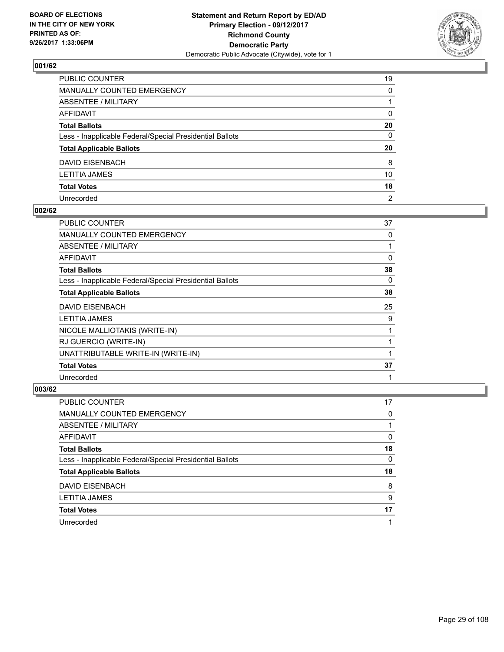

| PUBLIC COUNTER                                           | 19             |
|----------------------------------------------------------|----------------|
| MANUALLY COUNTED EMERGENCY                               | 0              |
| ABSENTEE / MILITARY                                      |                |
| AFFIDAVIT                                                | $\mathbf{0}$   |
| Total Ballots                                            | 20             |
| Less - Inapplicable Federal/Special Presidential Ballots | 0              |
| <b>Total Applicable Ballots</b>                          | 20             |
| DAVID EISENBACH                                          | 8              |
| LETITIA JAMES                                            | 10             |
| <b>Total Votes</b>                                       | 18             |
| Unrecorded                                               | $\overline{2}$ |

#### **002/62**

| <b>PUBLIC COUNTER</b>                                    | 37 |
|----------------------------------------------------------|----|
| MANUALLY COUNTED EMERGENCY                               | 0  |
| ABSENTEE / MILITARY                                      |    |
| AFFIDAVIT                                                | 0  |
| <b>Total Ballots</b>                                     | 38 |
| Less - Inapplicable Federal/Special Presidential Ballots | 0  |
| <b>Total Applicable Ballots</b>                          | 38 |
| DAVID EISENBACH                                          | 25 |
| <b>LETITIA JAMES</b>                                     | 9  |
| NICOLE MALLIOTAKIS (WRITE-IN)                            |    |
| RJ GUERCIO (WRITE-IN)                                    |    |
| UNATTRIBUTABLE WRITE-IN (WRITE-IN)                       |    |
| <b>Total Votes</b>                                       | 37 |
| Unrecorded                                               | 1  |

| PUBLIC COUNTER                                           | 17 |
|----------------------------------------------------------|----|
| MANUALLY COUNTED EMERGENCY                               | 0  |
| ABSENTEE / MILITARY                                      |    |
| AFFIDAVIT                                                | 0  |
| <b>Total Ballots</b>                                     | 18 |
| Less - Inapplicable Federal/Special Presidential Ballots | 0  |
| <b>Total Applicable Ballots</b>                          | 18 |
| DAVID EISENBACH                                          | 8  |
| <b>LETITIA JAMES</b>                                     | 9  |
| <b>Total Votes</b>                                       | 17 |
| Unrecorded                                               |    |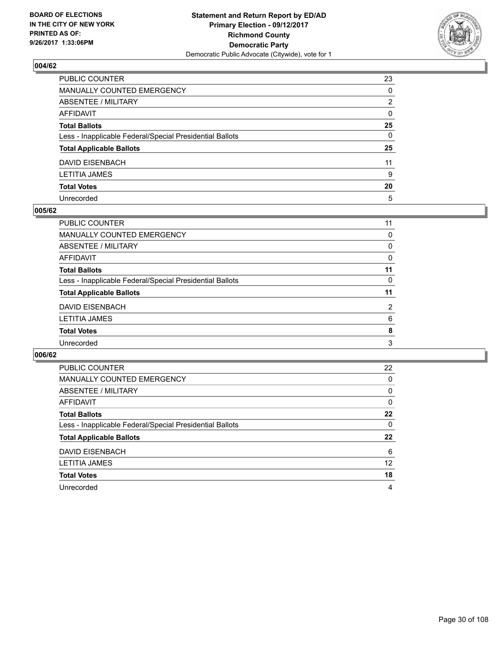

| PUBLIC COUNTER                                           | 23           |
|----------------------------------------------------------|--------------|
| MANUALLY COUNTED EMERGENCY                               | 0            |
| ABSENTEE / MILITARY                                      | 2            |
| AFFIDAVIT                                                | $\mathbf{0}$ |
| Total Ballots                                            | 25           |
| Less - Inapplicable Federal/Special Presidential Ballots | 0            |
| <b>Total Applicable Ballots</b>                          | 25           |
| DAVID EISENBACH                                          | 11           |
| LETITIA JAMES                                            | 9            |
| <b>Total Votes</b>                                       | 20           |
| Unrecorded                                               | 5            |

#### **005/62**

| <b>PUBLIC COUNTER</b>                                    | 11             |
|----------------------------------------------------------|----------------|
| <b>MANUALLY COUNTED EMERGENCY</b>                        | 0              |
| ABSENTEE / MILITARY                                      | 0              |
| <b>AFFIDAVIT</b>                                         | 0              |
| <b>Total Ballots</b>                                     | 11             |
| Less - Inapplicable Federal/Special Presidential Ballots | 0              |
| <b>Total Applicable Ballots</b>                          | 11             |
| <b>DAVID EISENBACH</b>                                   | $\overline{2}$ |
| <b>LETITIA JAMES</b>                                     | 6              |
| <b>Total Votes</b>                                       | 8              |
| Unrecorded                                               | 3              |
|                                                          |                |

| <b>PUBLIC COUNTER</b>                                    | 22 |
|----------------------------------------------------------|----|
| <b>MANUALLY COUNTED EMERGENCY</b>                        | 0  |
| ABSENTEE / MILITARY                                      | 0  |
| AFFIDAVIT                                                | 0  |
| <b>Total Ballots</b>                                     | 22 |
| Less - Inapplicable Federal/Special Presidential Ballots | 0  |
| <b>Total Applicable Ballots</b>                          | 22 |
| DAVID EISENBACH                                          | 6  |
|                                                          |    |
| <b>LETITIA JAMES</b>                                     | 12 |
| <b>Total Votes</b>                                       | 18 |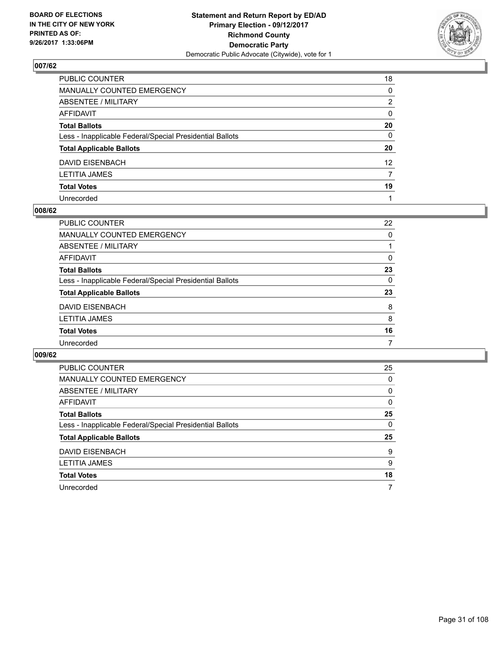

| PUBLIC COUNTER                                           | 18              |
|----------------------------------------------------------|-----------------|
| MANUALLY COUNTED EMERGENCY                               | $\mathbf{0}$    |
| ABSENTEE / MILITARY                                      | 2               |
| AFFIDAVIT                                                | $\mathbf{0}$    |
| Total Ballots                                            | 20              |
| Less - Inapplicable Federal/Special Presidential Ballots | $\mathbf{0}$    |
| <b>Total Applicable Ballots</b>                          | 20              |
| DAVID EISENBACH                                          | 12 <sup>2</sup> |
| LETITIA JAMES                                            | 7               |
| <b>Total Votes</b>                                       | 19              |
| Unrecorded                                               |                 |

#### **008/62**

| <b>PUBLIC COUNTER</b>                                    | 22 |
|----------------------------------------------------------|----|
| MANUALLY COUNTED EMERGENCY                               | 0  |
| ABSENTEE / MILITARY                                      |    |
| AFFIDAVIT                                                | 0  |
| <b>Total Ballots</b>                                     | 23 |
| Less - Inapplicable Federal/Special Presidential Ballots | 0  |
| <b>Total Applicable Ballots</b>                          | 23 |
| DAVID EISENBACH                                          | 8  |
| <b>LETITIA JAMES</b>                                     | 8  |
| <b>Total Votes</b>                                       | 16 |
| Unrecorded                                               | 7  |

| <b>PUBLIC COUNTER</b>                                    | 25 |
|----------------------------------------------------------|----|
| <b>MANUALLY COUNTED EMERGENCY</b>                        | 0  |
| ABSENTEE / MILITARY                                      | 0  |
| <b>AFFIDAVIT</b>                                         | 0  |
| <b>Total Ballots</b>                                     | 25 |
| Less - Inapplicable Federal/Special Presidential Ballots | 0  |
| <b>Total Applicable Ballots</b>                          | 25 |
| <b>DAVID EISENBACH</b>                                   | 9  |
| <b>LETITIA JAMES</b>                                     | 9  |
| <b>Total Votes</b>                                       | 18 |
| Unrecorded                                               | 7  |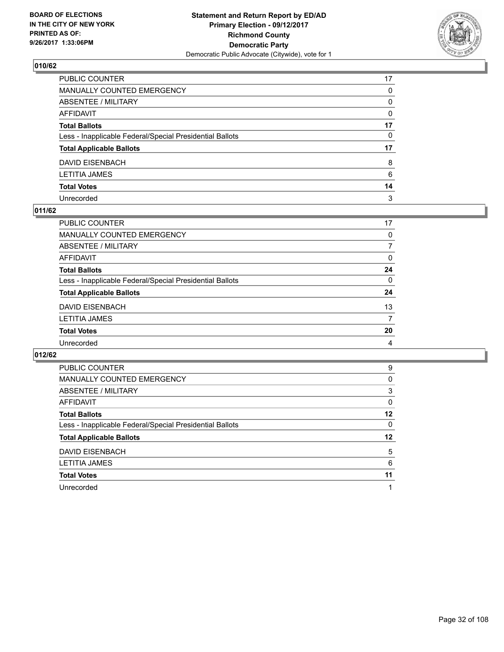

| PUBLIC COUNTER                                           | 17           |
|----------------------------------------------------------|--------------|
| MANUALLY COUNTED EMERGENCY                               | $\mathbf{0}$ |
| ABSENTEE / MILITARY                                      | 0            |
| AFFIDAVIT                                                | $\Omega$     |
| Total Ballots                                            | 17           |
| Less - Inapplicable Federal/Special Presidential Ballots | $\mathbf{0}$ |
| <b>Total Applicable Ballots</b>                          | 17           |
| DAVID EISENBACH                                          | 8            |
| LETITIA JAMES                                            | 6            |
| <b>Total Votes</b>                                       | 14           |
| Unrecorded                                               | 3            |

## **011/62**

| PUBLIC COUNTER                                           | 17             |
|----------------------------------------------------------|----------------|
| <b>MANUALLY COUNTED EMERGENCY</b>                        | 0              |
| ABSENTEE / MILITARY                                      | 7              |
| <b>AFFIDAVIT</b>                                         | $\Omega$       |
| <b>Total Ballots</b>                                     | 24             |
| Less - Inapplicable Federal/Special Presidential Ballots | $\mathbf{0}$   |
| <b>Total Applicable Ballots</b>                          | 24             |
| <b>DAVID EISENBACH</b>                                   | 13             |
| <b>LETITIA JAMES</b>                                     | 7              |
| <b>Total Votes</b>                                       | 20             |
| Unrecorded                                               | $\overline{4}$ |

| <b>PUBLIC COUNTER</b>                                    | 9  |
|----------------------------------------------------------|----|
| MANUALLY COUNTED EMERGENCY                               | 0  |
| ABSENTEE / MILITARY                                      | 3  |
| AFFIDAVIT                                                | 0  |
| <b>Total Ballots</b>                                     | 12 |
| Less - Inapplicable Federal/Special Presidential Ballots | 0  |
| <b>Total Applicable Ballots</b>                          | 12 |
| DAVID EISENBACH                                          | 5  |
| <b>LETITIA JAMES</b>                                     | 6  |
| <b>Total Votes</b>                                       | 11 |
| Unrecorded                                               |    |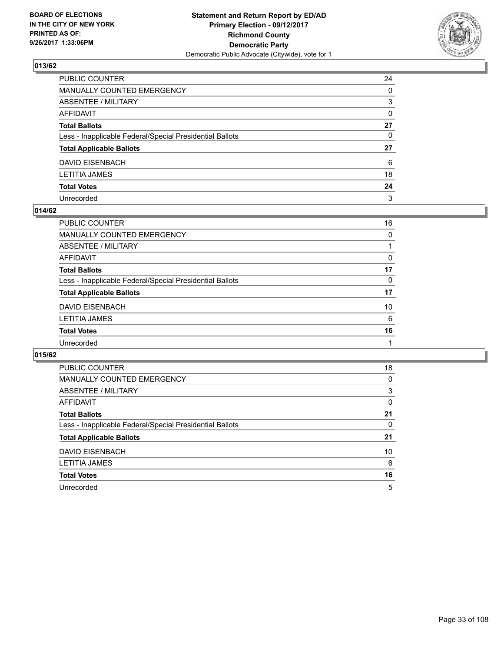

| PUBLIC COUNTER                                           | 24           |
|----------------------------------------------------------|--------------|
| MANUALLY COUNTED EMERGENCY                               | $\mathbf{0}$ |
| ABSENTEE / MILITARY                                      | 3            |
| AFFIDAVIT                                                | $\mathbf{0}$ |
| Total Ballots                                            | 27           |
| Less - Inapplicable Federal/Special Presidential Ballots | $\mathbf{0}$ |
| <b>Total Applicable Ballots</b>                          | 27           |
| DAVID EISENBACH                                          | 6            |
| LETITIA JAMES                                            | 18           |
| <b>Total Votes</b>                                       | 24           |
| Unrecorded                                               | 3            |

#### **014/62**

| <b>PUBLIC COUNTER</b>                                    | 16 |
|----------------------------------------------------------|----|
| <b>MANUALLY COUNTED EMERGENCY</b>                        | 0  |
| ABSENTEE / MILITARY                                      |    |
| AFFIDAVIT                                                | 0  |
| <b>Total Ballots</b>                                     | 17 |
| Less - Inapplicable Federal/Special Presidential Ballots | 0  |
| <b>Total Applicable Ballots</b>                          | 17 |
| <b>DAVID EISENBACH</b>                                   | 10 |
| <b>LETITIA JAMES</b>                                     | 6  |
| <b>Total Votes</b>                                       | 16 |
| Unrecorded                                               |    |

| <b>PUBLIC COUNTER</b>                                    | 18 |
|----------------------------------------------------------|----|
| <b>MANUALLY COUNTED EMERGENCY</b>                        | 0  |
| <b>ABSENTEE / MILITARY</b>                               | 3  |
| AFFIDAVIT                                                | 0  |
| <b>Total Ballots</b>                                     | 21 |
| Less - Inapplicable Federal/Special Presidential Ballots | 0  |
| <b>Total Applicable Ballots</b>                          | 21 |
| <b>DAVID EISENBACH</b>                                   | 10 |
| <b>LETITIA JAMES</b>                                     | 6  |
| <b>Total Votes</b>                                       | 16 |
| Unrecorded                                               | 5  |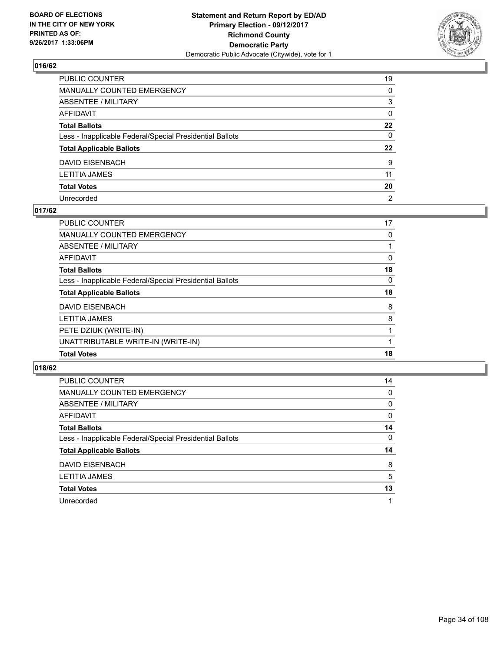

| PUBLIC COUNTER                                           | 19             |
|----------------------------------------------------------|----------------|
| MANUALLY COUNTED EMERGENCY                               | $\Omega$       |
| ABSENTEE / MILITARY                                      | 3              |
| AFFIDAVIT                                                | 0              |
| Total Ballots                                            | $22 \,$        |
| Less - Inapplicable Federal/Special Presidential Ballots | $\mathbf{0}$   |
| <b>Total Applicable Ballots</b>                          | 22             |
| DAVID EISENBACH                                          | 9              |
| LETITIA JAMES                                            | 11             |
| <b>Total Votes</b>                                       | 20             |
| Unrecorded                                               | $\overline{2}$ |

## **017/62**

| <b>PUBLIC COUNTER</b>                                    | 17 |
|----------------------------------------------------------|----|
| <b>MANUALLY COUNTED EMERGENCY</b>                        | 0  |
| ABSENTEE / MILITARY                                      |    |
| AFFIDAVIT                                                | 0  |
| <b>Total Ballots</b>                                     | 18 |
| Less - Inapplicable Federal/Special Presidential Ballots | 0  |
| <b>Total Applicable Ballots</b>                          | 18 |
| DAVID EISENBACH                                          | 8  |
| <b>LETITIA JAMES</b>                                     | 8  |
| PETE DZIUK (WRITE-IN)                                    |    |
| UNATTRIBUTABLE WRITE-IN (WRITE-IN)                       |    |
| <b>Total Votes</b>                                       | 18 |

| <b>PUBLIC COUNTER</b>                                    | 14 |
|----------------------------------------------------------|----|
| <b>MANUALLY COUNTED EMERGENCY</b>                        | 0  |
| ABSENTEE / MILITARY                                      | 0  |
| AFFIDAVIT                                                | 0  |
| <b>Total Ballots</b>                                     | 14 |
| Less - Inapplicable Federal/Special Presidential Ballots | 0  |
| <b>Total Applicable Ballots</b>                          | 14 |
| DAVID EISENBACH                                          | 8  |
| LETITIA JAMES                                            | 5  |
| <b>Total Votes</b>                                       | 13 |
| Unrecorded                                               |    |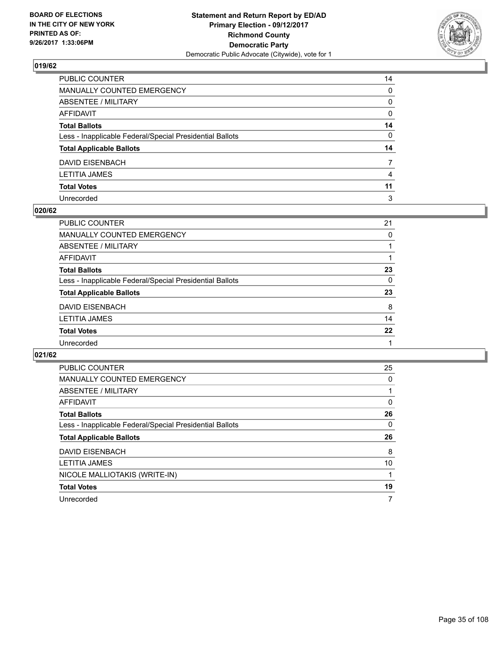

| PUBLIC COUNTER                                           | 14           |
|----------------------------------------------------------|--------------|
| MANUALLY COUNTED EMERGENCY                               | $\mathbf{0}$ |
| ABSENTEE / MILITARY                                      | 0            |
| AFFIDAVIT                                                | $\mathbf{0}$ |
| <b>Total Ballots</b>                                     | 14           |
| Less - Inapplicable Federal/Special Presidential Ballots | $\mathbf{0}$ |
| <b>Total Applicable Ballots</b>                          | 14           |
| DAVID EISENBACH                                          | 7            |
| LETITIA JAMES                                            | 4            |
| <b>Total Votes</b>                                       | 11           |
| Unrecorded                                               | 3            |

#### **020/62**

| <b>PUBLIC COUNTER</b>                                    | 21 |
|----------------------------------------------------------|----|
| MANUALLY COUNTED EMERGENCY                               | 0  |
| ABSENTEE / MILITARY                                      |    |
| AFFIDAVIT                                                |    |
| <b>Total Ballots</b>                                     | 23 |
| Less - Inapplicable Federal/Special Presidential Ballots | 0  |
| <b>Total Applicable Ballots</b>                          | 23 |
| DAVID EISENBACH                                          | 8  |
| <b>LETITIA JAMES</b>                                     | 14 |
| <b>Total Votes</b>                                       | 22 |
| Unrecorded                                               |    |
|                                                          |    |

| <b>PUBLIC COUNTER</b>                                    | 25 |
|----------------------------------------------------------|----|
| <b>MANUALLY COUNTED EMERGENCY</b>                        | 0  |
| <b>ABSENTEE / MILITARY</b>                               |    |
| <b>AFFIDAVIT</b>                                         | 0  |
| <b>Total Ballots</b>                                     | 26 |
| Less - Inapplicable Federal/Special Presidential Ballots | 0  |
|                                                          |    |
| <b>Total Applicable Ballots</b>                          | 26 |
| <b>DAVID EISENBACH</b>                                   | 8  |
| <b>LETITIA JAMES</b>                                     | 10 |
| NICOLE MALLIOTAKIS (WRITE-IN)                            |    |
| <b>Total Votes</b>                                       | 19 |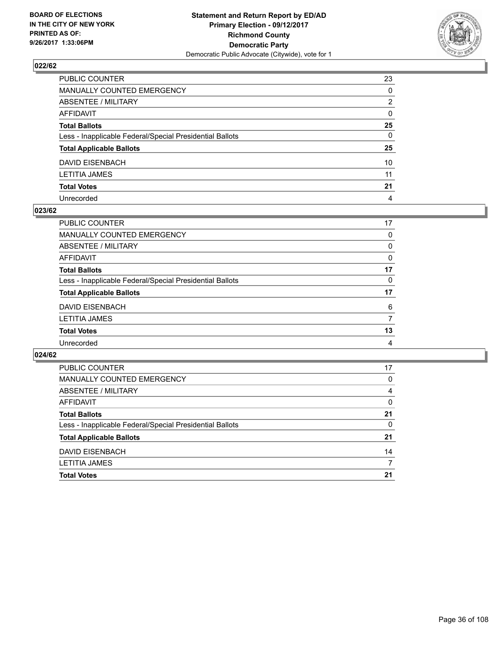

| PUBLIC COUNTER                                           | 23           |
|----------------------------------------------------------|--------------|
| MANUALLY COUNTED EMERGENCY                               | 0            |
| ABSENTEE / MILITARY                                      | 2            |
| AFFIDAVIT                                                | $\mathbf{0}$ |
| Total Ballots                                            | 25           |
| Less - Inapplicable Federal/Special Presidential Ballots | $\mathbf{0}$ |
| <b>Total Applicable Ballots</b>                          | 25           |
| DAVID EISENBACH                                          | 10           |
| LETITIA JAMES                                            | 11           |
| <b>Total Votes</b>                                       | 21           |
| Unrecorded                                               | 4            |

#### **023/62**

| <b>PUBLIC COUNTER</b>                                    | 17 |
|----------------------------------------------------------|----|
| <b>MANUALLY COUNTED EMERGENCY</b>                        | 0  |
| ABSENTEE / MILITARY                                      | 0  |
| AFFIDAVIT                                                | 0  |
| <b>Total Ballots</b>                                     | 17 |
| Less - Inapplicable Federal/Special Presidential Ballots | 0  |
| <b>Total Applicable Ballots</b>                          | 17 |
| DAVID EISENBACH                                          | 6  |
| <b>LETITIA JAMES</b>                                     | 7  |
| <b>Total Votes</b>                                       | 13 |
| Unrecorded                                               | 4  |

| PUBLIC COUNTER                                           | 17 |
|----------------------------------------------------------|----|
| <b>MANUALLY COUNTED EMERGENCY</b>                        | 0  |
| ABSENTEE / MILITARY                                      | 4  |
| AFFIDAVIT                                                | 0  |
| <b>Total Ballots</b>                                     | 21 |
| Less - Inapplicable Federal/Special Presidential Ballots | 0  |
| <b>Total Applicable Ballots</b>                          | 21 |
| <b>DAVID EISENBACH</b>                                   | 14 |
| <b>LETITIA JAMES</b>                                     |    |
| <b>Total Votes</b>                                       | 21 |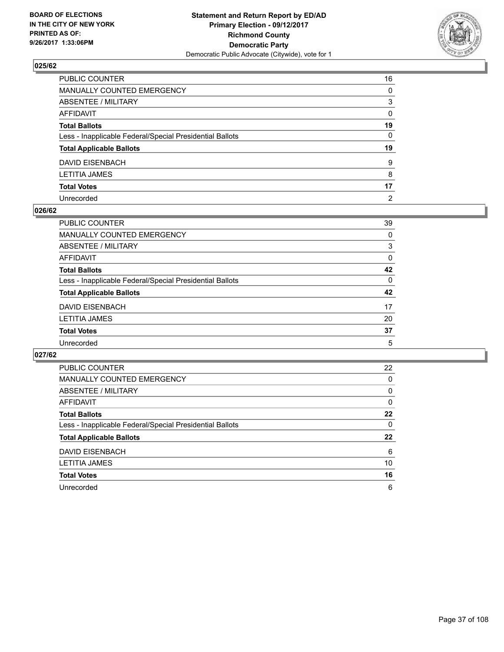

| PUBLIC COUNTER                                           | 16             |
|----------------------------------------------------------|----------------|
| MANUALLY COUNTED EMERGENCY                               | 0              |
| ABSENTEE / MILITARY                                      | 3              |
| AFFIDAVIT                                                | $\mathbf{0}$   |
| Total Ballots                                            | 19             |
| Less - Inapplicable Federal/Special Presidential Ballots | $\mathbf{0}$   |
| <b>Total Applicable Ballots</b>                          | 19             |
| DAVID EISENBACH                                          | 9              |
| LETITIA JAMES                                            | 8              |
| <b>Total Votes</b>                                       | 17             |
| Unrecorded                                               | $\overline{2}$ |

#### **026/62**

| <b>PUBLIC COUNTER</b>                                    | 39       |
|----------------------------------------------------------|----------|
| <b>MANUALLY COUNTED EMERGENCY</b>                        | 0        |
| ABSENTEE / MILITARY                                      | 3        |
| AFFIDAVIT                                                | 0        |
| <b>Total Ballots</b>                                     | 42       |
| Less - Inapplicable Federal/Special Presidential Ballots | $\Omega$ |
| <b>Total Applicable Ballots</b>                          | 42       |
| DAVID EISENBACH                                          | 17       |
| <b>LETITIA JAMES</b>                                     | 20       |
| <b>Total Votes</b>                                       | 37       |
| Unrecorded                                               | 5        |

| <b>PUBLIC COUNTER</b>                                    | 22 |
|----------------------------------------------------------|----|
| <b>MANUALLY COUNTED EMERGENCY</b>                        | 0  |
| ABSENTEE / MILITARY                                      | 0  |
| AFFIDAVIT                                                | 0  |
| <b>Total Ballots</b>                                     | 22 |
| Less - Inapplicable Federal/Special Presidential Ballots | 0  |
| <b>Total Applicable Ballots</b>                          | 22 |
|                                                          |    |
| DAVID EISENBACH                                          | 6  |
| <b>LETITIA JAMES</b>                                     | 10 |
| <b>Total Votes</b>                                       | 16 |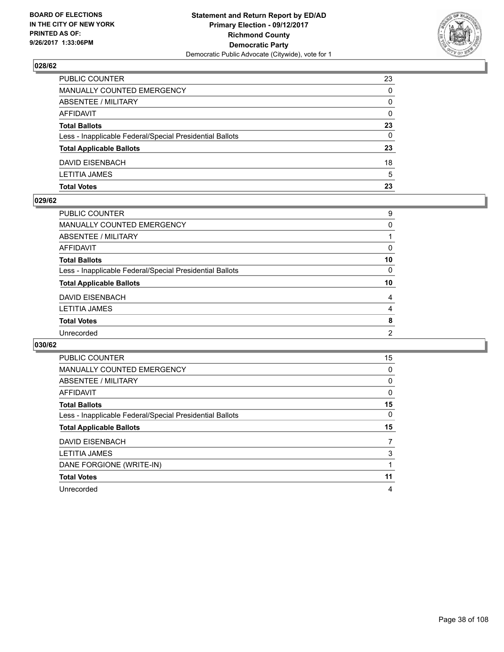

| <b>Total Votes</b>                                       | 23           |
|----------------------------------------------------------|--------------|
| <b>LETITIA JAMES</b>                                     | 5            |
| DAVID EISENBACH                                          | 18           |
| <b>Total Applicable Ballots</b>                          | 23           |
| Less - Inapplicable Federal/Special Presidential Ballots | 0            |
| <b>Total Ballots</b>                                     | 23           |
| AFFIDAVIT                                                | $\Omega$     |
| <b>ABSENTEE / MILITARY</b>                               | $\mathbf{0}$ |
| MANUALLY COUNTED EMERGENCY                               | $\Omega$     |
| PUBLIC COUNTER                                           | 23           |

### **029/62**

| PUBLIC COUNTER                                           | 9              |
|----------------------------------------------------------|----------------|
| MANUALLY COUNTED EMERGENCY                               | 0              |
| ABSENTEE / MILITARY                                      |                |
| AFFIDAVIT                                                | 0              |
| <b>Total Ballots</b>                                     | 10             |
| Less - Inapplicable Federal/Special Presidential Ballots | $\mathbf{0}$   |
| <b>Total Applicable Ballots</b>                          | 10             |
| DAVID EISENBACH                                          | 4              |
| LETITIA JAMES                                            | $\overline{4}$ |
| <b>Total Votes</b>                                       | 8              |
| Unrecorded                                               | 2              |
|                                                          |                |

| <b>PUBLIC COUNTER</b>                                    | 15       |
|----------------------------------------------------------|----------|
| <b>MANUALLY COUNTED EMERGENCY</b>                        | 0        |
| ABSENTEE / MILITARY                                      | 0        |
| AFFIDAVIT                                                | $\Omega$ |
| <b>Total Ballots</b>                                     | 15       |
| Less - Inapplicable Federal/Special Presidential Ballots | 0        |
| <b>Total Applicable Ballots</b>                          | 15       |
| <b>DAVID EISENBACH</b>                                   | 7        |
| <b>LETITIA JAMES</b>                                     | 3        |
| DANE FORGIONE (WRITE-IN)                                 |          |
|                                                          |          |
| <b>Total Votes</b>                                       | 11       |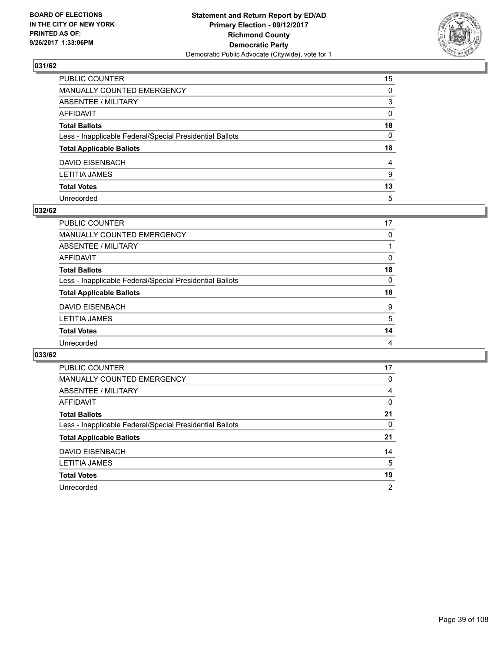

| PUBLIC COUNTER                                           | 15           |
|----------------------------------------------------------|--------------|
| MANUALLY COUNTED EMERGENCY                               | $\Omega$     |
| ABSENTEE / MILITARY                                      | 3            |
| AFFIDAVIT                                                | 0            |
| Total Ballots                                            | 18           |
| Less - Inapplicable Federal/Special Presidential Ballots | $\mathbf{0}$ |
| <b>Total Applicable Ballots</b>                          | 18           |
| DAVID EISENBACH                                          | 4            |
| LETITIA JAMES                                            | 9            |
| <b>Total Votes</b>                                       | 13           |
| Unrecorded                                               | 5            |

#### **032/62**

| <b>PUBLIC COUNTER</b>                                    | 17 |
|----------------------------------------------------------|----|
| MANUALLY COUNTED EMERGENCY                               | 0  |
| ABSENTEE / MILITARY                                      |    |
| AFFIDAVIT                                                | 0  |
| <b>Total Ballots</b>                                     | 18 |
| Less - Inapplicable Federal/Special Presidential Ballots | 0  |
| <b>Total Applicable Ballots</b>                          | 18 |
| DAVID EISENBACH                                          | 9  |
| <b>LETITIA JAMES</b>                                     | 5  |
| <b>Total Votes</b>                                       | 14 |
| Unrecorded                                               | 4  |
|                                                          |    |

| <b>PUBLIC COUNTER</b>                                    | 17             |
|----------------------------------------------------------|----------------|
| <b>MANUALLY COUNTED EMERGENCY</b>                        | 0              |
| ABSENTEE / MILITARY                                      | 4              |
| AFFIDAVIT                                                | 0              |
| <b>Total Ballots</b>                                     | 21             |
| Less - Inapplicable Federal/Special Presidential Ballots | 0              |
| <b>Total Applicable Ballots</b>                          | 21             |
| <b>DAVID EISENBACH</b>                                   | 14             |
| <b>LETITIA JAMES</b>                                     | 5              |
| <b>Total Votes</b>                                       | 19             |
| Unrecorded                                               | $\overline{2}$ |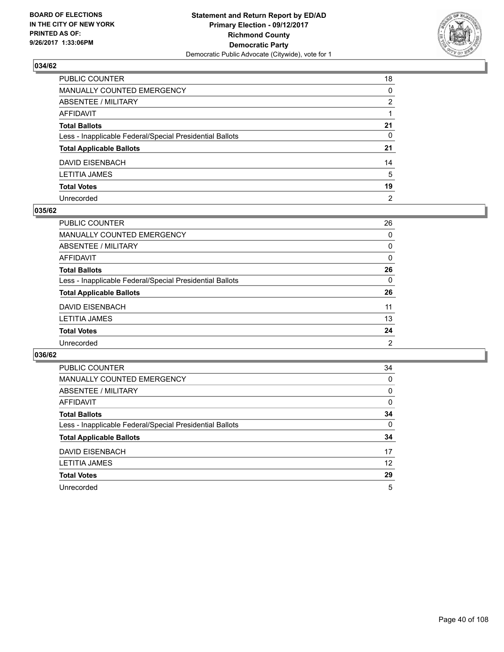

| PUBLIC COUNTER                                           | 18             |
|----------------------------------------------------------|----------------|
| MANUALLY COUNTED EMERGENCY                               | 0              |
| ABSENTEE / MILITARY                                      | 2              |
| AFFIDAVIT                                                |                |
| Total Ballots                                            | 21             |
| Less - Inapplicable Federal/Special Presidential Ballots | 0              |
| <b>Total Applicable Ballots</b>                          | 21             |
| DAVID EISENBACH                                          | 14             |
| LETITIA JAMES                                            | 5              |
| <b>Total Votes</b>                                       | 19             |
| Unrecorded                                               | $\overline{2}$ |

#### **035/62**

| <b>PUBLIC COUNTER</b>                                    | 26             |
|----------------------------------------------------------|----------------|
| <b>MANUALLY COUNTED EMERGENCY</b>                        | $\Omega$       |
| ABSENTEE / MILITARY                                      | 0              |
| AFFIDAVIT                                                | 0              |
| <b>Total Ballots</b>                                     | 26             |
| Less - Inapplicable Federal/Special Presidential Ballots | $\Omega$       |
| <b>Total Applicable Ballots</b>                          | 26             |
| <b>DAVID EISENBACH</b>                                   | 11             |
| <b>LETITIA JAMES</b>                                     | 13             |
| <b>Total Votes</b>                                       | 24             |
| Unrecorded                                               | $\overline{2}$ |

| <b>PUBLIC COUNTER</b>                                    | 34 |
|----------------------------------------------------------|----|
| MANUALLY COUNTED EMERGENCY                               | 0  |
| ABSENTEE / MILITARY                                      | 0  |
| AFFIDAVIT                                                | 0  |
| <b>Total Ballots</b>                                     | 34 |
| Less - Inapplicable Federal/Special Presidential Ballots | 0  |
| <b>Total Applicable Ballots</b>                          | 34 |
| DAVID EISENBACH                                          | 17 |
| LETITIA JAMES                                            | 12 |
| <b>Total Votes</b>                                       | 29 |
| Unrecorded                                               | 5  |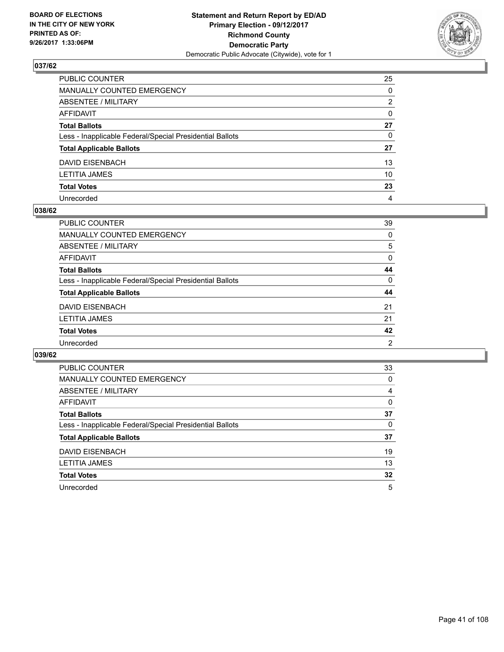

| PUBLIC COUNTER                                           | 25           |
|----------------------------------------------------------|--------------|
| MANUALLY COUNTED EMERGENCY                               | 0            |
| ABSENTEE / MILITARY                                      | 2            |
| AFFIDAVIT                                                | $\mathbf{0}$ |
| Total Ballots                                            | 27           |
| Less - Inapplicable Federal/Special Presidential Ballots | 0            |
| <b>Total Applicable Ballots</b>                          | 27           |
| DAVID EISENBACH                                          | 13           |
| LETITIA JAMES                                            | 10           |
| <b>Total Votes</b>                                       | 23           |
| Unrecorded                                               | 4            |

## **038/62**

| <b>PUBLIC COUNTER</b>                                    | 39       |
|----------------------------------------------------------|----------|
| <b>MANUALLY COUNTED EMERGENCY</b>                        | 0        |
| ABSENTEE / MILITARY                                      | 5        |
| AFFIDAVIT                                                | $\Omega$ |
| <b>Total Ballots</b>                                     | 44       |
| Less - Inapplicable Federal/Special Presidential Ballots | $\Omega$ |
| <b>Total Applicable Ballots</b>                          | 44       |
| DAVID EISENBACH                                          | 21       |
| <b>LETITIA JAMES</b>                                     | 21       |
| <b>Total Votes</b>                                       | 42       |
| Unrecorded                                               | 2        |

| <b>PUBLIC COUNTER</b>                                    | 33 |
|----------------------------------------------------------|----|
| <b>MANUALLY COUNTED EMERGENCY</b>                        | 0  |
| ABSENTEE / MILITARY                                      | 4  |
| AFFIDAVIT                                                | 0  |
| <b>Total Ballots</b>                                     | 37 |
| Less - Inapplicable Federal/Special Presidential Ballots | 0  |
| <b>Total Applicable Ballots</b>                          | 37 |
| DAVID EISENBACH                                          | 19 |
| <b>LETITIA JAMES</b>                                     | 13 |
| <b>Total Votes</b>                                       | 32 |
| Unrecorded                                               | 5  |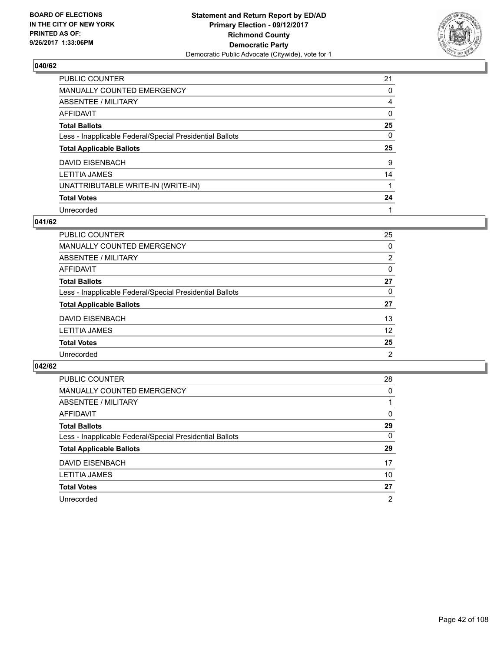

| <b>PUBLIC COUNTER</b>                                    | 21 |
|----------------------------------------------------------|----|
| <b>MANUALLY COUNTED EMERGENCY</b>                        | 0  |
| ABSENTEE / MILITARY                                      | 4  |
| AFFIDAVIT                                                | 0  |
| <b>Total Ballots</b>                                     | 25 |
| Less - Inapplicable Federal/Special Presidential Ballots | 0  |
| <b>Total Applicable Ballots</b>                          | 25 |
| DAVID EISENBACH                                          | 9  |
| <b>LETITIA JAMES</b>                                     | 14 |
|                                                          |    |
| UNATTRIBUTABLE WRITE-IN (WRITE-IN)                       |    |
| <b>Total Votes</b>                                       | 24 |

### **041/62**

| PUBLIC COUNTER                                           | 25             |
|----------------------------------------------------------|----------------|
| MANUALLY COUNTED EMERGENCY                               | 0              |
| ABSENTEE / MILITARY                                      | $\overline{2}$ |
| AFFIDAVIT                                                | $\Omega$       |
| <b>Total Ballots</b>                                     | 27             |
| Less - Inapplicable Federal/Special Presidential Ballots | 0              |
| <b>Total Applicable Ballots</b>                          | 27             |
| DAVID EISENBACH                                          | 13             |
| <b>LETITIA JAMES</b>                                     | 12             |
| <b>Total Votes</b>                                       | 25             |
| Unrecorded                                               | 2              |

| PUBLIC COUNTER                                           | 28 |
|----------------------------------------------------------|----|
| MANUALLY COUNTED EMERGENCY                               | 0  |
| ABSENTEE / MILITARY                                      |    |
| AFFIDAVIT                                                | 0  |
| <b>Total Ballots</b>                                     | 29 |
| Less - Inapplicable Federal/Special Presidential Ballots | 0  |
| <b>Total Applicable Ballots</b>                          | 29 |
| DAVID EISENBACH                                          | 17 |
| <b>LETITIA JAMES</b>                                     | 10 |
| <b>Total Votes</b>                                       | 27 |
| Unrecorded                                               | 2  |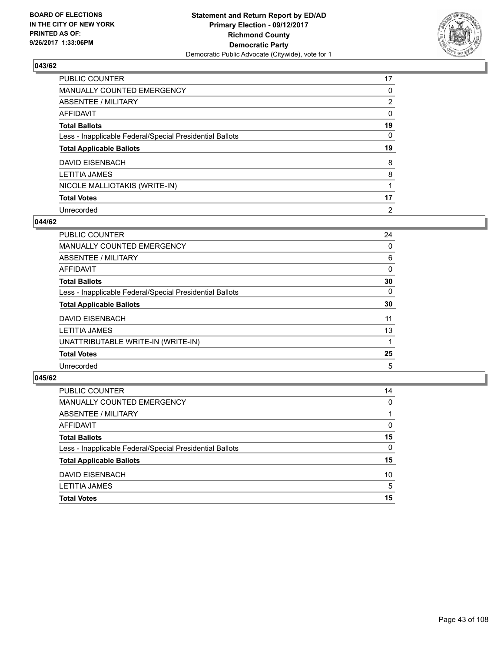

| <b>PUBLIC COUNTER</b>                                    | 17             |
|----------------------------------------------------------|----------------|
| MANUALLY COUNTED EMERGENCY                               | 0              |
| ABSENTEE / MILITARY                                      | $\overline{2}$ |
| <b>AFFIDAVIT</b>                                         | 0              |
| <b>Total Ballots</b>                                     | 19             |
| Less - Inapplicable Federal/Special Presidential Ballots | 0              |
| <b>Total Applicable Ballots</b>                          | 19             |
| DAVID EISENBACH                                          | 8              |
| <b>LETITIA JAMES</b>                                     | 8              |
| NICOLE MALLIOTAKIS (WRITE-IN)                            |                |
| <b>Total Votes</b>                                       | 17             |
| Unrecorded                                               | $\overline{2}$ |

#### **044/62**

| PUBLIC COUNTER                                           | 24 |
|----------------------------------------------------------|----|
| MANUALLY COUNTED EMERGENCY                               | 0  |
| ABSENTEE / MILITARY                                      | 6  |
| <b>AFFIDAVIT</b>                                         | 0  |
| <b>Total Ballots</b>                                     | 30 |
| Less - Inapplicable Federal/Special Presidential Ballots | 0  |
| <b>Total Applicable Ballots</b>                          | 30 |
| DAVID EISENBACH                                          | 11 |
| LETITIA JAMES                                            | 13 |
| UNATTRIBUTABLE WRITE-IN (WRITE-IN)                       |    |
| <b>Total Votes</b>                                       | 25 |
| Unrecorded                                               | 5  |

| <b>PUBLIC COUNTER</b>                                    | 14       |
|----------------------------------------------------------|----------|
| MANUALLY COUNTED EMERGENCY                               | $\Omega$ |
| <b>ABSENTEE / MILITARY</b>                               |          |
| AFFIDAVIT                                                | 0        |
| <b>Total Ballots</b>                                     | 15       |
| Less - Inapplicable Federal/Special Presidential Ballots | 0        |
| <b>Total Applicable Ballots</b>                          | 15       |
| DAVID EISENBACH                                          | 10       |
| <b>LETITIA JAMES</b>                                     | 5        |
| <b>Total Votes</b>                                       | 15       |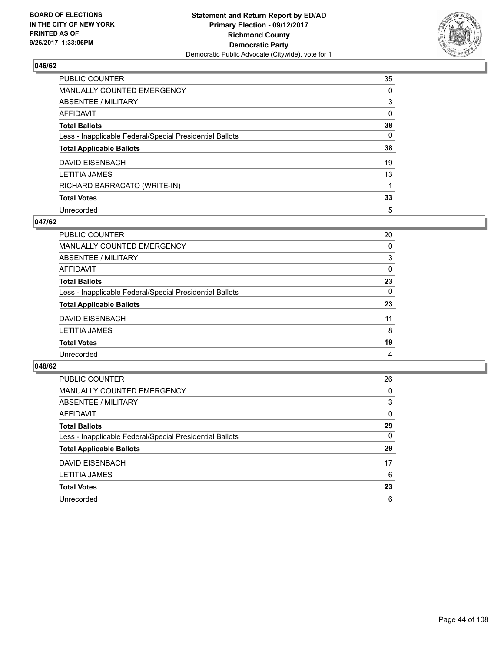

| <b>PUBLIC COUNTER</b>                                    | 35 |
|----------------------------------------------------------|----|
| MANUALLY COUNTED EMERGENCY                               | 0  |
| ABSENTEE / MILITARY                                      | 3  |
| <b>AFFIDAVIT</b>                                         | 0  |
| <b>Total Ballots</b>                                     | 38 |
| Less - Inapplicable Federal/Special Presidential Ballots | 0  |
| <b>Total Applicable Ballots</b>                          | 38 |
| DAVID EISENBACH                                          | 19 |
| <b>LETITIA JAMES</b>                                     | 13 |
| RICHARD BARRACATO (WRITE-IN)                             |    |
| <b>Total Votes</b>                                       | 33 |
| Unrecorded                                               | 5  |

### **047/62**

| PUBLIC COUNTER                                           | 20       |
|----------------------------------------------------------|----------|
| MANUALLY COUNTED EMERGENCY                               | 0        |
| ABSENTEE / MILITARY                                      | 3        |
| AFFIDAVIT                                                | $\Omega$ |
| <b>Total Ballots</b>                                     | 23       |
| Less - Inapplicable Federal/Special Presidential Ballots | 0        |
| <b>Total Applicable Ballots</b>                          | 23       |
| DAVID EISENBACH                                          | 11       |
| <b>LETITIA JAMES</b>                                     | 8        |
| <b>Total Votes</b>                                       | 19       |
| Unrecorded                                               | 4        |

| <b>PUBLIC COUNTER</b>                                    | 26 |
|----------------------------------------------------------|----|
| <b>MANUALLY COUNTED EMERGENCY</b>                        | 0  |
| ABSENTEE / MILITARY                                      | 3  |
| AFFIDAVIT                                                | 0  |
| <b>Total Ballots</b>                                     | 29 |
| Less - Inapplicable Federal/Special Presidential Ballots | 0  |
| <b>Total Applicable Ballots</b>                          | 29 |
| <b>DAVID EISENBACH</b>                                   | 17 |
| <b>LETITIA JAMES</b>                                     | 6  |
| <b>Total Votes</b>                                       | 23 |
| Unrecorded                                               | 6  |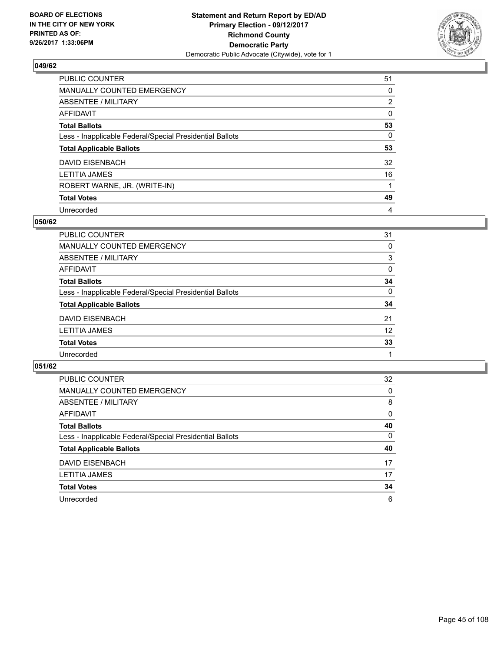

| PUBLIC COUNTER                                           | 51             |
|----------------------------------------------------------|----------------|
| MANUALLY COUNTED EMERGENCY                               | 0              |
| ABSENTEE / MILITARY                                      | $\overline{2}$ |
| <b>AFFIDAVIT</b>                                         | 0              |
| <b>Total Ballots</b>                                     | 53             |
| Less - Inapplicable Federal/Special Presidential Ballots | 0              |
| <b>Total Applicable Ballots</b>                          | 53             |
| DAVID EISENBACH                                          | 32             |
| <b>LETITIA JAMES</b>                                     | 16             |
| ROBERT WARNE, JR. (WRITE-IN)                             |                |
| <b>Total Votes</b>                                       | 49             |
| Unrecorded                                               | 4              |

#### **050/62**

| PUBLIC COUNTER                                           | 31 |
|----------------------------------------------------------|----|
| MANUALLY COUNTED EMERGENCY                               | 0  |
| ABSENTEE / MILITARY                                      | 3  |
| AFFIDAVIT                                                | 0  |
| <b>Total Ballots</b>                                     | 34 |
| Less - Inapplicable Federal/Special Presidential Ballots | 0  |
| <b>Total Applicable Ballots</b>                          | 34 |
| DAVID EISENBACH                                          | 21 |
| <b>LETITIA JAMES</b>                                     | 12 |
| <b>Total Votes</b>                                       | 33 |
| Unrecorded                                               |    |

| PUBLIC COUNTER                                           | 32 |
|----------------------------------------------------------|----|
| MANUALLY COUNTED EMERGENCY                               | 0  |
| ABSENTEE / MILITARY                                      | 8  |
| AFFIDAVIT                                                | 0  |
| <b>Total Ballots</b>                                     | 40 |
| Less - Inapplicable Federal/Special Presidential Ballots | 0  |
| <b>Total Applicable Ballots</b>                          | 40 |
| DAVID EISENBACH                                          | 17 |
| <b>LETITIA JAMES</b>                                     | 17 |
| <b>Total Votes</b>                                       | 34 |
| Unrecorded                                               | 6  |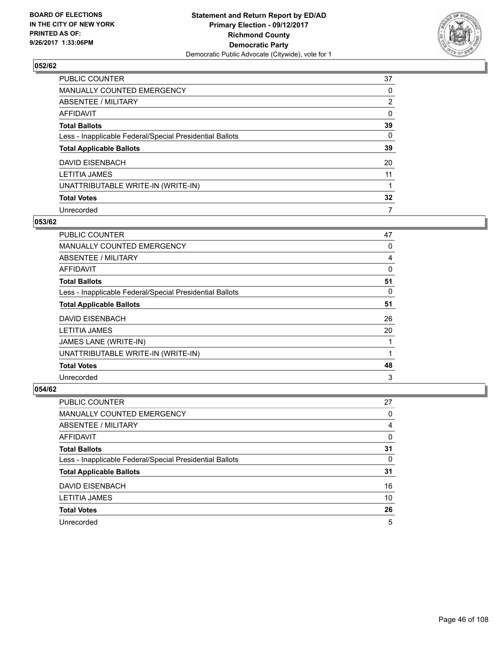

| PUBLIC COUNTER                                           | 37             |
|----------------------------------------------------------|----------------|
| MANUALLY COUNTED EMERGENCY                               | 0              |
| ABSENTEE / MILITARY                                      | $\overline{2}$ |
| <b>AFFIDAVIT</b>                                         | 0              |
| <b>Total Ballots</b>                                     | 39             |
| Less - Inapplicable Federal/Special Presidential Ballots | 0              |
| <b>Total Applicable Ballots</b>                          | 39             |
| <b>DAVID EISENBACH</b>                                   | 20             |
| <b>LETITIA JAMES</b>                                     | 11             |
| UNATTRIBUTABLE WRITE-IN (WRITE-IN)                       |                |
| <b>Total Votes</b>                                       | 32             |
| Unrecorded                                               | 7              |

### **053/62**

| <b>PUBLIC COUNTER</b>                                    | 47 |
|----------------------------------------------------------|----|
| MANUALLY COUNTED EMERGENCY                               | 0  |
| ABSENTEE / MILITARY                                      | 4  |
| AFFIDAVIT                                                | 0  |
| <b>Total Ballots</b>                                     | 51 |
| Less - Inapplicable Federal/Special Presidential Ballots | 0  |
| <b>Total Applicable Ballots</b>                          | 51 |
| <b>DAVID EISENBACH</b>                                   | 26 |
| <b>LETITIA JAMES</b>                                     | 20 |
| JAMES LANE (WRITE-IN)                                    |    |
| UNATTRIBUTABLE WRITE-IN (WRITE-IN)                       |    |
| <b>Total Votes</b>                                       | 48 |
| Unrecorded                                               | 3  |

| PUBLIC COUNTER                                           | 27 |
|----------------------------------------------------------|----|
| MANUALLY COUNTED EMERGENCY                               | 0  |
| ABSENTEE / MILITARY                                      | 4  |
| AFFIDAVIT                                                | 0  |
| <b>Total Ballots</b>                                     | 31 |
| Less - Inapplicable Federal/Special Presidential Ballots | 0  |
| <b>Total Applicable Ballots</b>                          | 31 |
| DAVID EISENBACH                                          | 16 |
| <b>LETITIA JAMES</b>                                     | 10 |
| <b>Total Votes</b>                                       | 26 |
| Unrecorded                                               | 5  |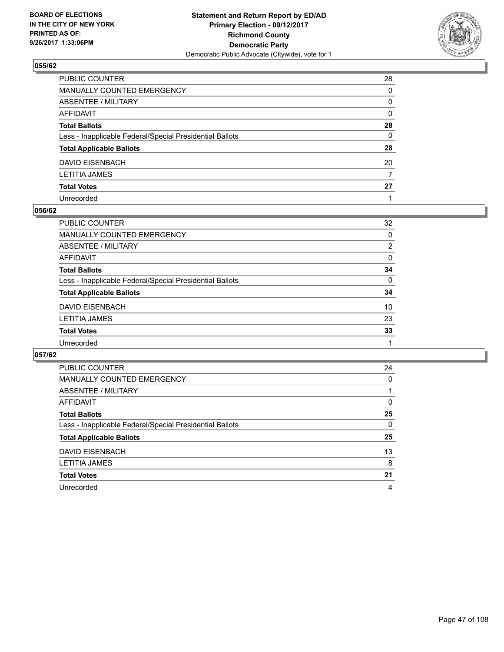

| PUBLIC COUNTER                                           | 28           |
|----------------------------------------------------------|--------------|
| MANUALLY COUNTED EMERGENCY                               | 0            |
| ABSENTEE / MILITARY                                      | 0            |
| AFFIDAVIT                                                | $\mathbf{0}$ |
| Total Ballots                                            | 28           |
| Less - Inapplicable Federal/Special Presidential Ballots | $\mathbf{0}$ |
| <b>Total Applicable Ballots</b>                          | 28           |
| DAVID EISENBACH                                          | 20           |
| LETITIA JAMES                                            | 7            |
| Total Votes                                              | 27           |
| Unrecorded                                               |              |

#### **056/62**

| <b>PUBLIC COUNTER</b>                                    | 32             |
|----------------------------------------------------------|----------------|
| <b>MANUALLY COUNTED EMERGENCY</b>                        | $\Omega$       |
| ABSENTEE / MILITARY                                      | $\overline{2}$ |
| AFFIDAVIT                                                | 0              |
| <b>Total Ballots</b>                                     | 34             |
| Less - Inapplicable Federal/Special Presidential Ballots | $\Omega$       |
| <b>Total Applicable Ballots</b>                          | 34             |
| DAVID EISENBACH                                          | 10             |
| <b>LETITIA JAMES</b>                                     | 23             |
| <b>Total Votes</b>                                       | 33             |
| Unrecorded                                               |                |

| <b>PUBLIC COUNTER</b>                                    | 24 |
|----------------------------------------------------------|----|
| MANUALLY COUNTED EMERGENCY                               | 0  |
| ABSENTEE / MILITARY                                      |    |
| AFFIDAVIT                                                | 0  |
| <b>Total Ballots</b>                                     | 25 |
| Less - Inapplicable Federal/Special Presidential Ballots | 0  |
| <b>Total Applicable Ballots</b>                          | 25 |
| DAVID EISENBACH                                          | 13 |
| LETITIA JAMES                                            | 8  |
| <b>Total Votes</b>                                       | 21 |
| Unrecorded                                               | 4  |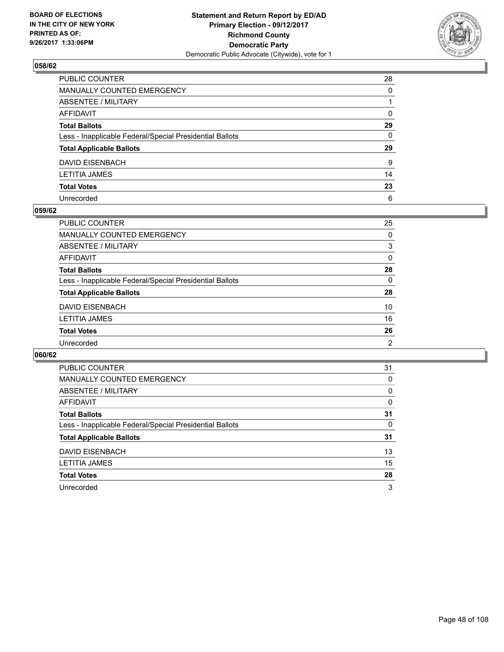

| PUBLIC COUNTER                                           | 28           |
|----------------------------------------------------------|--------------|
| MANUALLY COUNTED EMERGENCY                               | 0            |
| ABSENTEE / MILITARY                                      |              |
| AFFIDAVIT                                                | $\mathbf{0}$ |
| Total Ballots                                            | 29           |
| Less - Inapplicable Federal/Special Presidential Ballots | 0            |
| <b>Total Applicable Ballots</b>                          | 29           |
| DAVID EISENBACH                                          | 9            |
| LETITIA JAMES                                            | 14           |
| <b>Total Votes</b>                                       | 23           |
| Unrecorded                                               | 6            |

#### **059/62**

| <b>PUBLIC COUNTER</b>                                    | 25       |
|----------------------------------------------------------|----------|
| <b>MANUALLY COUNTED EMERGENCY</b>                        | 0        |
| ABSENTEE / MILITARY                                      | 3        |
| AFFIDAVIT                                                | 0        |
| <b>Total Ballots</b>                                     | 28       |
| Less - Inapplicable Federal/Special Presidential Ballots | $\Omega$ |
| <b>Total Applicable Ballots</b>                          | 28       |
| DAVID EISENBACH                                          | 10       |
| <b>LETITIA JAMES</b>                                     | 16       |
| <b>Total Votes</b>                                       | 26       |
| Unrecorded                                               | 2        |

| <b>PUBLIC COUNTER</b>                                    | 31 |
|----------------------------------------------------------|----|
| <b>MANUALLY COUNTED EMERGENCY</b>                        | 0  |
| ABSENTEE / MILITARY                                      | 0  |
| <b>AFFIDAVIT</b>                                         | 0  |
| <b>Total Ballots</b>                                     | 31 |
| Less - Inapplicable Federal/Special Presidential Ballots | 0  |
| <b>Total Applicable Ballots</b>                          | 31 |
| <b>DAVID EISENBACH</b>                                   | 13 |
| LETITIA JAMES                                            | 15 |
| <b>Total Votes</b>                                       | 28 |
| Unrecorded                                               | 3  |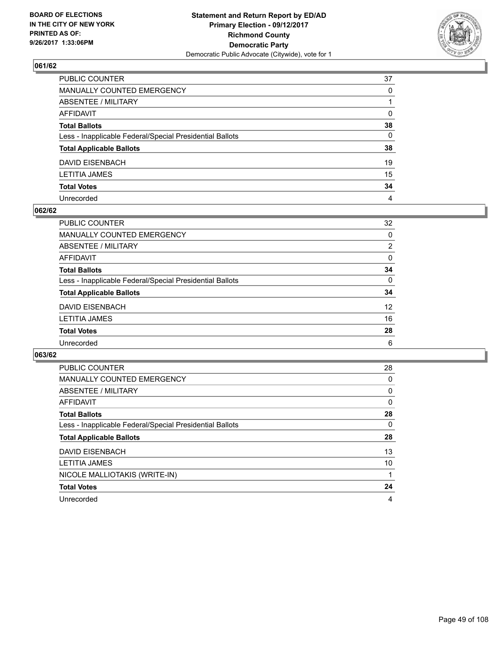

| PUBLIC COUNTER                                           | 37           |
|----------------------------------------------------------|--------------|
| MANUALLY COUNTED EMERGENCY                               | $\Omega$     |
| ABSENTEE / MILITARY                                      |              |
| AFFIDAVIT                                                | $\Omega$     |
| Total Ballots                                            | 38           |
| Less - Inapplicable Federal/Special Presidential Ballots | $\mathbf{0}$ |
| <b>Total Applicable Ballots</b>                          | 38           |
| DAVID EISENBACH                                          | 19           |
| LETITIA JAMES                                            | 15           |
| <b>Total Votes</b>                                       | 34           |
| Unrecorded                                               | 4            |

#### **062/62**

| <b>PUBLIC COUNTER</b>                                    | 32              |
|----------------------------------------------------------|-----------------|
| <b>MANUALLY COUNTED EMERGENCY</b>                        | $\Omega$        |
| ABSENTEE / MILITARY                                      | $\overline{2}$  |
| AFFIDAVIT                                                | 0               |
| <b>Total Ballots</b>                                     | 34              |
| Less - Inapplicable Federal/Special Presidential Ballots | $\Omega$        |
| <b>Total Applicable Ballots</b>                          | 34              |
| DAVID EISENBACH                                          | 12 <sup>2</sup> |
| <b>LETITIA JAMES</b>                                     | 16              |
| <b>Total Votes</b>                                       | 28              |
| Unrecorded                                               | 6               |

| <b>PUBLIC COUNTER</b>                                    | 28 |
|----------------------------------------------------------|----|
| <b>MANUALLY COUNTED EMERGENCY</b>                        | 0  |
| ABSENTEE / MILITARY                                      | 0  |
| AFFIDAVIT                                                | 0  |
| <b>Total Ballots</b>                                     | 28 |
| Less - Inapplicable Federal/Special Presidential Ballots | 0  |
| <b>Total Applicable Ballots</b>                          | 28 |
| <b>DAVID EISENBACH</b>                                   | 13 |
| <b>LETITIA JAMES</b>                                     | 10 |
| NICOLE MALLIOTAKIS (WRITE-IN)                            |    |
| <b>Total Votes</b>                                       | 24 |
| Unrecorded                                               | 4  |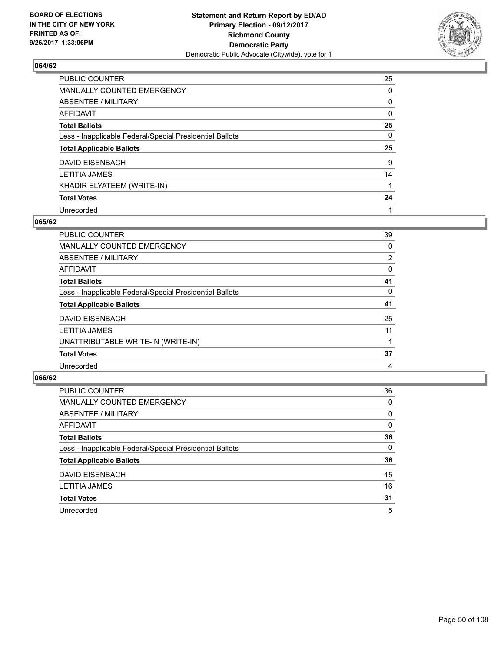

| PUBLIC COUNTER                                           | 25 |
|----------------------------------------------------------|----|
| MANUALLY COUNTED EMERGENCY                               | 0  |
| ABSENTEE / MILITARY                                      | 0  |
| <b>AFFIDAVIT</b>                                         | 0  |
| <b>Total Ballots</b>                                     | 25 |
| Less - Inapplicable Federal/Special Presidential Ballots | 0  |
| <b>Total Applicable Ballots</b>                          | 25 |
| DAVID EISENBACH                                          | 9  |
| <b>LETITIA JAMES</b>                                     | 14 |
| KHADIR ELYATEEM (WRITE-IN)                               |    |
| <b>Total Votes</b>                                       | 24 |
| Unrecorded                                               |    |

#### **065/62**

| <b>PUBLIC COUNTER</b>                                    | 39 |
|----------------------------------------------------------|----|
| <b>MANUALLY COUNTED EMERGENCY</b>                        | 0  |
| ABSENTEE / MILITARY                                      | 2  |
| <b>AFFIDAVIT</b>                                         | 0  |
| <b>Total Ballots</b>                                     | 41 |
| Less - Inapplicable Federal/Special Presidential Ballots | 0  |
| <b>Total Applicable Ballots</b>                          | 41 |
| DAVID EISENBACH                                          | 25 |
| LETITIA JAMES                                            | 11 |
| UNATTRIBUTABLE WRITE-IN (WRITE-IN)                       |    |
| <b>Total Votes</b>                                       | 37 |
| Unrecorded                                               | 4  |

| <b>PUBLIC COUNTER</b>                                    | 36 |
|----------------------------------------------------------|----|
| <b>MANUALLY COUNTED EMERGENCY</b>                        | 0  |
| ABSENTEE / MILITARY                                      | 0  |
| AFFIDAVIT                                                | 0  |
| <b>Total Ballots</b>                                     | 36 |
| Less - Inapplicable Federal/Special Presidential Ballots | 0  |
| <b>Total Applicable Ballots</b>                          | 36 |
| <b>DAVID EISENBACH</b>                                   | 15 |
| <b>LETITIA JAMES</b>                                     | 16 |
| <b>Total Votes</b>                                       | 31 |
| Unrecorded                                               | 5  |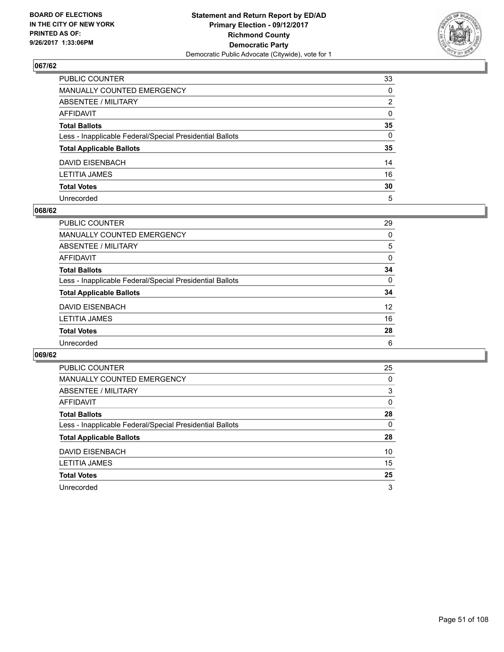

| PUBLIC COUNTER                                           | 33           |
|----------------------------------------------------------|--------------|
| MANUALLY COUNTED EMERGENCY                               | 0            |
| ABSENTEE / MILITARY                                      | 2            |
| AFFIDAVIT                                                | $\mathbf{0}$ |
| Total Ballots                                            | 35           |
| Less - Inapplicable Federal/Special Presidential Ballots | 0            |
| <b>Total Applicable Ballots</b>                          | 35           |
| DAVID EISENBACH                                          | 14           |
| LETITIA JAMES                                            | 16           |
| <b>Total Votes</b>                                       | 30           |
| Unrecorded                                               | 5            |

#### **068/62**

| PUBLIC COUNTER                                           | 29              |
|----------------------------------------------------------|-----------------|
| <b>MANUALLY COUNTED EMERGENCY</b>                        | 0               |
| ABSENTEE / MILITARY                                      | 5               |
| AFFIDAVIT                                                | 0               |
| <b>Total Ballots</b>                                     | 34              |
| Less - Inapplicable Federal/Special Presidential Ballots | $\Omega$        |
| <b>Total Applicable Ballots</b>                          | 34              |
| DAVID EISENBACH                                          | 12 <sup>2</sup> |
| <b>LETITIA JAMES</b>                                     | 16              |
| <b>Total Votes</b>                                       | 28              |
| Unrecorded                                               | 6               |

| <b>PUBLIC COUNTER</b>                                    | 25 |
|----------------------------------------------------------|----|
| <b>MANUALLY COUNTED EMERGENCY</b>                        | 0  |
| ABSENTEE / MILITARY                                      | 3  |
| <b>AFFIDAVIT</b>                                         | 0  |
| <b>Total Ballots</b>                                     | 28 |
| Less - Inapplicable Federal/Special Presidential Ballots | 0  |
| <b>Total Applicable Ballots</b>                          | 28 |
| <b>DAVID EISENBACH</b>                                   | 10 |
| <b>LETITIA JAMES</b>                                     | 15 |
| <b>Total Votes</b>                                       | 25 |
| Unrecorded                                               | 3  |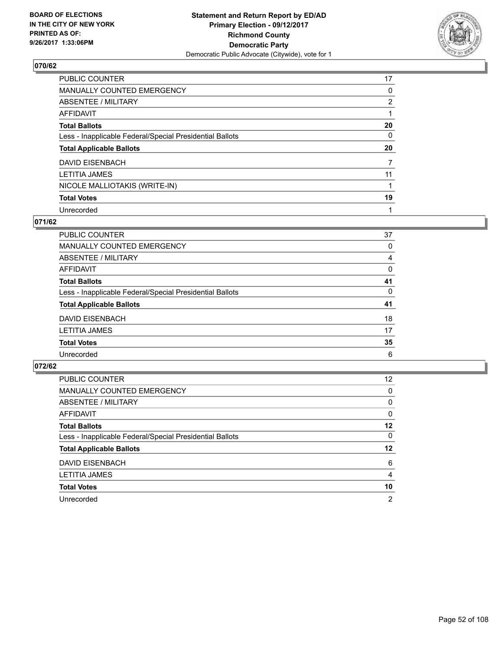

| PUBLIC COUNTER                                           | 17             |
|----------------------------------------------------------|----------------|
| MANUALLY COUNTED EMERGENCY                               | 0              |
| ABSENTEE / MILITARY                                      | $\overline{2}$ |
| AFFIDAVIT                                                |                |
| <b>Total Ballots</b>                                     | 20             |
| Less - Inapplicable Federal/Special Presidential Ballots | 0              |
| <b>Total Applicable Ballots</b>                          | 20             |
| DAVID EISENBACH                                          | 7              |
| <b>LETITIA JAMES</b>                                     | 11             |
| NICOLE MALLIOTAKIS (WRITE-IN)                            |                |
| <b>Total Votes</b>                                       | 19             |
| Unrecorded                                               |                |

### **071/62**

| PUBLIC COUNTER                                           | 37 |
|----------------------------------------------------------|----|
| MANUALLY COUNTED EMERGENCY                               | 0  |
| ABSENTEE / MILITARY                                      | 4  |
| AFFIDAVIT                                                | 0  |
| <b>Total Ballots</b>                                     | 41 |
| Less - Inapplicable Federal/Special Presidential Ballots | 0  |
| <b>Total Applicable Ballots</b>                          | 41 |
| DAVID EISENBACH                                          | 18 |
| <b>LETITIA JAMES</b>                                     | 17 |
| <b>Total Votes</b>                                       | 35 |
| Unrecorded                                               | 6  |
|                                                          |    |

| PUBLIC COUNTER                                           | 12 <sup>2</sup> |
|----------------------------------------------------------|-----------------|
| MANUALLY COUNTED EMERGENCY                               | 0               |
| ABSENTEE / MILITARY                                      | 0               |
| AFFIDAVIT                                                | 0               |
| <b>Total Ballots</b>                                     | 12              |
| Less - Inapplicable Federal/Special Presidential Ballots | 0               |
| <b>Total Applicable Ballots</b>                          | 12              |
| DAVID EISENBACH                                          | 6               |
| <b>LETITIA JAMES</b>                                     | 4               |
| <b>Total Votes</b>                                       | 10              |
| Unrecorded                                               | $\overline{2}$  |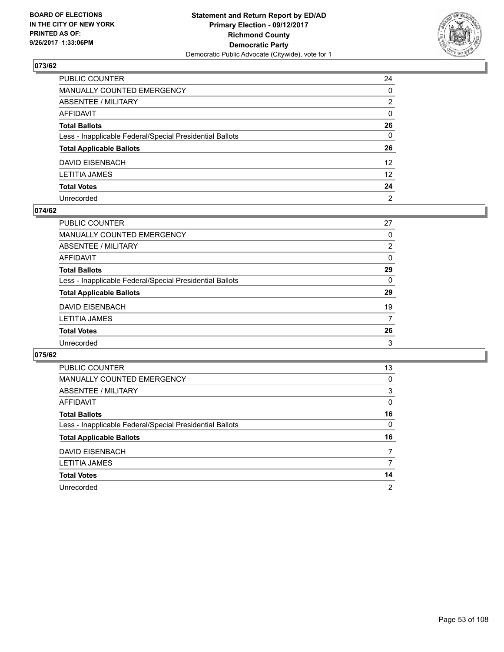

| PUBLIC COUNTER                                           | 24              |
|----------------------------------------------------------|-----------------|
| MANUALLY COUNTED EMERGENCY                               | $\mathbf{0}$    |
| ABSENTEE / MILITARY                                      | 2               |
| AFFIDAVIT                                                | $\mathbf{0}$    |
| <b>Total Ballots</b>                                     | 26              |
| Less - Inapplicable Federal/Special Presidential Ballots | $\mathbf{0}$    |
| <b>Total Applicable Ballots</b>                          | 26              |
| DAVID EISENBACH                                          | 12 <sup>2</sup> |
| LETITIA JAMES                                            | 12 <sup>2</sup> |
| <b>Total Votes</b>                                       | 24              |
| Unrecorded                                               | 2               |

## **074/62**

| 27             |
|----------------|
| $\Omega$       |
| $\overline{2}$ |
| 0              |
| 29             |
| $\Omega$       |
| 29             |
| 19             |
| 7              |
| 26             |
| 3              |
|                |

| <b>PUBLIC COUNTER</b>                                    | 13 |
|----------------------------------------------------------|----|
| <b>MANUALLY COUNTED EMERGENCY</b>                        | 0  |
| ABSENTEE / MILITARY                                      | 3  |
| <b>AFFIDAVIT</b>                                         | 0  |
| <b>Total Ballots</b>                                     | 16 |
| Less - Inapplicable Federal/Special Presidential Ballots | 0  |
| <b>Total Applicable Ballots</b>                          | 16 |
| <b>DAVID EISENBACH</b>                                   | 7  |
| LETITIA JAMES                                            |    |
| <b>Total Votes</b>                                       | 14 |
| Unrecorded                                               | 2  |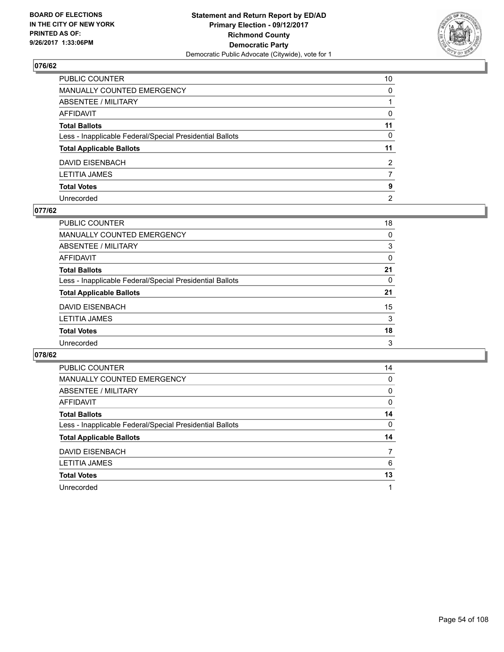

| PUBLIC COUNTER                                           | 10             |
|----------------------------------------------------------|----------------|
| MANUALLY COUNTED EMERGENCY                               | $\Omega$       |
| ABSENTEE / MILITARY                                      |                |
| AFFIDAVIT                                                | 0              |
| Total Ballots                                            | 11             |
| Less - Inapplicable Federal/Special Presidential Ballots | $\mathbf{0}$   |
| <b>Total Applicable Ballots</b>                          | 11             |
| DAVID EISENBACH                                          | 2              |
| LETITIA JAMES                                            | 7              |
| <b>Total Votes</b>                                       | 9              |
| Unrecorded                                               | $\overline{2}$ |

#### **077/62**

| PUBLIC COUNTER                                           | 18       |
|----------------------------------------------------------|----------|
| <b>MANUALLY COUNTED EMERGENCY</b>                        | 0        |
| ABSENTEE / MILITARY                                      | 3        |
| <b>AFFIDAVIT</b>                                         | $\Omega$ |
| <b>Total Ballots</b>                                     | 21       |
| Less - Inapplicable Federal/Special Presidential Ballots | 0        |
| <b>Total Applicable Ballots</b>                          | 21       |
| <b>DAVID EISENBACH</b>                                   | 15       |
| <b>LETITIA JAMES</b>                                     | 3        |
| <b>Total Votes</b>                                       | 18       |
| Unrecorded                                               | 3        |
|                                                          |          |

| <b>PUBLIC COUNTER</b>                                    | 14 |
|----------------------------------------------------------|----|
| MANUALLY COUNTED EMERGENCY                               | 0  |
| ABSENTEE / MILITARY                                      | 0  |
| AFFIDAVIT                                                | 0  |
| <b>Total Ballots</b>                                     | 14 |
| Less - Inapplicable Federal/Special Presidential Ballots | 0  |
| <b>Total Applicable Ballots</b>                          | 14 |
| DAVID EISENBACH                                          |    |
| <b>LETITIA JAMES</b>                                     | 6  |
|                                                          |    |
| <b>Total Votes</b>                                       | 13 |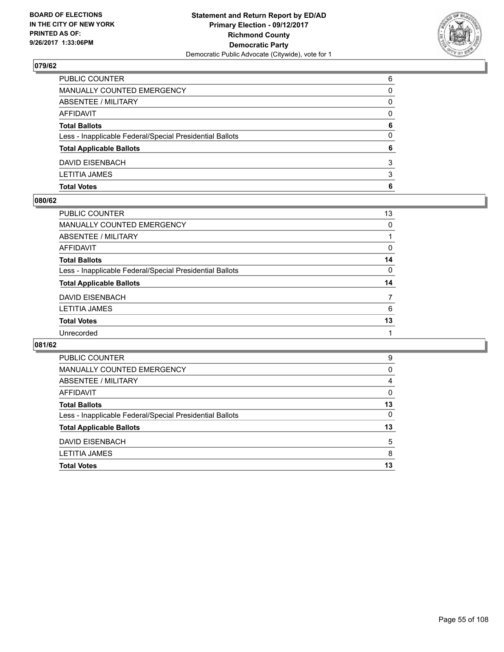

| <b>Total Votes</b>                                       | 6        |
|----------------------------------------------------------|----------|
| <b>LETITIA JAMES</b>                                     | 3        |
| DAVID EISENBACH                                          | 3        |
| <b>Total Applicable Ballots</b>                          | 6        |
| Less - Inapplicable Federal/Special Presidential Ballots | 0        |
| <b>Total Ballots</b>                                     | 6        |
| <b>AFFIDAVIT</b>                                         | $\Omega$ |
| <b>ABSENTEE / MILITARY</b>                               | 0        |
| <b>MANUALLY COUNTED EMERGENCY</b>                        | 0        |
| PUBLIC COUNTER                                           | 6        |

### **080/62**

| <b>PUBLIC COUNTER</b>                                    | 13 |
|----------------------------------------------------------|----|
| <b>MANUALLY COUNTED EMERGENCY</b>                        | 0  |
| <b>ABSENTEE / MILITARY</b>                               |    |
| AFFIDAVIT                                                | 0  |
| <b>Total Ballots</b>                                     | 14 |
| Less - Inapplicable Federal/Special Presidential Ballots | 0  |
| <b>Total Applicable Ballots</b>                          | 14 |
| <b>DAVID EISENBACH</b>                                   |    |
| LETITIA JAMES                                            | 6  |
| <b>Total Votes</b>                                       | 13 |
| Unrecorded                                               |    |
|                                                          |    |

| PUBLIC COUNTER                                           | 9        |
|----------------------------------------------------------|----------|
| MANUALLY COUNTED EMERGENCY                               | 0        |
| ABSENTEE / MILITARY                                      | 4        |
| AFFIDAVIT                                                | $\Omega$ |
| <b>Total Ballots</b>                                     | 13       |
| Less - Inapplicable Federal/Special Presidential Ballots | 0        |
| <b>Total Applicable Ballots</b>                          | 13       |
| DAVID EISENBACH                                          | 5        |
| <b>LETITIA JAMES</b>                                     | 8        |
| <b>Total Votes</b>                                       | 13       |
|                                                          |          |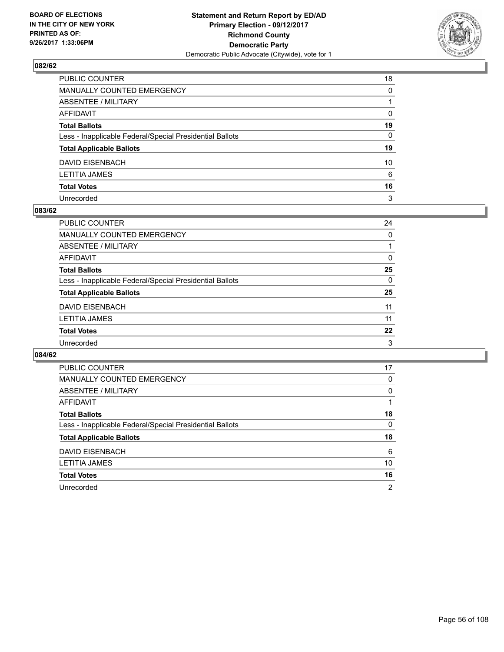

| PUBLIC COUNTER                                           | 18           |
|----------------------------------------------------------|--------------|
| MANUALLY COUNTED EMERGENCY                               | $\Omega$     |
| ABSENTEE / MILITARY                                      |              |
| AFFIDAVIT                                                | 0            |
| Total Ballots                                            | 19           |
| Less - Inapplicable Federal/Special Presidential Ballots | $\mathbf{0}$ |
| <b>Total Applicable Ballots</b>                          | 19           |
| DAVID EISENBACH                                          | 10           |
| LETITIA JAMES                                            | 6            |
| <b>Total Votes</b>                                       | 16           |
| Unrecorded                                               | 3            |

#### **083/62**

| PUBLIC COUNTER                                           | 24 |
|----------------------------------------------------------|----|
|                                                          |    |
| <b>MANUALLY COUNTED EMERGENCY</b>                        | 0  |
| ABSENTEE / MILITARY                                      |    |
| AFFIDAVIT                                                | 0  |
| <b>Total Ballots</b>                                     | 25 |
| Less - Inapplicable Federal/Special Presidential Ballots | 0  |
| <b>Total Applicable Ballots</b>                          | 25 |
| <b>DAVID EISENBACH</b>                                   | 11 |
| <b>LETITIA JAMES</b>                                     | 11 |
| <b>Total Votes</b>                                       | 22 |
| Unrecorded                                               | 3  |

| <b>PUBLIC COUNTER</b>                                    | 17 |
|----------------------------------------------------------|----|
| <b>MANUALLY COUNTED EMERGENCY</b>                        | 0  |
| ABSENTEE / MILITARY                                      | 0  |
| AFFIDAVIT                                                |    |
| <b>Total Ballots</b>                                     | 18 |
| Less - Inapplicable Federal/Special Presidential Ballots | 0  |
| <b>Total Applicable Ballots</b>                          | 18 |
|                                                          | 6  |
| DAVID EISENBACH                                          |    |
| <b>LETITIA JAMES</b>                                     | 10 |
| <b>Total Votes</b>                                       | 16 |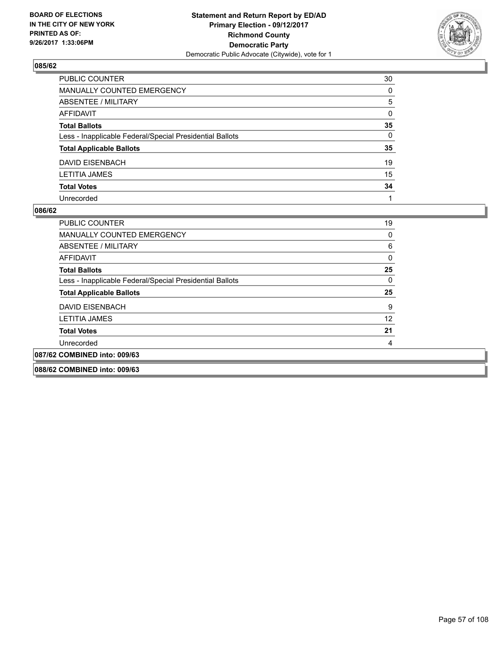

| PUBLIC COUNTER                                           | 30           |
|----------------------------------------------------------|--------------|
| MANUALLY COUNTED EMERGENCY                               | 0            |
| ABSENTEE / MILITARY                                      | 5            |
| AFFIDAVIT                                                | $\mathbf{0}$ |
| Total Ballots                                            | 35           |
| Less - Inapplicable Federal/Special Presidential Ballots | $\mathbf{0}$ |
| <b>Total Applicable Ballots</b>                          | 35           |
| DAVID EISENBACH                                          | 19           |
| LETITIA JAMES                                            | 15           |
| <b>Total Votes</b>                                       | 34           |
| Unrecorded                                               |              |

| <b>PUBLIC COUNTER</b>                                    | 19 |
|----------------------------------------------------------|----|
| <b>MANUALLY COUNTED EMERGENCY</b>                        | 0  |
| ABSENTEE / MILITARY                                      | 6  |
| AFFIDAVIT                                                | 0  |
| <b>Total Ballots</b>                                     | 25 |
| Less - Inapplicable Federal/Special Presidential Ballots | 0  |
| <b>Total Applicable Ballots</b>                          | 25 |
| DAVID EISENBACH                                          | 9  |
| <b>LETITIA JAMES</b>                                     | 12 |
| <b>Total Votes</b>                                       | 21 |
| Unrecorded                                               | 4  |
| 087/62 COMBINED into: 009/63                             |    |
| 088/62 COMBINED into: 009/63                             |    |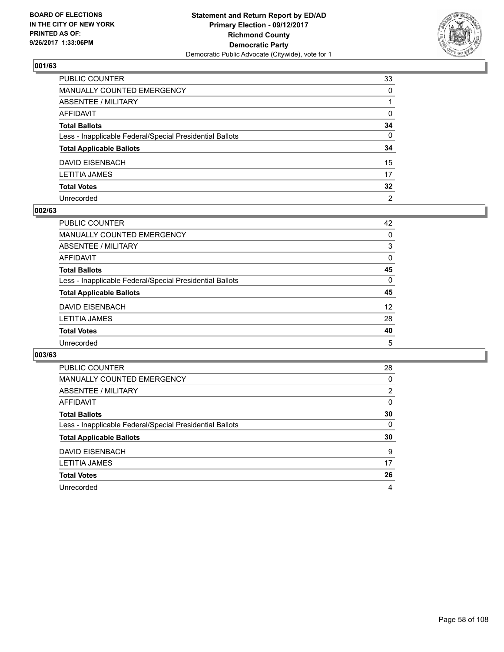

| PUBLIC COUNTER                                           | 33              |
|----------------------------------------------------------|-----------------|
| MANUALLY COUNTED EMERGENCY                               | 0               |
| ABSENTEE / MILITARY                                      |                 |
| AFFIDAVIT                                                | 0               |
| Total Ballots                                            | 34              |
| Less - Inapplicable Federal/Special Presidential Ballots | $\mathbf{0}$    |
| <b>Total Applicable Ballots</b>                          | 34              |
| DAVID EISENBACH                                          | 15              |
| LETITIA JAMES                                            | 17              |
| <b>Total Votes</b>                                       | $32\phantom{a}$ |
| Unrecorded                                               | $\overline{2}$  |

#### **002/63**

| <b>PUBLIC COUNTER</b>                                    | 42              |
|----------------------------------------------------------|-----------------|
| <b>MANUALLY COUNTED EMERGENCY</b>                        | 0               |
| ABSENTEE / MILITARY                                      | 3               |
| AFFIDAVIT                                                | 0               |
| <b>Total Ballots</b>                                     | 45              |
| Less - Inapplicable Federal/Special Presidential Ballots | $\Omega$        |
| <b>Total Applicable Ballots</b>                          | 45              |
| DAVID EISENBACH                                          | 12 <sup>2</sup> |
| <b>LETITIA JAMES</b>                                     | 28              |
| <b>Total Votes</b>                                       | 40              |
| Unrecorded                                               | 5               |

| <b>PUBLIC COUNTER</b>                                    | 28             |
|----------------------------------------------------------|----------------|
| <b>MANUALLY COUNTED EMERGENCY</b>                        | 0              |
| ABSENTEE / MILITARY                                      | $\overline{2}$ |
| AFFIDAVIT                                                | 0              |
| <b>Total Ballots</b>                                     | 30             |
| Less - Inapplicable Federal/Special Presidential Ballots | 0              |
| <b>Total Applicable Ballots</b>                          | 30             |
| <b>DAVID EISENBACH</b>                                   | 9              |
| <b>LETITIA JAMES</b>                                     | 17             |
| <b>Total Votes</b>                                       | 26             |
| Unrecorded                                               | 4              |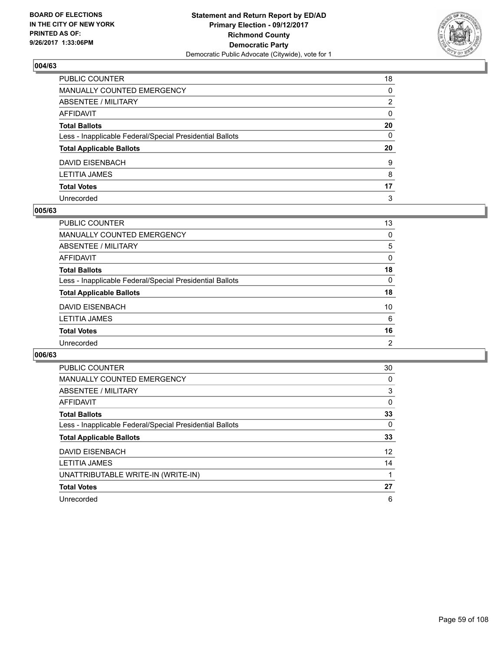

| PUBLIC COUNTER                                           | 18           |
|----------------------------------------------------------|--------------|
| MANUALLY COUNTED EMERGENCY                               | 0            |
| ABSENTEE / MILITARY                                      | 2            |
| AFFIDAVIT                                                | $\mathbf{0}$ |
| Total Ballots                                            | 20           |
| Less - Inapplicable Federal/Special Presidential Ballots | 0            |
| <b>Total Applicable Ballots</b>                          | 20           |
| DAVID EISENBACH                                          | 9            |
| LETITIA JAMES                                            | 8            |
| <b>Total Votes</b>                                       | 17           |
| Unrecorded                                               | 3            |

#### **005/63**

| PUBLIC COUNTER                                           | 13             |
|----------------------------------------------------------|----------------|
| MANUALLY COUNTED EMERGENCY                               | 0              |
| ABSENTEE / MILITARY                                      | 5              |
| AFFIDAVIT                                                | 0              |
| <b>Total Ballots</b>                                     | 18             |
| Less - Inapplicable Federal/Special Presidential Ballots | 0              |
| <b>Total Applicable Ballots</b>                          | 18             |
| <b>DAVID EISENBACH</b>                                   | 10             |
| <b>LETITIA JAMES</b>                                     | 6              |
| <b>Total Votes</b>                                       | 16             |
| Unrecorded                                               | $\overline{2}$ |
|                                                          |                |

| <b>PUBLIC COUNTER</b>                                    | 30 |
|----------------------------------------------------------|----|
| <b>MANUALLY COUNTED EMERGENCY</b>                        | 0  |
| ABSENTEE / MILITARY                                      | 3  |
| AFFIDAVIT                                                | 0  |
| <b>Total Ballots</b>                                     | 33 |
| Less - Inapplicable Federal/Special Presidential Ballots | 0  |
| <b>Total Applicable Ballots</b>                          | 33 |
| <b>DAVID EISENBACH</b>                                   | 12 |
| <b>LETITIA JAMES</b>                                     | 14 |
| UNATTRIBUTABLE WRITE-IN (WRITE-IN)                       |    |
| <b>Total Votes</b>                                       | 27 |
| Unrecorded                                               | 6  |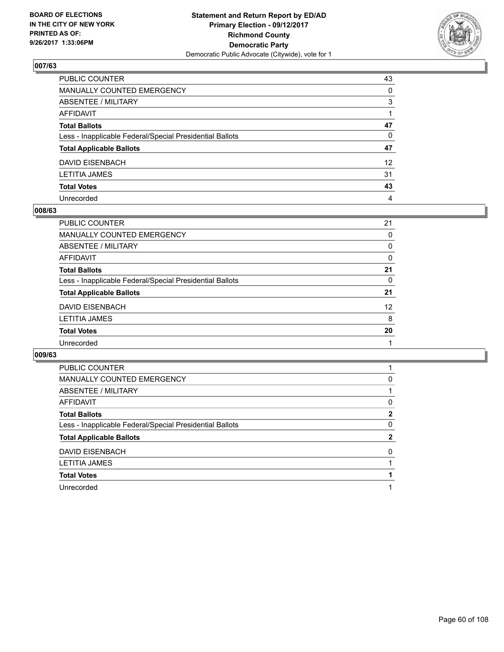

| PUBLIC COUNTER                                           | 43              |
|----------------------------------------------------------|-----------------|
| MANUALLY COUNTED EMERGENCY                               | $\Omega$        |
| ABSENTEE / MILITARY                                      | 3               |
| AFFIDAVIT                                                |                 |
| <b>Total Ballots</b>                                     | 47              |
| Less - Inapplicable Federal/Special Presidential Ballots | $\mathbf{0}$    |
| <b>Total Applicable Ballots</b>                          | 47              |
| DAVID EISENBACH                                          | 12 <sup>2</sup> |
| LETITIA JAMES                                            | 31              |
| <b>Total Votes</b>                                       | 43              |
| Unrecorded                                               | 4               |

#### **008/63**

| PUBLIC COUNTER                                           | 21                |
|----------------------------------------------------------|-------------------|
| MANUALLY COUNTED EMERGENCY                               | 0                 |
| ABSENTEE / MILITARY                                      | 0                 |
| AFFIDAVIT                                                | 0                 |
| <b>Total Ballots</b>                                     | 21                |
| Less - Inapplicable Federal/Special Presidential Ballots | 0                 |
| <b>Total Applicable Ballots</b>                          | 21                |
| <b>DAVID EISENBACH</b>                                   | $12 \overline{ }$ |
| <b>LETITIA JAMES</b>                                     | 8                 |
| <b>Total Votes</b>                                       | 20                |
| Unrecorded                                               |                   |

| <b>PUBLIC COUNTER</b>                                    |              |
|----------------------------------------------------------|--------------|
| <b>MANUALLY COUNTED EMERGENCY</b>                        | 0            |
| <b>ABSENTEE / MILITARY</b>                               |              |
| <b>AFFIDAVIT</b>                                         | 0            |
| <b>Total Ballots</b>                                     | $\mathbf{2}$ |
| Less - Inapplicable Federal/Special Presidential Ballots | 0            |
| <b>Total Applicable Ballots</b>                          | $\mathbf{2}$ |
| <b>DAVID EISENBACH</b>                                   | 0            |
| <b>LETITIA JAMES</b>                                     |              |
| <b>Total Votes</b>                                       |              |
|                                                          |              |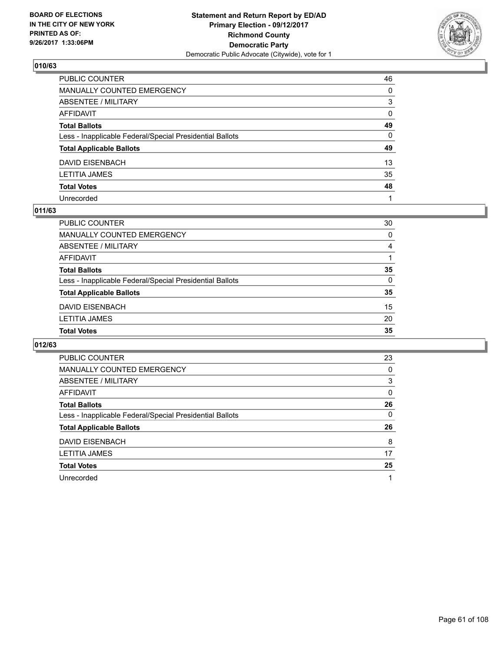

| PUBLIC COUNTER                                           | 46           |
|----------------------------------------------------------|--------------|
| MANUALLY COUNTED EMERGENCY                               | $\Omega$     |
| ABSENTEE / MILITARY                                      | 3            |
| AFFIDAVIT                                                | $\mathbf{0}$ |
| Total Ballots                                            | 49           |
| Less - Inapplicable Federal/Special Presidential Ballots | $\mathbf{0}$ |
| <b>Total Applicable Ballots</b>                          | 49           |
| DAVID EISENBACH                                          | 13           |
| LETITIA JAMES                                            | 35           |
| <b>Total Votes</b>                                       | 48           |
| Unrecorded                                               |              |

#### **011/63**

| <b>PUBLIC COUNTER</b>                                    | 30 |
|----------------------------------------------------------|----|
| MANUALLY COUNTED EMERGENCY                               | 0  |
| ABSENTEE / MILITARY                                      | 4  |
| AFFIDAVIT                                                |    |
| <b>Total Ballots</b>                                     | 35 |
| Less - Inapplicable Federal/Special Presidential Ballots | 0  |
| <b>Total Applicable Ballots</b>                          | 35 |
| <b>DAVID EISENBACH</b>                                   | 15 |
| <b>LETITIA JAMES</b>                                     | 20 |
| <b>Total Votes</b>                                       | 35 |

| PUBLIC COUNTER                                           | 23 |
|----------------------------------------------------------|----|
| <b>MANUALLY COUNTED EMERGENCY</b>                        | 0  |
| ABSENTEE / MILITARY                                      | 3  |
| AFFIDAVIT                                                | 0  |
| <b>Total Ballots</b>                                     | 26 |
| Less - Inapplicable Federal/Special Presidential Ballots | 0  |
| <b>Total Applicable Ballots</b>                          | 26 |
| <b>DAVID EISENBACH</b>                                   | 8  |
| <b>LETITIA JAMES</b>                                     | 17 |
| <b>Total Votes</b>                                       | 25 |
| Unrecorded                                               |    |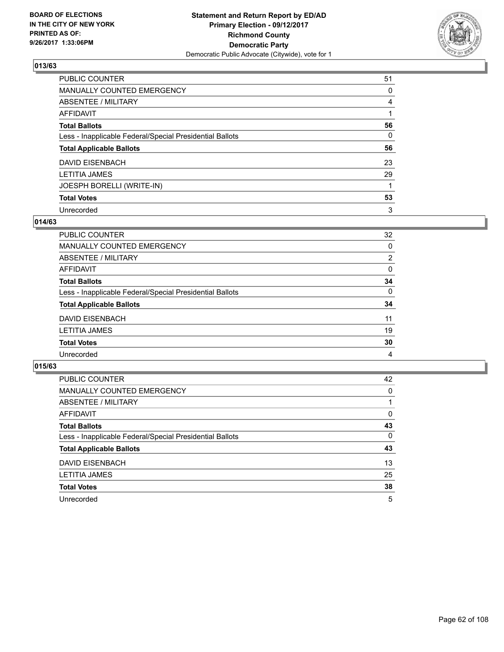

| PUBLIC COUNTER                                           | 51 |
|----------------------------------------------------------|----|
| <b>MANUALLY COUNTED EMERGENCY</b>                        | 0  |
| ABSENTEE / MILITARY                                      | 4  |
| AFFIDAVIT                                                |    |
| <b>Total Ballots</b>                                     | 56 |
| Less - Inapplicable Federal/Special Presidential Ballots | 0  |
| <b>Total Applicable Ballots</b>                          | 56 |
| <b>DAVID EISENBACH</b>                                   | 23 |
| <b>LETITIA JAMES</b>                                     | 29 |
| JOESPH BORELLI (WRITE-IN)                                |    |
| <b>Total Votes</b>                                       | 53 |
| Unrecorded                                               | 3  |

### **014/63**

| <b>PUBLIC COUNTER</b>                                    | 32 |
|----------------------------------------------------------|----|
| MANUALLY COUNTED EMERGENCY                               | 0  |
| ABSENTEE / MILITARY                                      | 2  |
| AFFIDAVIT                                                | 0  |
| <b>Total Ballots</b>                                     | 34 |
| Less - Inapplicable Federal/Special Presidential Ballots | 0  |
| <b>Total Applicable Ballots</b>                          | 34 |
| DAVID EISENBACH                                          | 11 |
| <b>LETITIA JAMES</b>                                     | 19 |
| <b>Total Votes</b>                                       | 30 |
| Unrecorded                                               | 4  |

| PUBLIC COUNTER                                           | 42 |
|----------------------------------------------------------|----|
| MANUALLY COUNTED EMERGENCY                               | 0  |
| ABSENTEE / MILITARY                                      |    |
| AFFIDAVIT                                                | 0  |
| <b>Total Ballots</b>                                     | 43 |
| Less - Inapplicable Federal/Special Presidential Ballots | 0  |
| <b>Total Applicable Ballots</b>                          | 43 |
| <b>DAVID EISENBACH</b>                                   | 13 |
| <b>LETITIA JAMES</b>                                     | 25 |
| <b>Total Votes</b>                                       | 38 |
| Unrecorded                                               | 5  |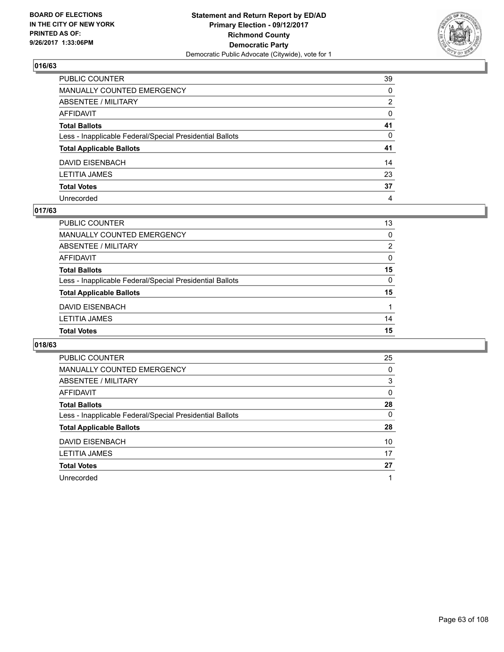

| PUBLIC COUNTER                                           | 39           |
|----------------------------------------------------------|--------------|
| MANUALLY COUNTED EMERGENCY                               | $\mathbf{0}$ |
| ABSENTEE / MILITARY                                      | 2            |
| AFFIDAVIT                                                | 0            |
| Total Ballots                                            | 41           |
| Less - Inapplicable Federal/Special Presidential Ballots | $\mathbf{0}$ |
| <b>Total Applicable Ballots</b>                          | 41           |
| DAVID EISENBACH                                          | 14           |
| LETITIA JAMES                                            | 23           |
| <b>Total Votes</b>                                       | 37           |
| Unrecorded                                               | 4            |

## **017/63**

| <b>PUBLIC COUNTER</b>                                    | 13             |
|----------------------------------------------------------|----------------|
| MANUALLY COUNTED EMERGENCY                               | 0              |
| <b>ABSENTEE / MILITARY</b>                               | $\overline{2}$ |
| AFFIDAVIT                                                | 0              |
| <b>Total Ballots</b>                                     | 15             |
| Less - Inapplicable Federal/Special Presidential Ballots | 0              |
| <b>Total Applicable Ballots</b>                          | 15             |
| <b>DAVID EISENBACH</b>                                   |                |
| <b>LETITIA JAMES</b>                                     | 14             |
| <b>Total Votes</b>                                       | 15             |

| <b>PUBLIC COUNTER</b>                                    | 25 |
|----------------------------------------------------------|----|
| MANUALLY COUNTED EMERGENCY                               | 0  |
| ABSENTEE / MILITARY                                      | 3  |
| AFFIDAVIT                                                | 0  |
| <b>Total Ballots</b>                                     | 28 |
| Less - Inapplicable Federal/Special Presidential Ballots | 0  |
| <b>Total Applicable Ballots</b>                          | 28 |
| DAVID EISENBACH                                          | 10 |
| <b>LETITIA JAMES</b>                                     | 17 |
| <b>Total Votes</b>                                       | 27 |
| Unrecorded                                               | 1  |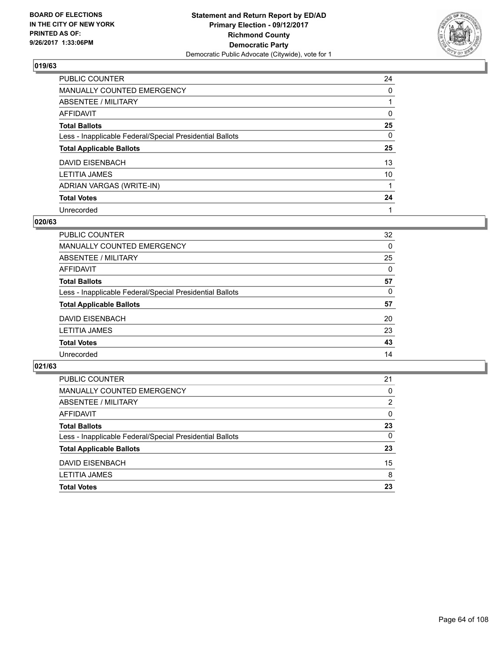

| PUBLIC COUNTER                                           | 24 |
|----------------------------------------------------------|----|
| MANUALLY COUNTED EMERGENCY                               | 0  |
| ABSENTEE / MILITARY                                      |    |
| AFFIDAVIT                                                | 0  |
| <b>Total Ballots</b>                                     | 25 |
| Less - Inapplicable Federal/Special Presidential Ballots | 0  |
| <b>Total Applicable Ballots</b>                          | 25 |
| DAVID EISENBACH                                          | 13 |
| <b>LETITIA JAMES</b>                                     | 10 |
| ADRIAN VARGAS (WRITE-IN)                                 |    |
| <b>Total Votes</b>                                       | 24 |
| Unrecorded                                               |    |

#### **020/63**

| 32       |
|----------|
| 0        |
| 25       |
| $\Omega$ |
| 57       |
| 0        |
| 57       |
| 20       |
| 23       |
| 43       |
| 14       |
|          |

| 21       |
|----------|
| 0        |
| 2        |
| 0        |
| 23       |
| $\Omega$ |
| 23       |
| 15       |
| 8        |
| 23       |
|          |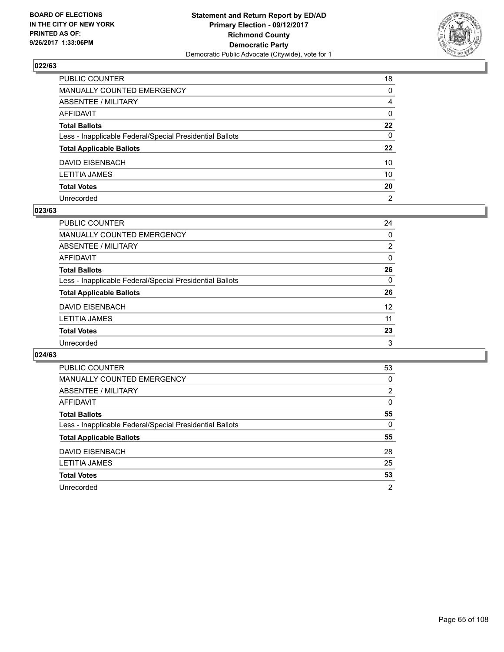

| PUBLIC COUNTER                                           | 18             |
|----------------------------------------------------------|----------------|
| MANUALLY COUNTED EMERGENCY                               | 0              |
| ABSENTEE / MILITARY                                      | 4              |
| AFFIDAVIT                                                | $\mathbf{0}$   |
| Total Ballots                                            | $22 \,$        |
| Less - Inapplicable Federal/Special Presidential Ballots | $\mathbf{0}$   |
| <b>Total Applicable Ballots</b>                          | $22 \,$        |
| DAVID EISENBACH                                          | 10             |
| LETITIA JAMES                                            | 10             |
| <b>Total Votes</b>                                       | 20             |
| Unrecorded                                               | $\overline{2}$ |

#### **023/63**

| PUBLIC COUNTER                                           | 24              |
|----------------------------------------------------------|-----------------|
| <b>MANUALLY COUNTED EMERGENCY</b>                        | $\Omega$        |
| ABSENTEE / MILITARY                                      | $\overline{2}$  |
| AFFIDAVIT                                                | 0               |
| <b>Total Ballots</b>                                     | 26              |
| Less - Inapplicable Federal/Special Presidential Ballots | $\Omega$        |
| <b>Total Applicable Ballots</b>                          | 26              |
| <b>DAVID EISENBACH</b>                                   | 12 <sup>2</sup> |
| <b>LETITIA JAMES</b>                                     | 11              |
| <b>Total Votes</b>                                       | 23              |
| Unrecorded                                               | 3               |

| <b>PUBLIC COUNTER</b>                                    | 53 |
|----------------------------------------------------------|----|
| <b>MANUALLY COUNTED EMERGENCY</b>                        | 0  |
| ABSENTEE / MILITARY                                      | 2  |
| AFFIDAVIT                                                | 0  |
| <b>Total Ballots</b>                                     | 55 |
| Less - Inapplicable Federal/Special Presidential Ballots | 0  |
| <b>Total Applicable Ballots</b>                          | 55 |
| DAVID EISENBACH                                          | 28 |
| <b>LETITIA JAMES</b>                                     | 25 |
|                                                          |    |
| <b>Total Votes</b>                                       | 53 |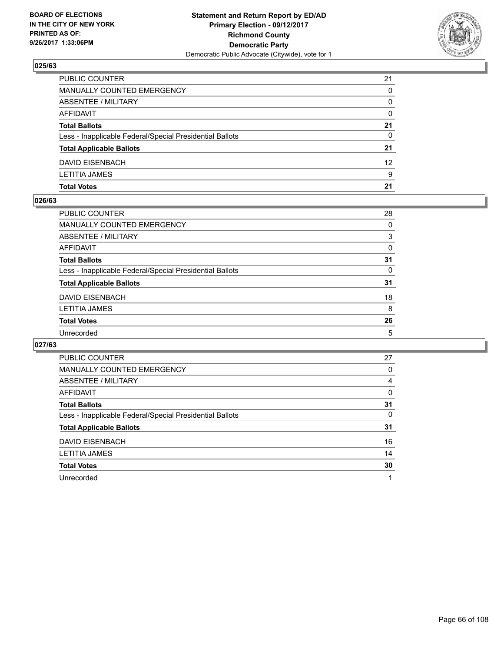

| <b>Total Votes</b>                                       | 21       |
|----------------------------------------------------------|----------|
| <b>LETITIA JAMES</b>                                     | 9        |
| DAVID EISENBACH                                          | 12       |
| <b>Total Applicable Ballots</b>                          | 21       |
| Less - Inapplicable Federal/Special Presidential Ballots | 0        |
| <b>Total Ballots</b>                                     | 21       |
| AFFIDAVIT                                                | $\Omega$ |
| <b>ABSENTEE / MILITARY</b>                               | $\Omega$ |
| MANUALLY COUNTED EMERGENCY                               | $\Omega$ |
| PUBLIC COUNTER                                           | 21       |

#### **026/63**

| <b>PUBLIC COUNTER</b>                                    | 28       |
|----------------------------------------------------------|----------|
| <b>MANUALLY COUNTED EMERGENCY</b>                        | $\Omega$ |
| ABSENTEE / MILITARY                                      | 3        |
| AFFIDAVIT                                                | 0        |
| <b>Total Ballots</b>                                     | 31       |
| Less - Inapplicable Federal/Special Presidential Ballots | $\Omega$ |
| <b>Total Applicable Ballots</b>                          | 31       |
| DAVID EISENBACH                                          | 18       |
| <b>LETITIA JAMES</b>                                     | 8        |
| <b>Total Votes</b>                                       | 26       |
| Unrecorded                                               | 5        |
|                                                          |          |

| <b>PUBLIC COUNTER</b>                                    | 27           |
|----------------------------------------------------------|--------------|
| <b>MANUALLY COUNTED EMERGENCY</b>                        | 0            |
| ABSENTEE / MILITARY                                      | 4            |
| AFFIDAVIT                                                | $\mathbf{0}$ |
| <b>Total Ballots</b>                                     | 31           |
| Less - Inapplicable Federal/Special Presidential Ballots | 0            |
| <b>Total Applicable Ballots</b>                          | 31           |
| <b>DAVID EISENBACH</b>                                   | 16           |
| <b>LETITIA JAMES</b>                                     | 14           |
| <b>Total Votes</b>                                       | 30           |
| Unrecorded                                               |              |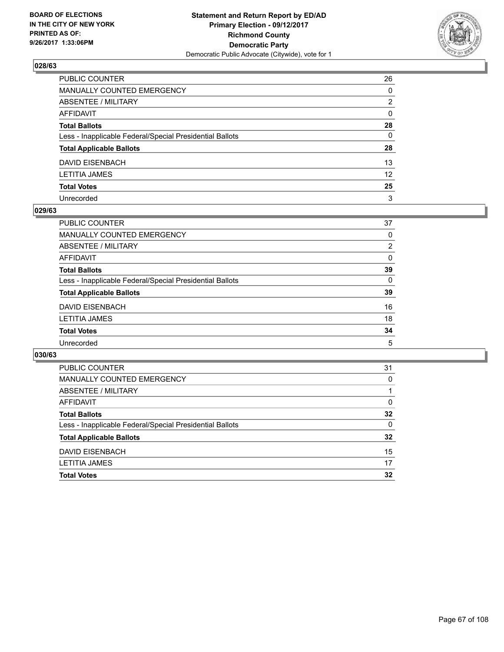

| PUBLIC COUNTER                                           | 26              |
|----------------------------------------------------------|-----------------|
| MANUALLY COUNTED EMERGENCY                               | 0               |
| ABSENTEE / MILITARY                                      | 2               |
| AFFIDAVIT                                                | $\mathbf{0}$    |
| Total Ballots                                            | 28              |
| Less - Inapplicable Federal/Special Presidential Ballots | $\mathbf{0}$    |
| <b>Total Applicable Ballots</b>                          | 28              |
| DAVID EISENBACH                                          | 13              |
| LETITIA JAMES                                            | 12 <sup>°</sup> |
| <b>Total Votes</b>                                       | 25              |
| Unrecorded                                               | 3               |

#### **029/63**

| PUBLIC COUNTER                                           | 37             |
|----------------------------------------------------------|----------------|
| <b>MANUALLY COUNTED EMERGENCY</b>                        | $\Omega$       |
| ABSENTEE / MILITARY                                      | $\overline{2}$ |
| AFFIDAVIT                                                | $\Omega$       |
| <b>Total Ballots</b>                                     | 39             |
| Less - Inapplicable Federal/Special Presidential Ballots | 0              |
| <b>Total Applicable Ballots</b>                          | 39             |
| <b>DAVID EISENBACH</b>                                   | 16             |
| <b>LETITIA JAMES</b>                                     | 18             |
| <b>Total Votes</b>                                       | 34             |
| Unrecorded                                               | 5              |

| <b>PUBLIC COUNTER</b>                                    | 31 |
|----------------------------------------------------------|----|
| MANUALLY COUNTED EMERGENCY                               | 0  |
| ABSENTEE / MILITARY                                      |    |
| AFFIDAVIT                                                | 0  |
| <b>Total Ballots</b>                                     | 32 |
| Less - Inapplicable Federal/Special Presidential Ballots | 0  |
| <b>Total Applicable Ballots</b>                          | 32 |
| DAVID EISENBACH                                          | 15 |
| <b>LETITIA JAMES</b>                                     | 17 |
| <b>Total Votes</b>                                       | 32 |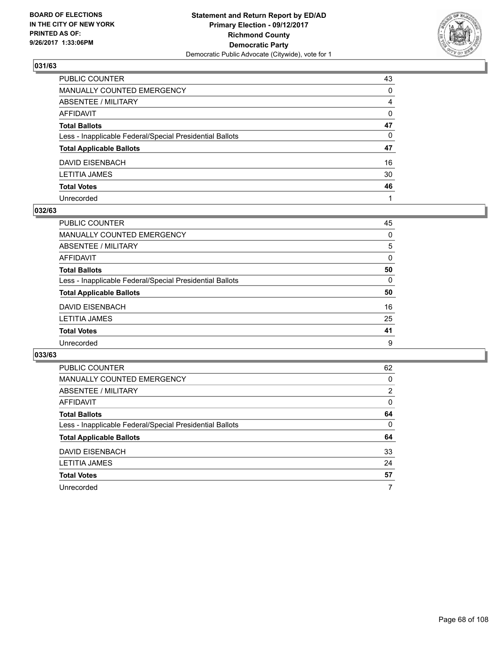

| PUBLIC COUNTER                                           | 43           |
|----------------------------------------------------------|--------------|
| MANUALLY COUNTED EMERGENCY                               | $\Omega$     |
| ABSENTEE / MILITARY                                      | 4            |
| AFFIDAVIT                                                | $\mathbf{0}$ |
| Total Ballots                                            | 47           |
| Less - Inapplicable Federal/Special Presidential Ballots | $\Omega$     |
| <b>Total Applicable Ballots</b>                          | 47           |
| DAVID EISENBACH                                          | 16           |
| LETITIA JAMES                                            | 30           |
| <b>Total Votes</b>                                       | 46           |
| Unrecorded                                               |              |

#### **032/63**

| PUBLIC COUNTER                                           | 45       |
|----------------------------------------------------------|----------|
| <b>MANUALLY COUNTED EMERGENCY</b>                        | 0        |
| ABSENTEE / MILITARY                                      | 5        |
| AFFIDAVIT                                                | 0        |
| <b>Total Ballots</b>                                     | 50       |
| Less - Inapplicable Federal/Special Presidential Ballots | $\Omega$ |
| <b>Total Applicable Ballots</b>                          | 50       |
| <b>DAVID EISENBACH</b>                                   | 16       |
| <b>LETITIA JAMES</b>                                     | 25       |
| <b>Total Votes</b>                                       | 41       |
| Unrecorded                                               | 9        |

| <b>PUBLIC COUNTER</b>                                    | 62             |
|----------------------------------------------------------|----------------|
| <b>MANUALLY COUNTED EMERGENCY</b>                        | 0              |
| ABSENTEE / MILITARY                                      | $\overline{2}$ |
| AFFIDAVIT                                                | $\Omega$       |
| <b>Total Ballots</b>                                     | 64             |
| Less - Inapplicable Federal/Special Presidential Ballots | 0              |
| <b>Total Applicable Ballots</b>                          | 64             |
| <b>DAVID EISENBACH</b>                                   | 33             |
| <b>LETITIA JAMES</b>                                     | 24             |
| <b>Total Votes</b>                                       | 57             |
| Unrecorded                                               | 7              |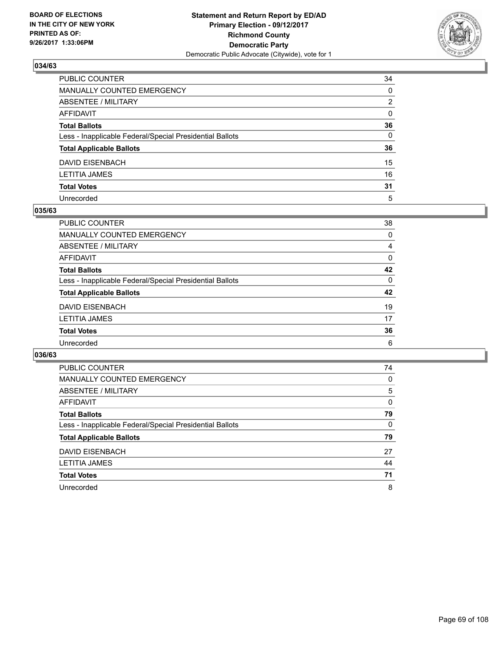

| PUBLIC COUNTER                                           | 34             |
|----------------------------------------------------------|----------------|
| MANUALLY COUNTED EMERGENCY                               | 0              |
| ABSENTEE / MILITARY                                      | $\overline{2}$ |
| AFFIDAVIT                                                | $\mathbf{0}$   |
| Total Ballots                                            | 36             |
| Less - Inapplicable Federal/Special Presidential Ballots | $\mathbf{0}$   |
| <b>Total Applicable Ballots</b>                          | 36             |
| DAVID EISENBACH                                          | 15             |
| LETITIA JAMES                                            | 16             |
| <b>Total Votes</b>                                       | 31             |
| Unrecorded                                               | 5              |

#### **035/63**

| <b>PUBLIC COUNTER</b>                                    | 38       |
|----------------------------------------------------------|----------|
| <b>MANUALLY COUNTED EMERGENCY</b>                        | $\Omega$ |
| ABSENTEE / MILITARY                                      | 4        |
| AFFIDAVIT                                                | 0        |
| <b>Total Ballots</b>                                     | 42       |
| Less - Inapplicable Federal/Special Presidential Ballots | $\Omega$ |
| <b>Total Applicable Ballots</b>                          | 42       |
| <b>DAVID EISENBACH</b>                                   | 19       |
| <b>LETITIA JAMES</b>                                     | 17       |
| <b>Total Votes</b>                                       | 36       |
| Unrecorded                                               | 6        |

| <b>PUBLIC COUNTER</b>                                    | 74 |
|----------------------------------------------------------|----|
| <b>MANUALLY COUNTED EMERGENCY</b>                        | 0  |
| ABSENTEE / MILITARY                                      | 5  |
| AFFIDAVIT                                                | 0  |
| <b>Total Ballots</b>                                     | 79 |
| Less - Inapplicable Federal/Special Presidential Ballots | 0  |
| <b>Total Applicable Ballots</b>                          | 79 |
| DAVID EISENBACH                                          | 27 |
| <b>LETITIA JAMES</b>                                     | 44 |
| <b>Total Votes</b>                                       | 71 |
|                                                          |    |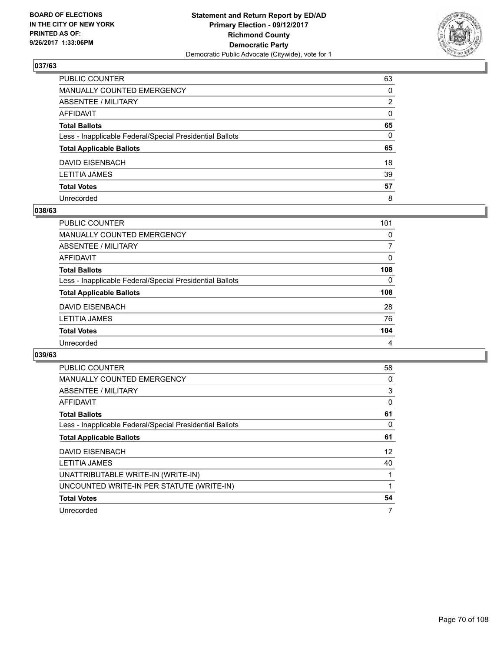

| PUBLIC COUNTER                                           | 63           |
|----------------------------------------------------------|--------------|
| MANUALLY COUNTED EMERGENCY                               | $\Omega$     |
| ABSENTEE / MILITARY                                      | 2            |
| AFFIDAVIT                                                | $\mathbf{0}$ |
| <b>Total Ballots</b>                                     | 65           |
| Less - Inapplicable Federal/Special Presidential Ballots | $\mathbf{0}$ |
| <b>Total Applicable Ballots</b>                          | 65           |
| DAVID EISENBACH                                          | 18           |
| LETITIA JAMES                                            | 39           |
| <b>Total Votes</b>                                       | 57           |
| Unrecorded                                               | 8            |

#### **038/63**

| PUBLIC COUNTER                                           | 101      |
|----------------------------------------------------------|----------|
| MANUALLY COUNTED EMERGENCY                               | 0        |
| ABSENTEE / MILITARY                                      | 7        |
| AFFIDAVIT                                                | $\Omega$ |
| <b>Total Ballots</b>                                     | 108      |
| Less - Inapplicable Federal/Special Presidential Ballots | 0        |
| <b>Total Applicable Ballots</b>                          | 108      |
| DAVID EISENBACH                                          | 28       |
| <b>LETITIA JAMES</b>                                     | 76       |
| <b>Total Votes</b>                                       | 104      |
| Unrecorded                                               | 4        |

| <b>PUBLIC COUNTER</b>                                    | 58 |
|----------------------------------------------------------|----|
| <b>MANUALLY COUNTED EMERGENCY</b>                        | 0  |
| ABSENTEE / MILITARY                                      | 3  |
| AFFIDAVIT                                                | 0  |
| <b>Total Ballots</b>                                     | 61 |
| Less - Inapplicable Federal/Special Presidential Ballots | 0  |
| <b>Total Applicable Ballots</b>                          | 61 |
| <b>DAVID EISENBACH</b>                                   | 12 |
| <b>LETITIA JAMES</b>                                     | 40 |
| UNATTRIBUTABLE WRITE-IN (WRITE-IN)                       |    |
| UNCOUNTED WRITE-IN PER STATUTE (WRITE-IN)                | 1  |
| <b>Total Votes</b>                                       | 54 |
| Unrecorded                                               | 7  |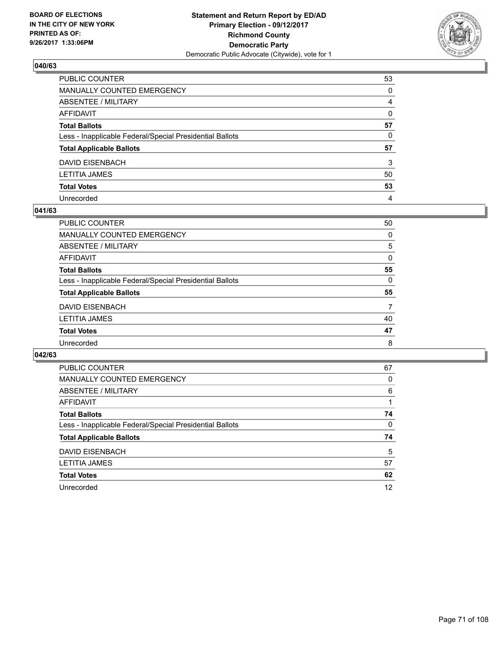

| PUBLIC COUNTER                                           | 53           |
|----------------------------------------------------------|--------------|
| MANUALLY COUNTED EMERGENCY                               | 0            |
| ABSENTEE / MILITARY                                      | 4            |
| AFFIDAVIT                                                | $\mathbf{0}$ |
| Total Ballots                                            | 57           |
| Less - Inapplicable Federal/Special Presidential Ballots | 0            |
| <b>Total Applicable Ballots</b>                          | 57           |
| DAVID EISENBACH                                          | 3            |
| LETITIA JAMES                                            | 50           |
| <b>Total Votes</b>                                       | 53           |
| Unrecorded                                               | 4            |

#### **041/63**

| <b>PUBLIC COUNTER</b>                                    | 50       |
|----------------------------------------------------------|----------|
| <b>MANUALLY COUNTED EMERGENCY</b>                        | 0        |
| ABSENTEE / MILITARY                                      | 5        |
| AFFIDAVIT                                                | $\Omega$ |
| <b>Total Ballots</b>                                     | 55       |
| Less - Inapplicable Federal/Special Presidential Ballots | $\Omega$ |
| <b>Total Applicable Ballots</b>                          | 55       |
| <b>DAVID EISENBACH</b>                                   | 7        |
| <b>LETITIA JAMES</b>                                     | 40       |
| <b>Total Votes</b>                                       | 47       |
| Unrecorded                                               | 8        |

| <b>PUBLIC COUNTER</b>                                    | 67 |
|----------------------------------------------------------|----|
| <b>MANUALLY COUNTED EMERGENCY</b>                        | 0  |
| ABSENTEE / MILITARY                                      | 6  |
| AFFIDAVIT                                                |    |
| <b>Total Ballots</b>                                     | 74 |
| Less - Inapplicable Federal/Special Presidential Ballots | 0  |
| <b>Total Applicable Ballots</b>                          | 74 |
| DAVID EISENBACH                                          | 5  |
| <b>LETITIA JAMES</b>                                     | 57 |
|                                                          |    |
| <b>Total Votes</b>                                       | 62 |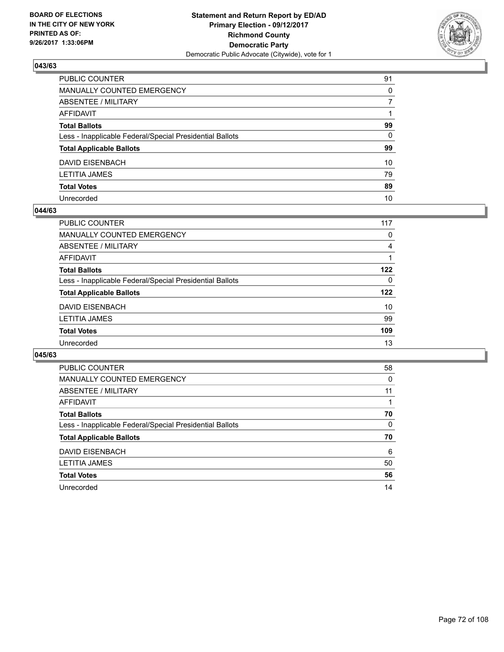

| PUBLIC COUNTER                                           | 91       |
|----------------------------------------------------------|----------|
| MANUALLY COUNTED EMERGENCY                               | $\Omega$ |
| ABSENTEE / MILITARY                                      | 7        |
| AFFIDAVIT                                                |          |
| Total Ballots                                            | 99       |
| Less - Inapplicable Federal/Special Presidential Ballots | 0        |
| <b>Total Applicable Ballots</b>                          | 99       |
| DAVID EISENBACH                                          | 10       |
| LETITIA JAMES                                            | 79       |
| <b>Total Votes</b>                                       | 89       |
| Unrecorded                                               | 10       |

#### **044/63**

| <b>PUBLIC COUNTER</b>                                    | 117 |
|----------------------------------------------------------|-----|
| MANUALLY COUNTED EMERGENCY                               | 0   |
| ABSENTEE / MILITARY                                      | 4   |
| AFFIDAVIT                                                |     |
| <b>Total Ballots</b>                                     | 122 |
| Less - Inapplicable Federal/Special Presidential Ballots | 0   |
| <b>Total Applicable Ballots</b>                          | 122 |
| DAVID EISENBACH                                          | 10  |
| LETITIA JAMES                                            | 99  |
| <b>Total Votes</b>                                       | 109 |
| Unrecorded                                               | 13  |

| <b>PUBLIC COUNTER</b>                                    | 58 |
|----------------------------------------------------------|----|
| MANUALLY COUNTED EMERGENCY                               | 0  |
| ABSENTEE / MILITARY                                      | 11 |
| AFFIDAVIT                                                |    |
| <b>Total Ballots</b>                                     | 70 |
| Less - Inapplicable Federal/Special Presidential Ballots | 0  |
| <b>Total Applicable Ballots</b>                          | 70 |
| DAVID EISENBACH                                          | 6  |
| LETITIA JAMES                                            | 50 |
| <b>Total Votes</b>                                       | 56 |
| Unrecorded                                               | 14 |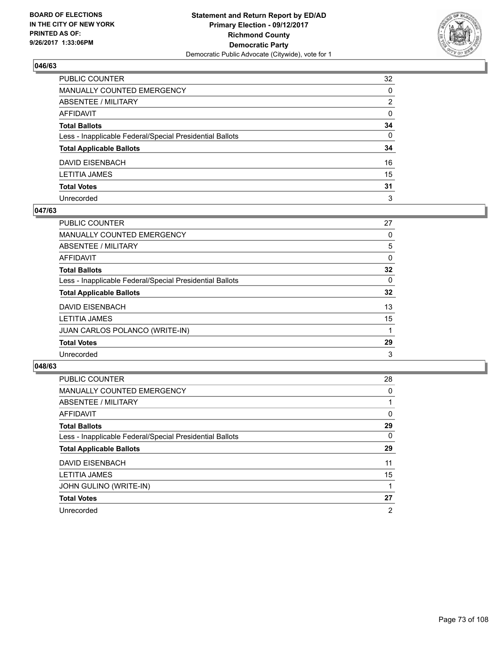

| PUBLIC COUNTER                                           | 32           |
|----------------------------------------------------------|--------------|
| MANUALLY COUNTED EMERGENCY                               | 0            |
| ABSENTEE / MILITARY                                      | 2            |
| AFFIDAVIT                                                | 0            |
| Total Ballots                                            | 34           |
| Less - Inapplicable Federal/Special Presidential Ballots | $\mathbf{0}$ |
| <b>Total Applicable Ballots</b>                          | 34           |
| DAVID EISENBACH                                          | 16           |
| LETITIA JAMES                                            | 15           |
| <b>Total Votes</b>                                       | 31           |
| Unrecorded                                               | 3            |

#### **047/63**

| PUBLIC COUNTER                                           | 27 |
|----------------------------------------------------------|----|
| <b>MANUALLY COUNTED EMERGENCY</b>                        | 0  |
| ABSENTEE / MILITARY                                      | 5  |
| AFFIDAVIT                                                | 0  |
| <b>Total Ballots</b>                                     | 32 |
| Less - Inapplicable Federal/Special Presidential Ballots | 0  |
| <b>Total Applicable Ballots</b>                          | 32 |
| <b>DAVID EISENBACH</b>                                   | 13 |
| <b>LETITIA JAMES</b>                                     | 15 |
| JUAN CARLOS POLANCO (WRITE-IN)                           |    |
| <b>Total Votes</b>                                       | 29 |
| Unrecorded                                               | 3  |

| <b>PUBLIC COUNTER</b>                                    | 28             |
|----------------------------------------------------------|----------------|
| <b>MANUALLY COUNTED EMERGENCY</b>                        | 0              |
| ABSENTEE / MILITARY                                      |                |
| AFFIDAVIT                                                | 0              |
| <b>Total Ballots</b>                                     | 29             |
| Less - Inapplicable Federal/Special Presidential Ballots | 0              |
| <b>Total Applicable Ballots</b>                          | 29             |
| <b>DAVID EISENBACH</b>                                   | 11             |
| <b>LETITIA JAMES</b>                                     | 15             |
| <b>JOHN GULINO (WRITE-IN)</b>                            |                |
| <b>Total Votes</b>                                       | 27             |
| Unrecorded                                               | $\overline{2}$ |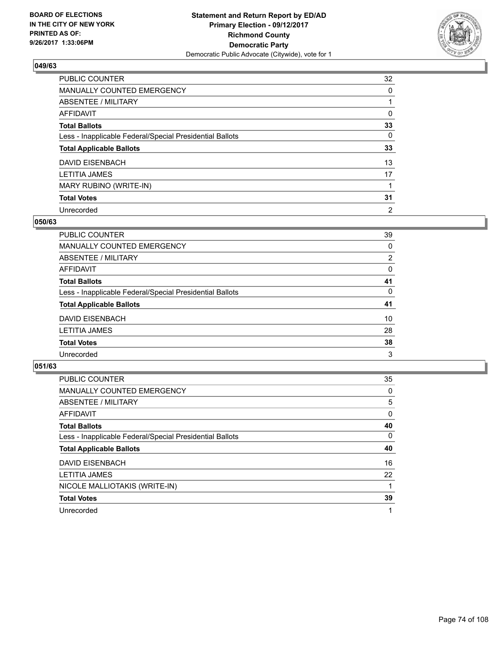

| PUBLIC COUNTER                                           | 32             |
|----------------------------------------------------------|----------------|
| MANUALLY COUNTED EMERGENCY                               | 0              |
| ABSENTEE / MILITARY                                      |                |
| AFFIDAVIT                                                | 0              |
| <b>Total Ballots</b>                                     | 33             |
| Less - Inapplicable Federal/Special Presidential Ballots | 0              |
| <b>Total Applicable Ballots</b>                          | 33             |
| DAVID EISENBACH                                          | 13             |
| <b>LETITIA JAMES</b>                                     | 17             |
| MARY RUBINO (WRITE-IN)                                   |                |
| <b>Total Votes</b>                                       | 31             |
| Unrecorded                                               | $\overline{2}$ |

#### **050/63**

| <b>PUBLIC COUNTER</b>                                    | 39 |
|----------------------------------------------------------|----|
| <b>MANUALLY COUNTED EMERGENCY</b>                        | 0  |
| ABSENTEE / MILITARY                                      | 2  |
| AFFIDAVIT                                                | 0  |
| <b>Total Ballots</b>                                     | 41 |
| Less - Inapplicable Federal/Special Presidential Ballots | 0  |
| <b>Total Applicable Ballots</b>                          | 41 |
| <b>DAVID EISENBACH</b>                                   | 10 |
| <b>LETITIA JAMES</b>                                     | 28 |
| <b>Total Votes</b>                                       | 38 |
| Unrecorded                                               | 3  |

| <b>PUBLIC COUNTER</b>                                    | 35 |
|----------------------------------------------------------|----|
| MANUALLY COUNTED EMERGENCY                               | 0  |
| ABSENTEE / MILITARY                                      | 5  |
| AFFIDAVIT                                                | 0  |
| <b>Total Ballots</b>                                     | 40 |
| Less - Inapplicable Federal/Special Presidential Ballots | 0  |
| <b>Total Applicable Ballots</b>                          | 40 |
| <b>DAVID EISENBACH</b>                                   | 16 |
| <b>LETITIA JAMES</b>                                     | 22 |
| NICOLE MALLIOTAKIS (WRITE-IN)                            |    |
| <b>Total Votes</b>                                       | 39 |
| Unrecorded                                               | 1  |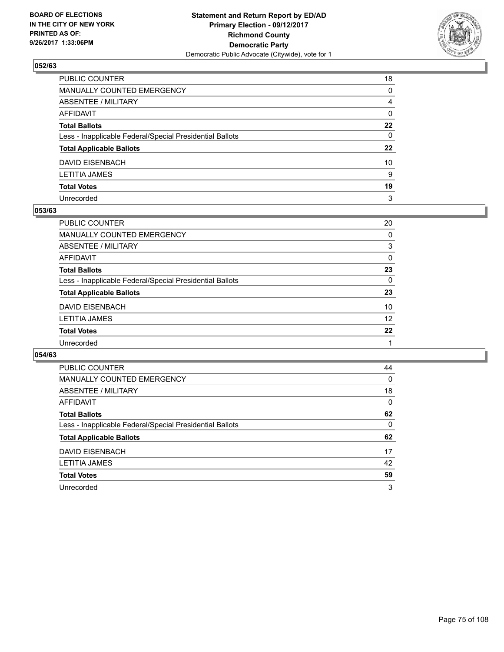

| PUBLIC COUNTER                                           | 18           |
|----------------------------------------------------------|--------------|
| MANUALLY COUNTED EMERGENCY                               | $\mathbf{0}$ |
| ABSENTEE / MILITARY                                      | 4            |
| AFFIDAVIT                                                | $\mathbf{0}$ |
| <b>Total Ballots</b>                                     | 22           |
| Less - Inapplicable Federal/Special Presidential Ballots | $\mathbf{0}$ |
| <b>Total Applicable Ballots</b>                          | 22           |
| DAVID EISENBACH                                          | 10           |
| LETITIA JAMES                                            | 9            |
| <b>Total Votes</b>                                       | 19           |
| Unrecorded                                               | 3            |

#### **053/63**

| PUBLIC COUNTER                                           | 20       |
|----------------------------------------------------------|----------|
| MANUALLY COUNTED EMERGENCY                               | 0        |
| ABSENTEE / MILITARY                                      | 3        |
| AFFIDAVIT                                                | $\Omega$ |
| <b>Total Ballots</b>                                     | 23       |
| Less - Inapplicable Federal/Special Presidential Ballots | 0        |
| <b>Total Applicable Ballots</b>                          | 23       |
| <b>DAVID EISENBACH</b>                                   | 10       |
| <b>LETITIA JAMES</b>                                     | 12       |
| <b>Total Votes</b>                                       | 22       |
| Unrecorded                                               |          |
|                                                          |          |

| <b>PUBLIC COUNTER</b>                                    | 44 |
|----------------------------------------------------------|----|
| <b>MANUALLY COUNTED EMERGENCY</b>                        | 0  |
| ABSENTEE / MILITARY                                      | 18 |
| <b>AFFIDAVIT</b>                                         | 0  |
| <b>Total Ballots</b>                                     | 62 |
| Less - Inapplicable Federal/Special Presidential Ballots | 0  |
| <b>Total Applicable Ballots</b>                          | 62 |
| <b>DAVID EISENBACH</b>                                   | 17 |
| LETITIA JAMES                                            | 42 |
| <b>Total Votes</b>                                       | 59 |
| Unrecorded                                               | 3  |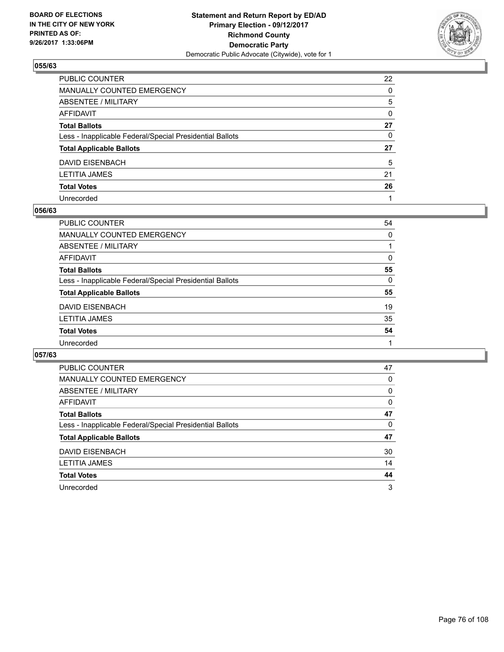

| PUBLIC COUNTER                                           | 22           |
|----------------------------------------------------------|--------------|
| MANUALLY COUNTED EMERGENCY                               | $\Omega$     |
| ABSENTEE / MILITARY                                      | 5            |
| AFFIDAVIT                                                | $\mathbf{0}$ |
| Total Ballots                                            | 27           |
| Less - Inapplicable Federal/Special Presidential Ballots | 0            |
| <b>Total Applicable Ballots</b>                          | 27           |
| DAVID EISENBACH                                          | 5            |
| LETITIA JAMES                                            | 21           |
| <b>Total Votes</b>                                       | 26           |
| Unrecorded                                               |              |

#### **056/63**

| <b>PUBLIC COUNTER</b>                                    | 54       |
|----------------------------------------------------------|----------|
| <b>MANUALLY COUNTED EMERGENCY</b>                        | $\Omega$ |
| ABSENTEE / MILITARY                                      |          |
| AFFIDAVIT                                                | $\Omega$ |
| <b>Total Ballots</b>                                     | 55       |
| Less - Inapplicable Federal/Special Presidential Ballots | $\Omega$ |
| <b>Total Applicable Ballots</b>                          | 55       |
| <b>DAVID EISENBACH</b>                                   | 19       |
| <b>LETITIA JAMES</b>                                     | 35       |
| <b>Total Votes</b>                                       | 54       |
| Unrecorded                                               |          |

| <b>PUBLIC COUNTER</b>                                    | 47       |
|----------------------------------------------------------|----------|
| <b>MANUALLY COUNTED EMERGENCY</b>                        | 0        |
| ABSENTEE / MILITARY                                      | 0        |
| AFFIDAVIT                                                | $\Omega$ |
| <b>Total Ballots</b>                                     | 47       |
| Less - Inapplicable Federal/Special Presidential Ballots | 0        |
| <b>Total Applicable Ballots</b>                          | 47       |
| DAVID EISENBACH                                          | 30       |
| <b>LETITIA JAMES</b>                                     | 14       |
|                                                          |          |
| <b>Total Votes</b>                                       | 44       |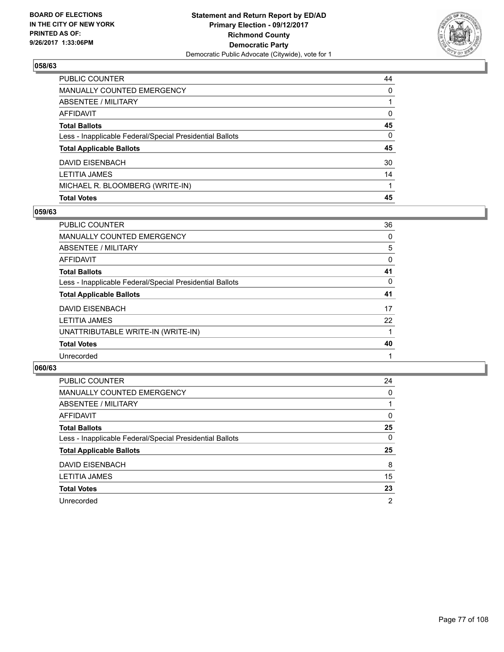

| <b>Total Votes</b>                                       | 45 |
|----------------------------------------------------------|----|
| MICHAEL R. BLOOMBERG (WRITE-IN)                          |    |
| <b>LETITIA JAMES</b>                                     | 14 |
| <b>DAVID EISENBACH</b>                                   | 30 |
| <b>Total Applicable Ballots</b>                          | 45 |
| Less - Inapplicable Federal/Special Presidential Ballots | 0  |
| <b>Total Ballots</b>                                     | 45 |
| <b>AFFIDAVIT</b>                                         | 0  |
| <b>ABSENTEE / MILITARY</b>                               |    |
| <b>MANUALLY COUNTED EMERGENCY</b>                        | 0  |
| PUBLIC COUNTER                                           | 44 |

### **059/63**

| PUBLIC COUNTER                                           | 36 |
|----------------------------------------------------------|----|
| <b>MANUALLY COUNTED EMERGENCY</b>                        | 0  |
| <b>ABSENTEE / MILITARY</b>                               | 5  |
| <b>AFFIDAVIT</b>                                         | 0  |
| <b>Total Ballots</b>                                     | 41 |
| Less - Inapplicable Federal/Special Presidential Ballots | 0  |
| <b>Total Applicable Ballots</b>                          | 41 |
| <b>DAVID EISENBACH</b>                                   | 17 |
| <b>LETITIA JAMES</b>                                     | 22 |
| UNATTRIBUTABLE WRITE-IN (WRITE-IN)                       |    |
| <b>Total Votes</b>                                       | 40 |
| Unrecorded                                               |    |
|                                                          |    |

| <b>PUBLIC COUNTER</b>                                    | 24 |
|----------------------------------------------------------|----|
| <b>MANUALLY COUNTED EMERGENCY</b>                        | 0  |
| ABSENTEE / MILITARY                                      |    |
| AFFIDAVIT                                                | 0  |
| <b>Total Ballots</b>                                     | 25 |
| Less - Inapplicable Federal/Special Presidential Ballots | 0  |
| <b>Total Applicable Ballots</b>                          | 25 |
| DAVID EISENBACH                                          | 8  |
| <b>LETITIA JAMES</b>                                     | 15 |
| <b>Total Votes</b>                                       | 23 |
|                                                          |    |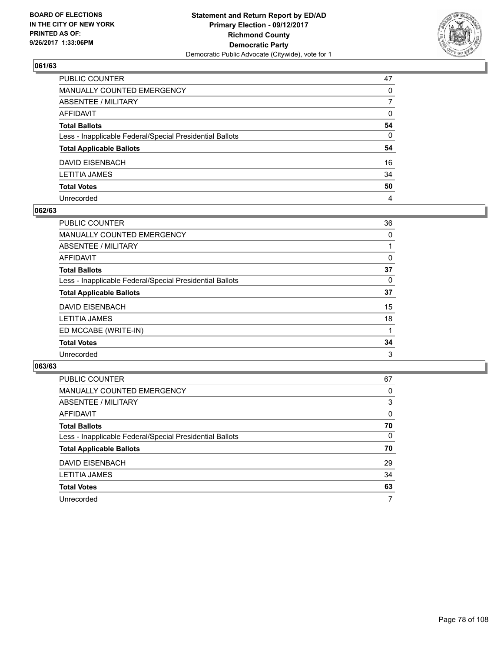

| PUBLIC COUNTER                                           | 47           |
|----------------------------------------------------------|--------------|
| MANUALLY COUNTED EMERGENCY                               | $\Omega$     |
| ABSENTEE / MILITARY                                      | 7            |
| AFFIDAVIT                                                | 0            |
| Total Ballots                                            | 54           |
| Less - Inapplicable Federal/Special Presidential Ballots | $\mathbf{0}$ |
| <b>Total Applicable Ballots</b>                          | 54           |
| DAVID EISENBACH                                          | 16           |
| LETITIA JAMES                                            | 34           |
| <b>Total Votes</b>                                       | 50           |
| Unrecorded                                               | 4            |

#### **062/63**

| PUBLIC COUNTER                                           | 36 |
|----------------------------------------------------------|----|
| <b>MANUALLY COUNTED EMERGENCY</b>                        | 0  |
| ABSENTEE / MILITARY                                      |    |
| AFFIDAVIT                                                | 0  |
| <b>Total Ballots</b>                                     | 37 |
| Less - Inapplicable Federal/Special Presidential Ballots | 0  |
| <b>Total Applicable Ballots</b>                          | 37 |
| DAVID EISENBACH                                          | 15 |
| <b>LETITIA JAMES</b>                                     | 18 |
| ED MCCABE (WRITE-IN)                                     |    |
| <b>Total Votes</b>                                       | 34 |
| Unrecorded                                               | 3  |

| PUBLIC COUNTER                                           | 67 |
|----------------------------------------------------------|----|
| <b>MANUALLY COUNTED EMERGENCY</b>                        | 0  |
| ABSENTEE / MILITARY                                      | 3  |
| AFFIDAVIT                                                | 0  |
| <b>Total Ballots</b>                                     | 70 |
| Less - Inapplicable Federal/Special Presidential Ballots | 0  |
| <b>Total Applicable Ballots</b>                          | 70 |
| <b>DAVID EISENBACH</b>                                   | 29 |
| <b>LETITIA JAMES</b>                                     | 34 |
| <b>Total Votes</b>                                       | 63 |
| Unrecorded                                               | 7  |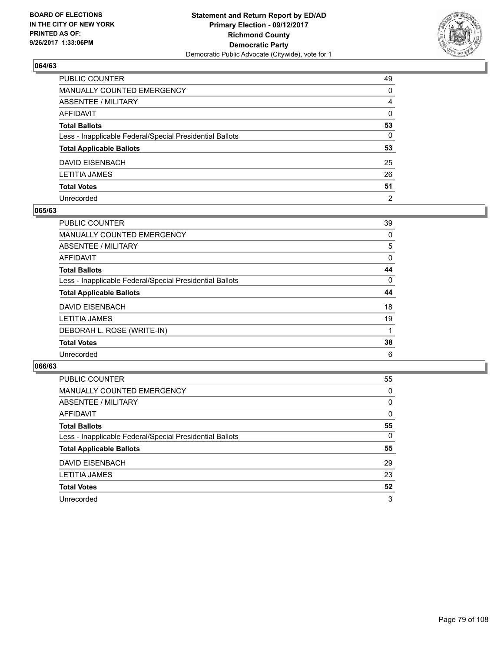

| PUBLIC COUNTER                                           | 49             |
|----------------------------------------------------------|----------------|
| MANUALLY COUNTED EMERGENCY                               | 0              |
| ABSENTEE / MILITARY                                      | 4              |
| AFFIDAVIT                                                | $\mathbf{0}$   |
| Total Ballots                                            | 53             |
| Less - Inapplicable Federal/Special Presidential Ballots | 0              |
| <b>Total Applicable Ballots</b>                          | 53             |
| DAVID EISENBACH                                          | 25             |
| LETITIA JAMES                                            | 26             |
| <b>Total Votes</b>                                       | 51             |
| Unrecorded                                               | $\overline{2}$ |

#### **065/63**

| PUBLIC COUNTER                                           | 39 |
|----------------------------------------------------------|----|
| <b>MANUALLY COUNTED EMERGENCY</b>                        | 0  |
| ABSENTEE / MILITARY                                      | 5  |
| AFFIDAVIT                                                | 0  |
| <b>Total Ballots</b>                                     | 44 |
| Less - Inapplicable Federal/Special Presidential Ballots | 0  |
| <b>Total Applicable Ballots</b>                          | 44 |
| DAVID EISENBACH                                          | 18 |
| <b>LETITIA JAMES</b>                                     | 19 |
| DEBORAH L. ROSE (WRITE-IN)                               |    |
| <b>Total Votes</b>                                       | 38 |
| Unrecorded                                               | 6  |

| <b>PUBLIC COUNTER</b>                                    | 55 |
|----------------------------------------------------------|----|
| <b>MANUALLY COUNTED EMERGENCY</b>                        | 0  |
| ABSENTEE / MILITARY                                      | 0  |
| AFFIDAVIT                                                | 0  |
| <b>Total Ballots</b>                                     | 55 |
| Less - Inapplicable Federal/Special Presidential Ballots | 0  |
| <b>Total Applicable Ballots</b>                          | 55 |
| DAVID EISENBACH                                          | 29 |
| <b>LETITIA JAMES</b>                                     | 23 |
| <b>Total Votes</b>                                       | 52 |
| Unrecorded                                               | 3  |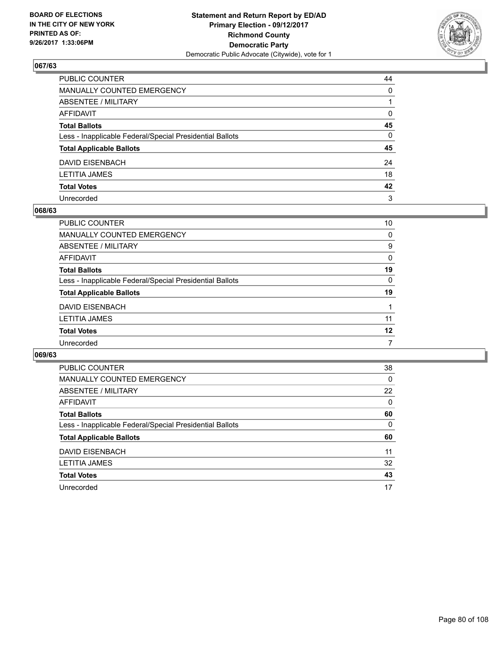

| PUBLIC COUNTER                                           | 44           |
|----------------------------------------------------------|--------------|
| MANUALLY COUNTED EMERGENCY                               | $\mathbf{0}$ |
| ABSENTEE / MILITARY                                      |              |
| AFFIDAVIT                                                | $\mathbf{0}$ |
| <b>Total Ballots</b>                                     | 45           |
| Less - Inapplicable Federal/Special Presidential Ballots | $\mathbf{0}$ |
| <b>Total Applicable Ballots</b>                          | 45           |
| DAVID EISENBACH                                          | 24           |
| LETITIA JAMES                                            | 18           |
| <b>Total Votes</b>                                       | 42           |
| Unrecorded                                               | 3            |

#### **068/63**

| PUBLIC COUNTER                                           | 10 |
|----------------------------------------------------------|----|
| MANUALLY COUNTED EMERGENCY                               | 0  |
| ABSENTEE / MILITARY                                      | 9  |
| AFFIDAVIT                                                | 0  |
| <b>Total Ballots</b>                                     | 19 |
| Less - Inapplicable Federal/Special Presidential Ballots | 0  |
| <b>Total Applicable Ballots</b>                          | 19 |
| <b>DAVID EISENBACH</b>                                   |    |
| <b>LETITIA JAMES</b>                                     | 11 |
| <b>Total Votes</b>                                       | 12 |
| Unrecorded                                               | 7  |
|                                                          |    |

| <b>PUBLIC COUNTER</b>                                    | 38 |
|----------------------------------------------------------|----|
| <b>MANUALLY COUNTED EMERGENCY</b>                        | 0  |
| <b>ABSENTEE / MILITARY</b>                               | 22 |
| <b>AFFIDAVIT</b>                                         | 0  |
| <b>Total Ballots</b>                                     | 60 |
| Less - Inapplicable Federal/Special Presidential Ballots | 0  |
| <b>Total Applicable Ballots</b>                          | 60 |
| <b>DAVID EISENBACH</b>                                   | 11 |
| <b>LETITIA JAMES</b>                                     | 32 |
| <b>Total Votes</b>                                       | 43 |
|                                                          |    |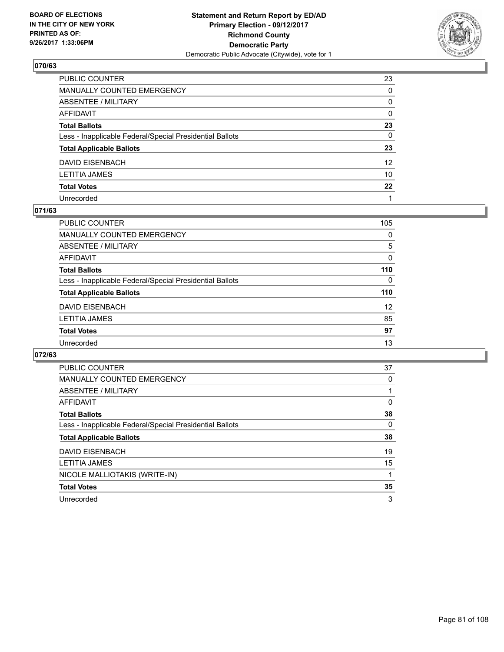

| PUBLIC COUNTER                                           | 23              |
|----------------------------------------------------------|-----------------|
| MANUALLY COUNTED EMERGENCY                               | $\mathbf{0}$    |
| ABSENTEE / MILITARY                                      | 0               |
| AFFIDAVIT                                                | $\mathbf{0}$    |
| <b>Total Ballots</b>                                     | 23              |
| Less - Inapplicable Federal/Special Presidential Ballots | $\mathbf{0}$    |
| <b>Total Applicable Ballots</b>                          | 23              |
| DAVID EISENBACH                                          | 12 <sup>2</sup> |
| LETITIA JAMES                                            | 10              |
| <b>Total Votes</b>                                       | $22 \,$         |
| Unrecorded                                               |                 |

### **071/63**

| PUBLIC COUNTER                                           | 105      |
|----------------------------------------------------------|----------|
| <b>MANUALLY COUNTED EMERGENCY</b>                        | 0        |
| ABSENTEE / MILITARY                                      | 5        |
| AFFIDAVIT                                                | $\Omega$ |
| <b>Total Ballots</b>                                     | 110      |
| Less - Inapplicable Federal/Special Presidential Ballots | 0        |
| <b>Total Applicable Ballots</b>                          | 110      |
| DAVID EISENBACH                                          | 12       |
| <b>LETITIA JAMES</b>                                     | 85       |
| <b>Total Votes</b>                                       | 97       |
| Unrecorded                                               | 13       |

| PUBLIC COUNTER                                           | 37 |
|----------------------------------------------------------|----|
| <b>MANUALLY COUNTED EMERGENCY</b>                        | 0  |
| <b>ABSENTEE / MILITARY</b>                               |    |
| <b>AFFIDAVIT</b>                                         | 0  |
| <b>Total Ballots</b>                                     | 38 |
| Less - Inapplicable Federal/Special Presidential Ballots | 0  |
| <b>Total Applicable Ballots</b>                          | 38 |
| <b>DAVID EISENBACH</b>                                   | 19 |
| <b>LETITIA JAMES</b>                                     | 15 |
| NICOLE MALLIOTAKIS (WRITE-IN)                            |    |
| <b>Total Votes</b>                                       | 35 |
| Unrecorded                                               | 3  |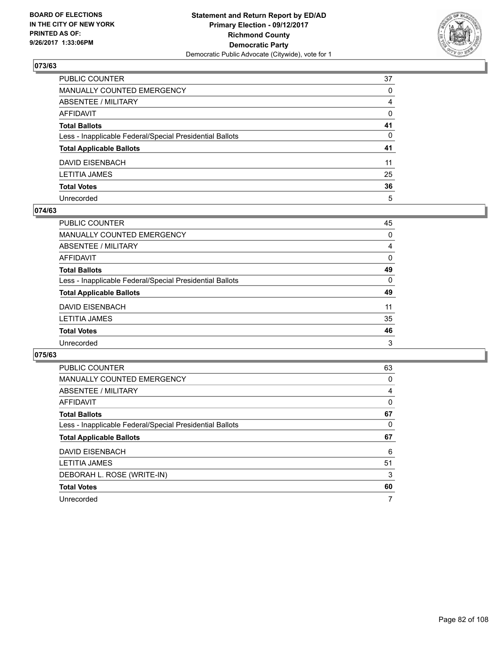

| PUBLIC COUNTER                                           | 37           |
|----------------------------------------------------------|--------------|
| MANUALLY COUNTED EMERGENCY                               | $\mathbf{0}$ |
| ABSENTEE / MILITARY                                      | 4            |
| AFFIDAVIT                                                | $\mathbf{0}$ |
| <b>Total Ballots</b>                                     | 41           |
| Less - Inapplicable Federal/Special Presidential Ballots | $\mathbf{0}$ |
| <b>Total Applicable Ballots</b>                          | 41           |
| DAVID EISENBACH                                          | 11           |
| LETITIA JAMES                                            | 25           |
| <b>Total Votes</b>                                       | 36           |
| Unrecorded                                               | 5            |

#### **074/63**

| PUBLIC COUNTER                                           | 45 |
|----------------------------------------------------------|----|
| MANUALLY COUNTED EMERGENCY                               | 0  |
| <b>ABSENTEE / MILITARY</b>                               | 4  |
| AFFIDAVIT                                                | 0  |
| <b>Total Ballots</b>                                     | 49 |
| Less - Inapplicable Federal/Special Presidential Ballots | 0  |
| <b>Total Applicable Ballots</b>                          | 49 |
| <b>DAVID EISENBACH</b>                                   | 11 |
| <b>LETITIA JAMES</b>                                     | 35 |
| <b>Total Votes</b>                                       | 46 |
| Unrecorded                                               | 3  |

| <b>PUBLIC COUNTER</b>                                    | 63 |
|----------------------------------------------------------|----|
| <b>MANUALLY COUNTED EMERGENCY</b>                        | 0  |
| ABSENTEE / MILITARY                                      | 4  |
| <b>AFFIDAVIT</b>                                         | 0  |
| <b>Total Ballots</b>                                     | 67 |
| Less - Inapplicable Federal/Special Presidential Ballots | 0  |
|                                                          |    |
| <b>Total Applicable Ballots</b>                          | 67 |
| <b>DAVID EISENBACH</b>                                   | 6  |
| <b>LETITIA JAMES</b>                                     | 51 |
| DEBORAH L. ROSE (WRITE-IN)                               | 3  |
| <b>Total Votes</b>                                       | 60 |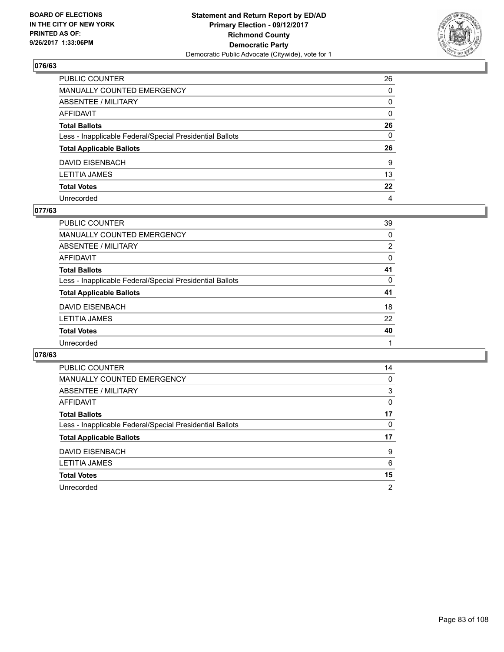

| PUBLIC COUNTER                                           | 26           |
|----------------------------------------------------------|--------------|
| MANUALLY COUNTED EMERGENCY                               | $\mathbf{0}$ |
| ABSENTEE / MILITARY                                      | 0            |
| AFFIDAVIT                                                | 0            |
| Total Ballots                                            | 26           |
| Less - Inapplicable Federal/Special Presidential Ballots | $\mathbf{0}$ |
| <b>Total Applicable Ballots</b>                          | 26           |
| DAVID EISENBACH                                          | 9            |
| LETITIA JAMES                                            | 13           |
| <b>Total Votes</b>                                       | $22 \,$      |
| Unrecorded                                               | 4            |

#### **077/63**

| PUBLIC COUNTER                                           | 39             |
|----------------------------------------------------------|----------------|
| <b>MANUALLY COUNTED EMERGENCY</b>                        | $\Omega$       |
| ABSENTEE / MILITARY                                      | $\overline{2}$ |
| AFFIDAVIT                                                | 0              |
| <b>Total Ballots</b>                                     | 41             |
| Less - Inapplicable Federal/Special Presidential Ballots | 0              |
| <b>Total Applicable Ballots</b>                          | 41             |
| <b>DAVID EISENBACH</b>                                   | 18             |
| <b>LETITIA JAMES</b>                                     | 22             |
| <b>Total Votes</b>                                       | 40             |
| Unrecorded                                               |                |

| <b>PUBLIC COUNTER</b>                                    | 14 |
|----------------------------------------------------------|----|
| MANUALLY COUNTED EMERGENCY                               | 0  |
| ABSENTEE / MILITARY                                      | 3  |
| <b>AFFIDAVIT</b>                                         | 0  |
| <b>Total Ballots</b>                                     | 17 |
| Less - Inapplicable Federal/Special Presidential Ballots | 0  |
| <b>Total Applicable Ballots</b>                          | 17 |
| <b>DAVID EISENBACH</b>                                   | 9  |
| <b>LETITIA JAMES</b>                                     | 6  |
| <b>Total Votes</b>                                       | 15 |
| Unrecorded                                               | 2  |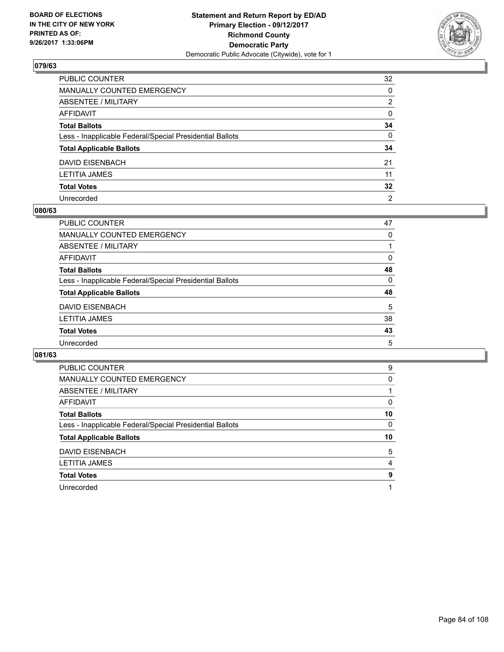

| PUBLIC COUNTER                                           | 32              |
|----------------------------------------------------------|-----------------|
| MANUALLY COUNTED EMERGENCY                               | $\Omega$        |
| ABSENTEE / MILITARY                                      | 2               |
| AFFIDAVIT                                                | 0               |
| Total Ballots                                            | 34              |
| Less - Inapplicable Federal/Special Presidential Ballots | $\mathbf{0}$    |
| <b>Total Applicable Ballots</b>                          | 34              |
| DAVID EISENBACH                                          | 21              |
| LETITIA JAMES                                            | 11              |
| <b>Total Votes</b>                                       | $32\phantom{a}$ |
| Unrecorded                                               | $\overline{2}$  |

#### **080/63**

| PUBLIC COUNTER                                           | 47 |
|----------------------------------------------------------|----|
| MANUALLY COUNTED EMERGENCY                               | 0  |
| <b>ABSENTEE / MILITARY</b>                               |    |
| AFFIDAVIT                                                | 0  |
| <b>Total Ballots</b>                                     | 48 |
| Less - Inapplicable Federal/Special Presidential Ballots | 0  |
| <b>Total Applicable Ballots</b>                          | 48 |
| <b>DAVID EISENBACH</b>                                   | 5  |
| <b>LETITIA JAMES</b>                                     | 38 |
| <b>Total Votes</b>                                       | 43 |
| Unrecorded                                               | 5  |

| <b>PUBLIC COUNTER</b>                                    | 9  |
|----------------------------------------------------------|----|
| <b>MANUALLY COUNTED EMERGENCY</b>                        | 0  |
| ABSENTEE / MILITARY                                      |    |
| AFFIDAVIT                                                | 0  |
| <b>Total Ballots</b>                                     | 10 |
| Less - Inapplicable Federal/Special Presidential Ballots | 0  |
| <b>Total Applicable Ballots</b>                          | 10 |
|                                                          | 5  |
| <b>DAVID EISENBACH</b>                                   |    |
| <b>LETITIA JAMES</b>                                     | 4  |
| <b>Total Votes</b>                                       | 9  |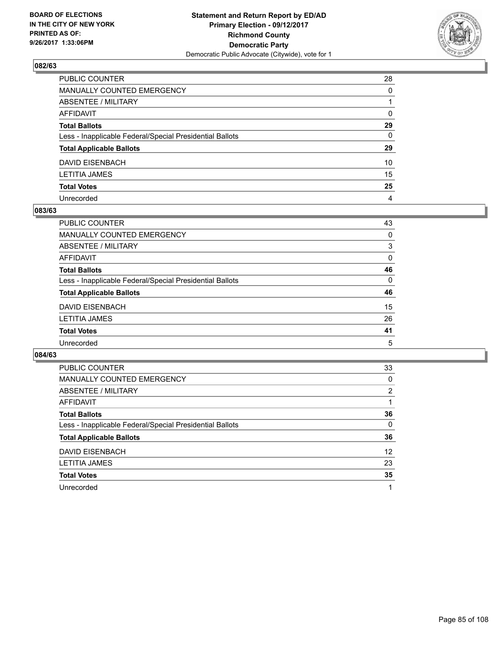

| PUBLIC COUNTER                                           | 28           |
|----------------------------------------------------------|--------------|
| MANUALLY COUNTED EMERGENCY                               | 0            |
| ABSENTEE / MILITARY                                      |              |
| AFFIDAVIT                                                | $\mathbf{0}$ |
| Total Ballots                                            | 29           |
| Less - Inapplicable Federal/Special Presidential Ballots | 0            |
| <b>Total Applicable Ballots</b>                          | 29           |
| DAVID EISENBACH                                          | 10           |
| LETITIA JAMES                                            | 15           |
| <b>Total Votes</b>                                       | 25           |
| Unrecorded                                               | 4            |

#### **083/63**

| <b>PUBLIC COUNTER</b>                                    | 43       |
|----------------------------------------------------------|----------|
| <b>MANUALLY COUNTED EMERGENCY</b>                        | 0        |
| ABSENTEE / MILITARY                                      | 3        |
| AFFIDAVIT                                                | 0        |
| <b>Total Ballots</b>                                     | 46       |
| Less - Inapplicable Federal/Special Presidential Ballots | $\Omega$ |
| <b>Total Applicable Ballots</b>                          | 46       |
| <b>DAVID EISENBACH</b>                                   | 15       |
| <b>LETITIA JAMES</b>                                     | 26       |
| <b>Total Votes</b>                                       | 41       |
| Unrecorded                                               | 5        |

| <b>PUBLIC COUNTER</b>                                    | 33                |
|----------------------------------------------------------|-------------------|
| <b>MANUALLY COUNTED EMERGENCY</b>                        | 0                 |
| <b>ABSENTEE / MILITARY</b>                               | 2                 |
| AFFIDAVIT                                                |                   |
| <b>Total Ballots</b>                                     | 36                |
| Less - Inapplicable Federal/Special Presidential Ballots | 0                 |
| <b>Total Applicable Ballots</b>                          | 36                |
| <b>DAVID EISENBACH</b>                                   | $12 \overline{ }$ |
| <b>LETITIA JAMES</b>                                     | 23                |
| <b>Total Votes</b>                                       | 35                |
| Unrecorded                                               | 1                 |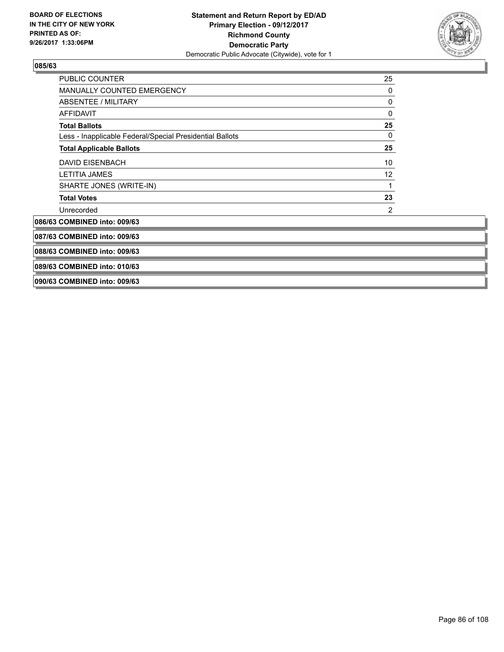

| PUBLIC COUNTER                                           | 25 |
|----------------------------------------------------------|----|
| MANUALLY COUNTED EMERGENCY                               | 0  |
| ABSENTEE / MILITARY                                      | 0  |
| <b>AFFIDAVIT</b>                                         | 0  |
| <b>Total Ballots</b>                                     | 25 |
| Less - Inapplicable Federal/Special Presidential Ballots | 0  |
| <b>Total Applicable Ballots</b>                          | 25 |
| <b>DAVID EISENBACH</b>                                   | 10 |
| <b>LETITIA JAMES</b>                                     | 12 |
| SHARTE JONES (WRITE-IN)                                  |    |
| <b>Total Votes</b>                                       | 23 |
| Unrecorded                                               | 2  |
| 086/63 COMBINED into: 009/63                             |    |
| 087/63 COMBINED into: 009/63                             |    |
| 088/63 COMBINED into: 009/63                             |    |
| 089/63 COMBINED into: 010/63                             |    |
| 090/63 COMBINED into: 009/63                             |    |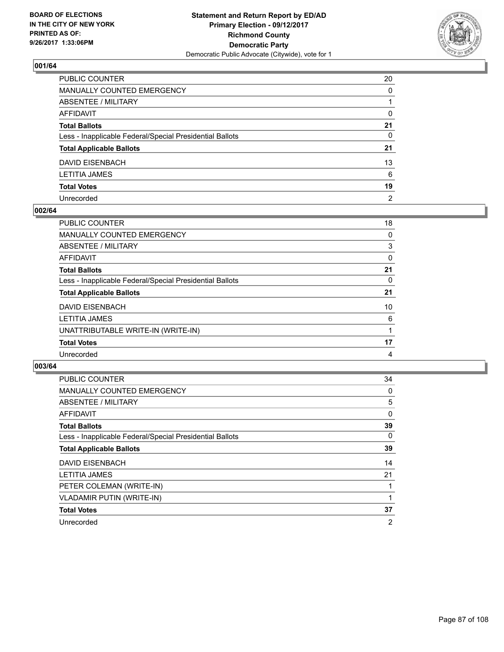

| PUBLIC COUNTER                                           | 20             |
|----------------------------------------------------------|----------------|
| MANUALLY COUNTED EMERGENCY                               | $\Omega$       |
| ABSENTEE / MILITARY                                      |                |
| AFFIDAVIT                                                | 0              |
| Total Ballots                                            | 21             |
| Less - Inapplicable Federal/Special Presidential Ballots | 0              |
| <b>Total Applicable Ballots</b>                          | 21             |
| DAVID EISENBACH                                          | 13             |
| LETITIA JAMES                                            | 6              |
| <b>Total Votes</b>                                       | 19             |
| Unrecorded                                               | $\overline{2}$ |

#### **002/64**

| PUBLIC COUNTER                                           | 18 |
|----------------------------------------------------------|----|
| <b>MANUALLY COUNTED EMERGENCY</b>                        | 0  |
| ABSENTEE / MILITARY                                      | 3  |
| AFFIDAVIT                                                | 0  |
| <b>Total Ballots</b>                                     | 21 |
| Less - Inapplicable Federal/Special Presidential Ballots | 0  |
| <b>Total Applicable Ballots</b>                          | 21 |
| DAVID EISENBACH                                          | 10 |
| <b>LETITIA JAMES</b>                                     | 6  |
| UNATTRIBUTABLE WRITE-IN (WRITE-IN)                       |    |
| <b>Total Votes</b>                                       | 17 |
| Unrecorded                                               | 4  |

| <b>PUBLIC COUNTER</b>                                    | 34             |
|----------------------------------------------------------|----------------|
| <b>MANUALLY COUNTED EMERGENCY</b>                        | 0              |
| ABSENTEE / MILITARY                                      | 5              |
| AFFIDAVIT                                                | 0              |
| <b>Total Ballots</b>                                     | 39             |
| Less - Inapplicable Federal/Special Presidential Ballots | 0              |
| <b>Total Applicable Ballots</b>                          | 39             |
| <b>DAVID EISENBACH</b>                                   | 14             |
| <b>LETITIA JAMES</b>                                     | 21             |
| PETER COLEMAN (WRITE-IN)                                 |                |
| <b>VLADAMIR PUTIN (WRITE-IN)</b>                         |                |
| <b>Total Votes</b>                                       | 37             |
| Unrecorded                                               | $\overline{2}$ |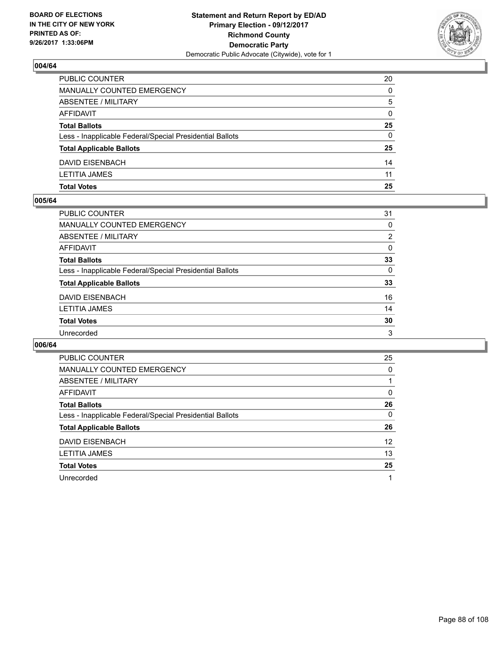

| <b>Total Votes</b>                                       | 25       |
|----------------------------------------------------------|----------|
| <b>LETITIA JAMES</b>                                     | 11       |
| <b>DAVID EISENBACH</b>                                   | 14       |
| <b>Total Applicable Ballots</b>                          | 25       |
| Less - Inapplicable Federal/Special Presidential Ballots | 0        |
| <b>Total Ballots</b>                                     | 25       |
| AFFIDAVIT                                                | $\Omega$ |
| ABSENTEE / MILITARY                                      | 5        |
| MANUALLY COUNTED EMERGENCY                               | 0        |
| PUBLIC COUNTER                                           | 20       |

#### **005/64**

| PUBLIC COUNTER                                           | 31             |
|----------------------------------------------------------|----------------|
| <b>MANUALLY COUNTED EMERGENCY</b>                        | $\Omega$       |
| <b>ABSENTEE / MILITARY</b>                               | $\overline{2}$ |
| <b>AFFIDAVIT</b>                                         | 0              |
| <b>Total Ballots</b>                                     | 33             |
| Less - Inapplicable Federal/Special Presidential Ballots | $\Omega$       |
| <b>Total Applicable Ballots</b>                          | 33             |
| <b>DAVID EISENBACH</b>                                   | 16             |
| <b>LETITIA JAMES</b>                                     | 14             |
| <b>Total Votes</b>                                       | 30             |
| Unrecorded                                               | 3              |
|                                                          |                |

| <b>PUBLIC COUNTER</b>                                    | 25                |
|----------------------------------------------------------|-------------------|
| <b>MANUALLY COUNTED EMERGENCY</b>                        | 0                 |
| <b>ABSENTEE / MILITARY</b>                               |                   |
| <b>AFFIDAVIT</b>                                         | 0                 |
| <b>Total Ballots</b>                                     | 26                |
| Less - Inapplicable Federal/Special Presidential Ballots | 0                 |
| <b>Total Applicable Ballots</b>                          | 26                |
| <b>DAVID EISENBACH</b>                                   | $12 \overline{ }$ |
| <b>LETITIA JAMES</b>                                     | 13                |
| <b>Total Votes</b>                                       | 25                |
| Unrecorded                                               |                   |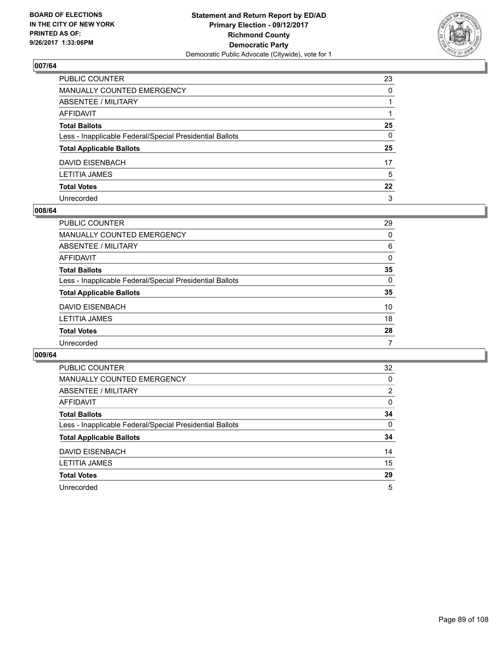

| PUBLIC COUNTER                                           | 23       |
|----------------------------------------------------------|----------|
| MANUALLY COUNTED EMERGENCY                               | $\Omega$ |
| ABSENTEE / MILITARY                                      |          |
| AFFIDAVIT                                                |          |
| Total Ballots                                            | 25       |
| Less - Inapplicable Federal/Special Presidential Ballots | 0        |
| <b>Total Applicable Ballots</b>                          | 25       |
| DAVID EISENBACH                                          | 17       |
| LETITIA JAMES                                            | 5        |
| <b>Total Votes</b>                                       | $22 \,$  |
| Unrecorded                                               | 3        |

#### **008/64**

| PUBLIC COUNTER                                           | 29       |
|----------------------------------------------------------|----------|
| MANUALLY COUNTED EMERGENCY                               | $\Omega$ |
| <b>ABSENTEE / MILITARY</b>                               | 6        |
| AFFIDAVIT                                                | $\Omega$ |
| <b>Total Ballots</b>                                     | 35       |
| Less - Inapplicable Federal/Special Presidential Ballots | 0        |
| <b>Total Applicable Ballots</b>                          | 35       |
| <b>DAVID EISENBACH</b>                                   | 10       |
| <b>LETITIA JAMES</b>                                     | 18       |
| <b>Total Votes</b>                                       | 28       |
| Unrecorded                                               | 7        |

| <b>PUBLIC COUNTER</b>                                    | 32             |
|----------------------------------------------------------|----------------|
| <b>MANUALLY COUNTED EMERGENCY</b>                        | 0              |
| <b>ABSENTEE / MILITARY</b>                               | $\overline{2}$ |
| <b>AFFIDAVIT</b>                                         | 0              |
| <b>Total Ballots</b>                                     | 34             |
| Less - Inapplicable Federal/Special Presidential Ballots | 0              |
| <b>Total Applicable Ballots</b>                          | 34             |
| <b>DAVID EISENBACH</b>                                   | 14             |
| <b>LETITIA JAMES</b>                                     | 15             |
| <b>Total Votes</b>                                       | 29             |
| Unrecorded                                               | 5              |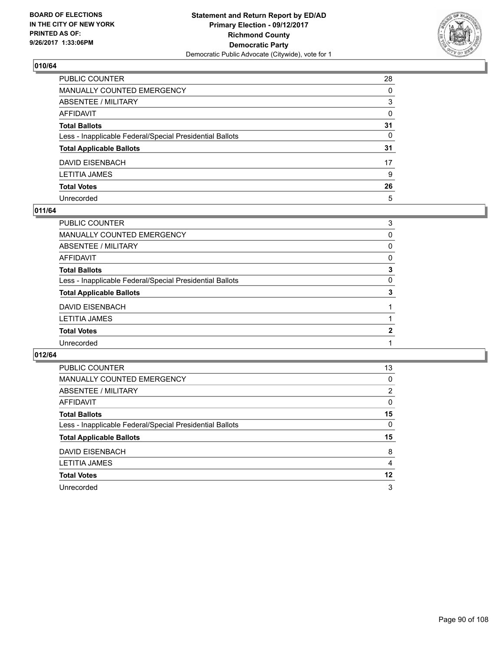

| PUBLIC COUNTER                                           | 28           |
|----------------------------------------------------------|--------------|
| MANUALLY COUNTED EMERGENCY                               | $\Omega$     |
| ABSENTEE / MILITARY                                      | 3            |
| AFFIDAVIT                                                | $\mathbf{0}$ |
| Total Ballots                                            | 31           |
| Less - Inapplicable Federal/Special Presidential Ballots | $\Omega$     |
| <b>Total Applicable Ballots</b>                          | 31           |
| DAVID EISENBACH                                          | 17           |
| LETITIA JAMES                                            | 9            |
| <b>Total Votes</b>                                       | 26           |
| Unrecorded                                               | 5            |

#### **011/64**

| PUBLIC COUNTER                                           | 3        |
|----------------------------------------------------------|----------|
| <b>MANUALLY COUNTED EMERGENCY</b>                        | 0        |
| ABSENTEE / MILITARY                                      | 0        |
| <b>AFFIDAVIT</b>                                         | 0        |
| <b>Total Ballots</b>                                     | 3        |
| Less - Inapplicable Federal/Special Presidential Ballots | $\Omega$ |
| <b>Total Applicable Ballots</b>                          | 3        |
| <b>DAVID EISENBACH</b>                                   |          |
| <b>LETITIA JAMES</b>                                     |          |
| <b>Total Votes</b>                                       | 2        |
| Unrecorded                                               |          |
|                                                          |          |

| <b>PUBLIC COUNTER</b>                                    | 13             |
|----------------------------------------------------------|----------------|
| <b>MANUALLY COUNTED EMERGENCY</b>                        | 0              |
| ABSENTEE / MILITARY                                      | $\overline{2}$ |
| AFFIDAVIT                                                | 0              |
| <b>Total Ballots</b>                                     | 15             |
| Less - Inapplicable Federal/Special Presidential Ballots | 0              |
| <b>Total Applicable Ballots</b>                          | 15             |
|                                                          | 8              |
| DAVID EISENBACH                                          |                |
| <b>LETITIA JAMES</b>                                     | 4              |
| <b>Total Votes</b>                                       | 12             |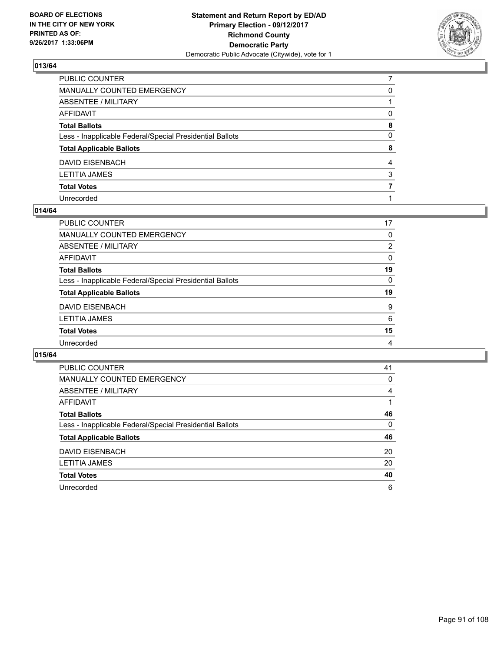

| PUBLIC COUNTER                                           |              |
|----------------------------------------------------------|--------------|
| MANUALLY COUNTED EMERGENCY                               | 0            |
| ABSENTEE / MILITARY                                      |              |
| AFFIDAVIT                                                | 0            |
| <b>Total Ballots</b>                                     | 8            |
| Less - Inapplicable Federal/Special Presidential Ballots | $\mathbf{0}$ |
| <b>Total Applicable Ballots</b>                          | 8            |
| <b>DAVID EISENBACH</b>                                   | 4            |
| LETITIA JAMES                                            | 3            |
| <b>Total Votes</b>                                       |              |
| Unrecorded                                               |              |

#### **014/64**

| PUBLIC COUNTER                                           | 17             |
|----------------------------------------------------------|----------------|
| MANUALLY COUNTED EMERGENCY                               | 0              |
| ABSENTEE / MILITARY                                      | $\overline{2}$ |
| AFFIDAVIT                                                | 0              |
| <b>Total Ballots</b>                                     | 19             |
| Less - Inapplicable Federal/Special Presidential Ballots | 0              |
| <b>Total Applicable Ballots</b>                          | 19             |
| <b>DAVID EISENBACH</b>                                   | 9              |
| <b>LETITIA JAMES</b>                                     | 6              |
| <b>Total Votes</b>                                       | 15             |
| Unrecorded                                               | 4              |
|                                                          |                |

| <b>PUBLIC COUNTER</b>                                    | 41 |
|----------------------------------------------------------|----|
| <b>MANUALLY COUNTED EMERGENCY</b>                        | 0  |
| ABSENTEE / MILITARY                                      | 4  |
| AFFIDAVIT                                                |    |
| <b>Total Ballots</b>                                     | 46 |
| Less - Inapplicable Federal/Special Presidential Ballots | 0  |
| <b>Total Applicable Ballots</b>                          | 46 |
| <b>DAVID EISENBACH</b>                                   | 20 |
| <b>LETITIA JAMES</b>                                     | 20 |
| <b>Total Votes</b>                                       | 40 |
| Unrecorded                                               | 6  |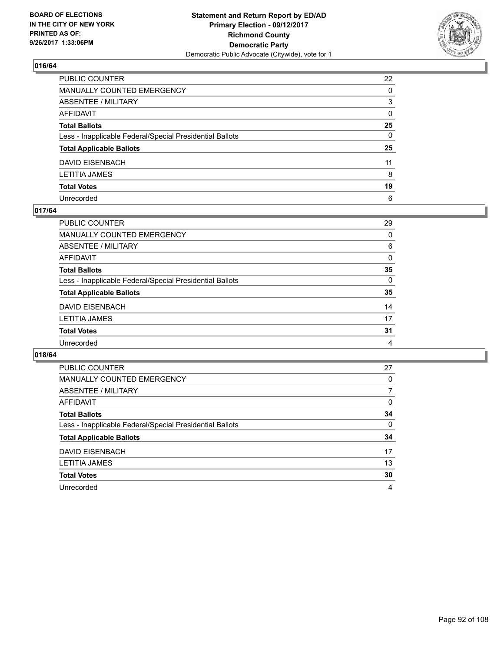

| PUBLIC COUNTER                                           | 22           |
|----------------------------------------------------------|--------------|
| MANUALLY COUNTED EMERGENCY                               | $\Omega$     |
| ABSENTEE / MILITARY                                      | 3            |
| AFFIDAVIT                                                | $\mathbf{0}$ |
| Total Ballots                                            | 25           |
| Less - Inapplicable Federal/Special Presidential Ballots | $\mathbf{0}$ |
| <b>Total Applicable Ballots</b>                          | 25           |
| DAVID EISENBACH                                          | 11           |
| LETITIA JAMES                                            | 8            |
| <b>Total Votes</b>                                       | 19           |
| Unrecorded                                               | 6            |

#### **017/64**

| 29       |
|----------|
| 0        |
| 6        |
| 0        |
| 35       |
| $\Omega$ |
| 35       |
| 14       |
| 17       |
| 31       |
| 4        |
|          |

| <b>PUBLIC COUNTER</b>                                    | 27 |
|----------------------------------------------------------|----|
| <b>MANUALLY COUNTED EMERGENCY</b>                        | 0  |
| <b>ABSENTEE / MILITARY</b>                               | 7  |
| <b>AFFIDAVIT</b>                                         | 0  |
| <b>Total Ballots</b>                                     | 34 |
| Less - Inapplicable Federal/Special Presidential Ballots | 0  |
| <b>Total Applicable Ballots</b>                          | 34 |
| <b>DAVID EISENBACH</b>                                   | 17 |
| <b>LETITIA JAMES</b>                                     | 13 |
| <b>Total Votes</b>                                       | 30 |
| Unrecorded                                               | 4  |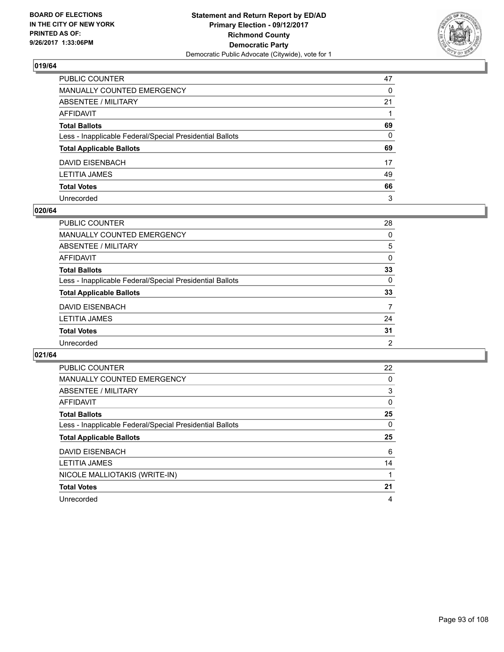

| PUBLIC COUNTER                                           | 47 |
|----------------------------------------------------------|----|
| MANUALLY COUNTED EMERGENCY                               | 0  |
| ABSENTEE / MILITARY                                      | 21 |
| AFFIDAVIT                                                |    |
| Total Ballots                                            | 69 |
| Less - Inapplicable Federal/Special Presidential Ballots | 0  |
| <b>Total Applicable Ballots</b>                          | 69 |
| DAVID EISENBACH                                          | 17 |
| LETITIA JAMES                                            | 49 |
| <b>Total Votes</b>                                       | 66 |
| Unrecorded                                               | 3  |

#### **020/64**

| PUBLIC COUNTER                                           | 28       |
|----------------------------------------------------------|----------|
|                                                          |          |
| <b>MANUALLY COUNTED EMERGENCY</b>                        | 0        |
| ABSENTEE / MILITARY                                      | 5        |
| AFFIDAVIT                                                | 0        |
| <b>Total Ballots</b>                                     | 33       |
| Less - Inapplicable Federal/Special Presidential Ballots | $\Omega$ |
| <b>Total Applicable Ballots</b>                          | 33       |
| <b>DAVID EISENBACH</b>                                   | 7        |
| <b>LETITIA JAMES</b>                                     | 24       |
| <b>Total Votes</b>                                       | 31       |
| Unrecorded                                               | 2        |

| <b>PUBLIC COUNTER</b>                                    | 22 |
|----------------------------------------------------------|----|
| <b>MANUALLY COUNTED EMERGENCY</b>                        | 0  |
| ABSENTEE / MILITARY                                      | 3  |
| <b>AFFIDAVIT</b>                                         | 0  |
| <b>Total Ballots</b>                                     | 25 |
| Less - Inapplicable Federal/Special Presidential Ballots | 0  |
|                                                          |    |
| <b>Total Applicable Ballots</b>                          | 25 |
| <b>DAVID EISENBACH</b>                                   | 6  |
| <b>LETITIA JAMES</b>                                     | 14 |
| NICOLE MALLIOTAKIS (WRITE-IN)                            |    |
| <b>Total Votes</b>                                       | 21 |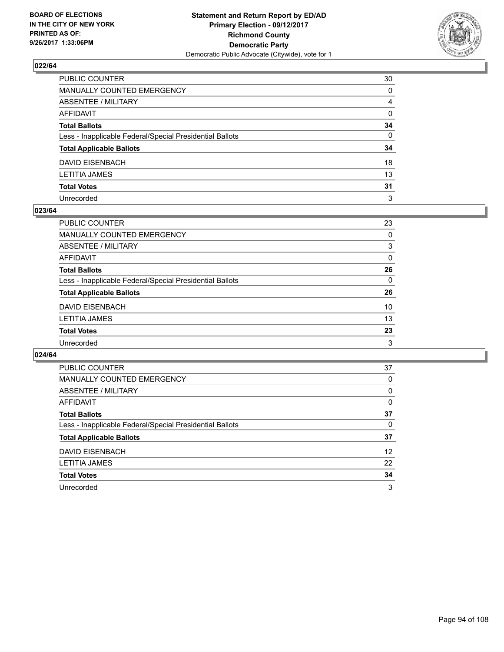

| PUBLIC COUNTER                                           | 30           |
|----------------------------------------------------------|--------------|
| MANUALLY COUNTED EMERGENCY                               | 0            |
| ABSENTEE / MILITARY                                      | 4            |
| AFFIDAVIT                                                | $\mathbf{0}$ |
| Total Ballots                                            | 34           |
| Less - Inapplicable Federal/Special Presidential Ballots | $\mathbf{0}$ |
| <b>Total Applicable Ballots</b>                          | 34           |
| DAVID EISENBACH                                          | 18           |
| LETITIA JAMES                                            | 13           |
| <b>Total Votes</b>                                       | 31           |
| Unrecorded                                               | 3            |

#### **023/64**

| <b>PUBLIC COUNTER</b>                                    | 23       |
|----------------------------------------------------------|----------|
| <b>MANUALLY COUNTED EMERGENCY</b>                        | 0        |
| ABSENTEE / MILITARY                                      | 3        |
| AFFIDAVIT                                                | 0        |
| <b>Total Ballots</b>                                     | 26       |
| Less - Inapplicable Federal/Special Presidential Ballots | $\Omega$ |
| <b>Total Applicable Ballots</b>                          | 26       |
| <b>DAVID EISENBACH</b>                                   | 10       |
| <b>LETITIA JAMES</b>                                     | 13       |
| <b>Total Votes</b>                                       | 23       |
| Unrecorded                                               | 3        |

| <b>PUBLIC COUNTER</b>                                    | 37 |
|----------------------------------------------------------|----|
| <b>MANUALLY COUNTED EMERGENCY</b>                        | 0  |
| ABSENTEE / MILITARY                                      | 0  |
| AFFIDAVIT                                                | 0  |
| <b>Total Ballots</b>                                     | 37 |
| Less - Inapplicable Federal/Special Presidential Ballots | 0  |
| <b>Total Applicable Ballots</b>                          | 37 |
| DAVID EISENBACH                                          | 12 |
| <b>LETITIA JAMES</b>                                     | 22 |
| <b>Total Votes</b>                                       | 34 |
| Unrecorded                                               | 3  |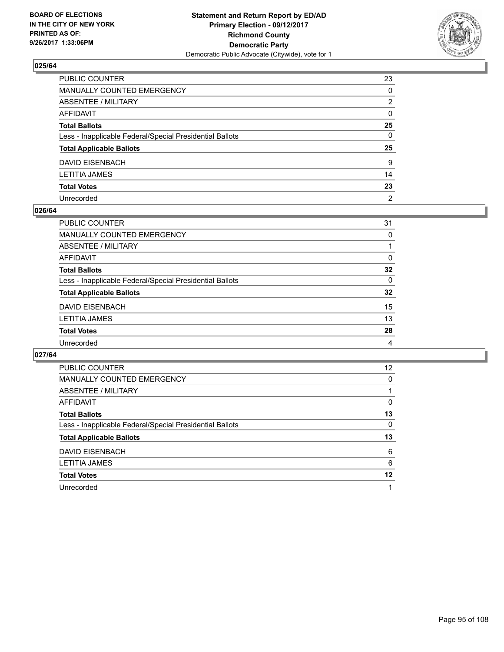

| PUBLIC COUNTER                                           | 23             |
|----------------------------------------------------------|----------------|
| MANUALLY COUNTED EMERGENCY                               | 0              |
| ABSENTEE / MILITARY                                      | 2              |
| AFFIDAVIT                                                | $\mathbf{0}$   |
| Total Ballots                                            | 25             |
| Less - Inapplicable Federal/Special Presidential Ballots | $\mathbf{0}$   |
| <b>Total Applicable Ballots</b>                          | 25             |
| DAVID EISENBACH                                          | 9              |
| LETITIA JAMES                                            | 14             |
| <b>Total Votes</b>                                       | 23             |
| Unrecorded                                               | $\overline{2}$ |

#### **026/64**

| PUBLIC COUNTER                                           | 31       |
|----------------------------------------------------------|----------|
| MANUALLY COUNTED EMERGENCY                               | 0        |
| ABSENTEE / MILITARY                                      |          |
| AFFIDAVIT                                                | 0        |
| <b>Total Ballots</b>                                     | 32       |
| Less - Inapplicable Federal/Special Presidential Ballots | $\Omega$ |
| <b>Total Applicable Ballots</b>                          | 32       |
| <b>DAVID EISENBACH</b>                                   | 15       |
| <b>LETITIA JAMES</b>                                     | 13       |
| <b>Total Votes</b>                                       | 28       |
| Unrecorded                                               | 4        |

| <b>PUBLIC COUNTER</b>                                    | 12 |
|----------------------------------------------------------|----|
| MANUALLY COUNTED EMERGENCY                               | 0  |
| ABSENTEE / MILITARY                                      |    |
| AFFIDAVIT                                                | 0  |
| <b>Total Ballots</b>                                     | 13 |
| Less - Inapplicable Federal/Special Presidential Ballots | 0  |
| <b>Total Applicable Ballots</b>                          | 13 |
| DAVID EISENBACH                                          | 6  |
| LETITIA JAMES                                            | 6  |
| <b>Total Votes</b>                                       | 12 |
|                                                          |    |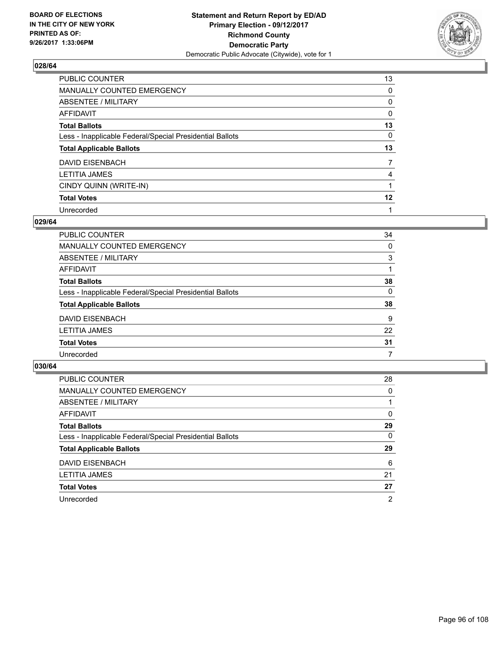

| PUBLIC COUNTER                                           | 13      |
|----------------------------------------------------------|---------|
| MANUALLY COUNTED EMERGENCY                               | 0       |
| ABSENTEE / MILITARY                                      | 0       |
| <b>AFFIDAVIT</b>                                         | 0       |
| <b>Total Ballots</b>                                     | 13      |
| Less - Inapplicable Federal/Special Presidential Ballots | 0       |
| <b>Total Applicable Ballots</b>                          | 13      |
| <b>DAVID EISENBACH</b>                                   | 7       |
| <b>LETITIA JAMES</b>                                     | 4       |
| CINDY QUINN (WRITE-IN)                                   |         |
| <b>Total Votes</b>                                       | $12 \,$ |
| Unrecorded                                               |         |

#### **029/64**

| PUBLIC COUNTER                                           | 34 |
|----------------------------------------------------------|----|
| MANUALLY COUNTED EMERGENCY                               | 0  |
| ABSENTEE / MILITARY                                      | 3  |
| AFFIDAVIT                                                |    |
| <b>Total Ballots</b>                                     | 38 |
| Less - Inapplicable Federal/Special Presidential Ballots | 0  |
| <b>Total Applicable Ballots</b>                          | 38 |
| DAVID EISENBACH                                          | 9  |
| <b>LETITIA JAMES</b>                                     | 22 |
| <b>Total Votes</b>                                       | 31 |
| Unrecorded                                               | 7  |

| <b>PUBLIC COUNTER</b>                                    | 28 |
|----------------------------------------------------------|----|
| MANUALLY COUNTED EMERGENCY                               | 0  |
| ABSENTEE / MILITARY                                      |    |
| AFFIDAVIT                                                | 0  |
| <b>Total Ballots</b>                                     | 29 |
| Less - Inapplicable Federal/Special Presidential Ballots | 0  |
| <b>Total Applicable Ballots</b>                          | 29 |
| DAVID EISENBACH                                          | 6  |
| <b>LETITIA JAMES</b>                                     | 21 |
| <b>Total Votes</b>                                       | 27 |
| Unrecorded                                               | 2  |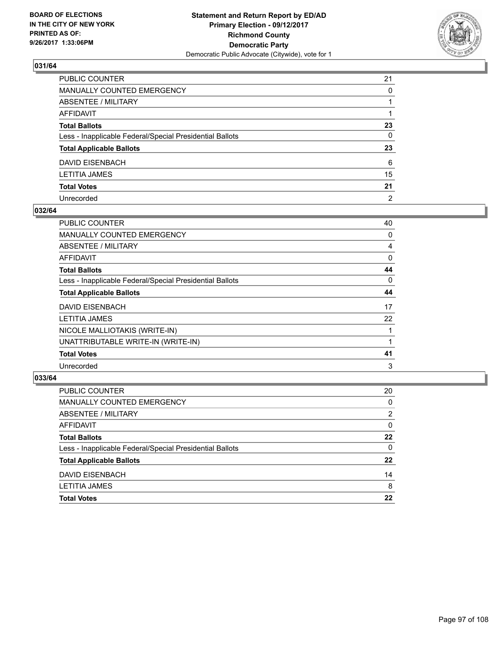

| PUBLIC COUNTER                                           | 21             |
|----------------------------------------------------------|----------------|
| MANUALLY COUNTED EMERGENCY                               | 0              |
| ABSENTEE / MILITARY                                      |                |
| AFFIDAVIT                                                |                |
| Total Ballots                                            | 23             |
| Less - Inapplicable Federal/Special Presidential Ballots | 0              |
| <b>Total Applicable Ballots</b>                          | 23             |
| DAVID EISENBACH                                          | 6              |
| LETITIA JAMES                                            | 15             |
| <b>Total Votes</b>                                       | 21             |
| Unrecorded                                               | $\overline{2}$ |

#### **032/64**

| <b>PUBLIC COUNTER</b>                                    | 40 |
|----------------------------------------------------------|----|
| <b>MANUALLY COUNTED EMERGENCY</b>                        | 0  |
| ABSENTEE / MILITARY                                      | 4  |
| AFFIDAVIT                                                | 0  |
| <b>Total Ballots</b>                                     | 44 |
| Less - Inapplicable Federal/Special Presidential Ballots | 0  |
| <b>Total Applicable Ballots</b>                          | 44 |
| <b>DAVID EISENBACH</b>                                   | 17 |
| <b>LETITIA JAMES</b>                                     | 22 |
| NICOLE MALLIOTAKIS (WRITE-IN)                            |    |
| UNATTRIBUTABLE WRITE-IN (WRITE-IN)                       |    |
| <b>Total Votes</b>                                       | 41 |
| Unrecorded                                               | 3  |

| <b>PUBLIC COUNTER</b>                                    | 20 |
|----------------------------------------------------------|----|
| MANUALLY COUNTED EMERGENCY                               | 0  |
| ABSENTEE / MILITARY                                      | 2  |
| AFFIDAVIT                                                | 0  |
| <b>Total Ballots</b>                                     | 22 |
| Less - Inapplicable Federal/Special Presidential Ballots | 0  |
| <b>Total Applicable Ballots</b>                          | 22 |
| DAVID EISENBACH                                          | 14 |
| <b>LETITIA JAMES</b>                                     | 8  |
| <b>Total Votes</b>                                       | 22 |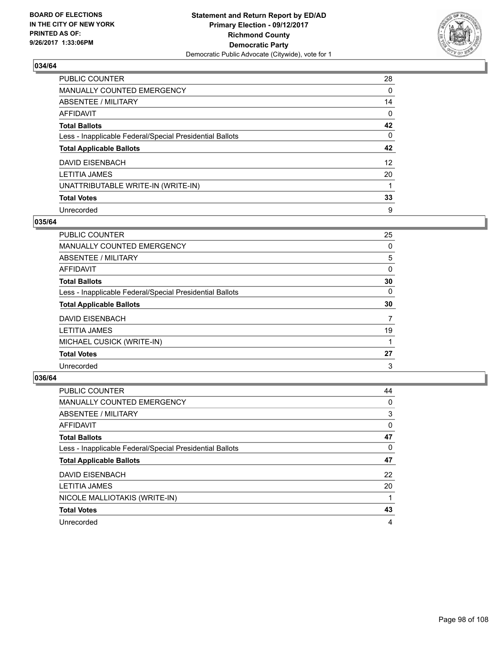

| PUBLIC COUNTER                                           | 28              |
|----------------------------------------------------------|-----------------|
| <b>MANUALLY COUNTED EMERGENCY</b>                        | $\Omega$        |
| ABSENTEE / MILITARY                                      | 14              |
| <b>AFFIDAVIT</b>                                         | 0               |
| <b>Total Ballots</b>                                     | 42              |
| Less - Inapplicable Federal/Special Presidential Ballots | 0               |
| <b>Total Applicable Ballots</b>                          | 42              |
| <b>DAVID EISENBACH</b>                                   | 12 <sup>2</sup> |
| <b>LETITIA JAMES</b>                                     | 20              |
| UNATTRIBUTABLE WRITE-IN (WRITE-IN)                       |                 |
| <b>Total Votes</b>                                       | 33              |
| Unrecorded                                               | 9               |

#### **035/64**

| <b>PUBLIC COUNTER</b>                                    | 25 |
|----------------------------------------------------------|----|
| <b>MANUALLY COUNTED EMERGENCY</b>                        | 0  |
| ABSENTEE / MILITARY                                      | 5  |
| AFFIDAVIT                                                | 0  |
| <b>Total Ballots</b>                                     | 30 |
| Less - Inapplicable Federal/Special Presidential Ballots | 0  |
| <b>Total Applicable Ballots</b>                          | 30 |
| DAVID EISENBACH                                          | 7  |
| <b>LETITIA JAMES</b>                                     | 19 |
| MICHAEL CUSICK (WRITE-IN)                                |    |
| <b>Total Votes</b>                                       | 27 |
| Unrecorded                                               | 3  |

| <b>PUBLIC COUNTER</b>                                    | 44 |
|----------------------------------------------------------|----|
| <b>MANUALLY COUNTED EMERGENCY</b>                        | 0  |
| ABSENTEE / MILITARY                                      | 3  |
| <b>AFFIDAVIT</b>                                         | 0  |
| <b>Total Ballots</b>                                     | 47 |
| Less - Inapplicable Federal/Special Presidential Ballots | 0  |
| <b>Total Applicable Ballots</b>                          | 47 |
| <b>DAVID EISENBACH</b>                                   | 22 |
| <b>LETITIA JAMES</b>                                     | 20 |
| NICOLE MALLIOTAKIS (WRITE-IN)                            |    |
| <b>Total Votes</b>                                       | 43 |
| Unrecorded                                               | 4  |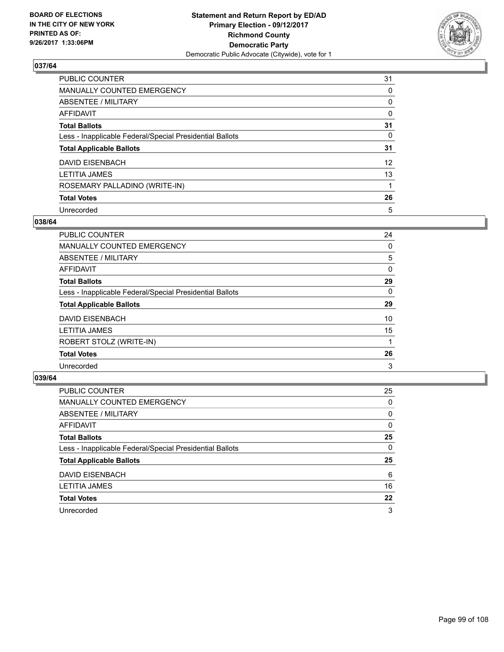

| <b>PUBLIC COUNTER</b>                                    | 31              |
|----------------------------------------------------------|-----------------|
| <b>MANUALLY COUNTED EMERGENCY</b>                        | 0               |
| ABSENTEE / MILITARY                                      | 0               |
| <b>AFFIDAVIT</b>                                         | 0               |
| <b>Total Ballots</b>                                     | 31              |
| Less - Inapplicable Federal/Special Presidential Ballots | 0               |
| <b>Total Applicable Ballots</b>                          | 31              |
| <b>DAVID EISENBACH</b>                                   | 12 <sup>°</sup> |
| <b>LETITIA JAMES</b>                                     | 13              |
| ROSEMARY PALLADINO (WRITE-IN)                            |                 |
| <b>Total Votes</b>                                       | 26              |
| Unrecorded                                               | 5               |

#### **038/64**

| <b>PUBLIC COUNTER</b>                                    | 24       |
|----------------------------------------------------------|----------|
| <b>MANUALLY COUNTED EMERGENCY</b>                        | 0        |
| ABSENTEE / MILITARY                                      | 5        |
| AFFIDAVIT                                                | 0        |
| <b>Total Ballots</b>                                     | 29       |
| Less - Inapplicable Federal/Special Presidential Ballots | $\Omega$ |
| <b>Total Applicable Ballots</b>                          | 29       |
| DAVID EISENBACH                                          | 10       |
| <b>LETITIA JAMES</b>                                     | 15       |
| ROBERT STOLZ (WRITE-IN)                                  |          |
| <b>Total Votes</b>                                       | 26       |
| Unrecorded                                               | 3        |

| <b>PUBLIC COUNTER</b>                                    | 25 |
|----------------------------------------------------------|----|
| MANUALLY COUNTED EMERGENCY                               | 0  |
| ABSENTEE / MILITARY                                      | 0  |
| AFFIDAVIT                                                | 0  |
| <b>Total Ballots</b>                                     | 25 |
| Less - Inapplicable Federal/Special Presidential Ballots | 0  |
| <b>Total Applicable Ballots</b>                          | 25 |
| DAVID EISENBACH                                          | 6  |
| <b>LETITIA JAMES</b>                                     | 16 |
| <b>Total Votes</b>                                       | 22 |
| Unrecorded                                               | 3  |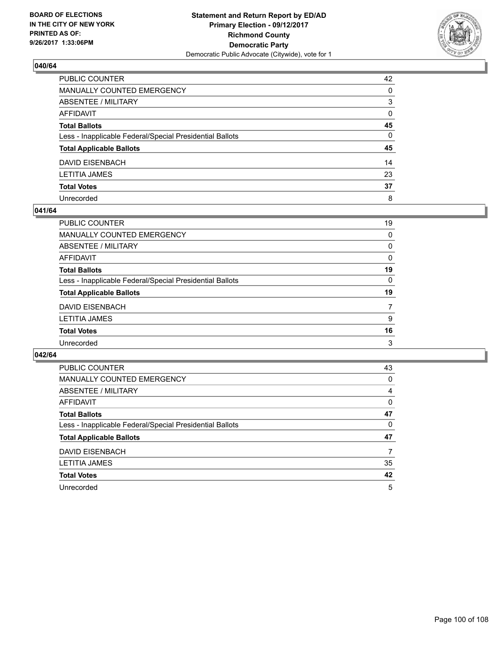

| PUBLIC COUNTER                                           | 42           |
|----------------------------------------------------------|--------------|
| MANUALLY COUNTED EMERGENCY                               | 0            |
| ABSENTEE / MILITARY                                      | 3            |
| AFFIDAVIT                                                | $\mathbf{0}$ |
| Total Ballots                                            | 45           |
| Less - Inapplicable Federal/Special Presidential Ballots | $\mathbf{0}$ |
| <b>Total Applicable Ballots</b>                          | 45           |
| DAVID EISENBACH                                          | 14           |
| LETITIA JAMES                                            | 23           |
| <b>Total Votes</b>                                       | 37           |
| Unrecorded                                               | 8            |

#### **041/64**

| <b>PUBLIC COUNTER</b>                                    | 19       |
|----------------------------------------------------------|----------|
| <b>MANUALLY COUNTED EMERGENCY</b>                        | 0        |
| ABSENTEE / MILITARY                                      | 0        |
| AFFIDAVIT                                                | 0        |
| <b>Total Ballots</b>                                     | 19       |
| Less - Inapplicable Federal/Special Presidential Ballots | $\Omega$ |
| <b>Total Applicable Ballots</b>                          | 19       |
| <b>DAVID EISENBACH</b>                                   | 7        |
| <b>LETITIA JAMES</b>                                     | 9        |
| <b>Total Votes</b>                                       | 16       |
| Unrecorded                                               | 3        |

| <b>PUBLIC COUNTER</b>                                    | 43 |
|----------------------------------------------------------|----|
| MANUALLY COUNTED EMERGENCY                               | 0  |
| ABSENTEE / MILITARY                                      | 4  |
| AFFIDAVIT                                                | 0  |
| <b>Total Ballots</b>                                     | 47 |
| Less - Inapplicable Federal/Special Presidential Ballots | 0  |
| <b>Total Applicable Ballots</b>                          | 47 |
| DAVID EISENBACH                                          | 7  |
| <b>LETITIA JAMES</b>                                     | 35 |
| <b>Total Votes</b>                                       | 42 |
| Unrecorded                                               | 5  |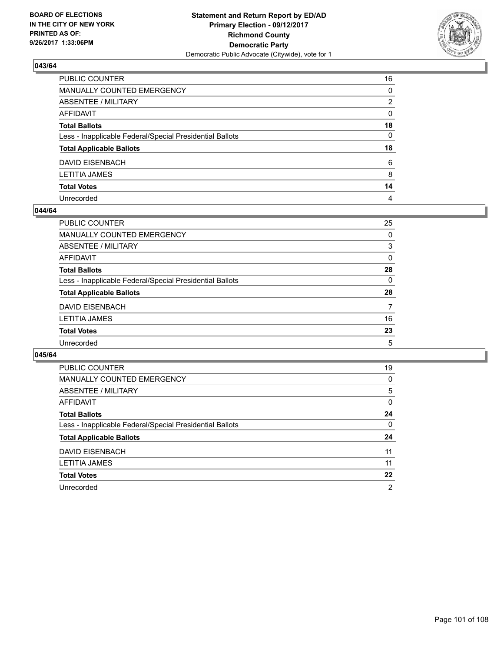

| PUBLIC COUNTER                                           | 16           |
|----------------------------------------------------------|--------------|
| MANUALLY COUNTED EMERGENCY                               | 0            |
| ABSENTEE / MILITARY                                      | 2            |
| AFFIDAVIT                                                | $\mathbf{0}$ |
| Total Ballots                                            | 18           |
| Less - Inapplicable Federal/Special Presidential Ballots | 0            |
| <b>Total Applicable Ballots</b>                          | 18           |
| DAVID EISENBACH                                          | 6            |
| LETITIA JAMES                                            | 8            |
| <b>Total Votes</b>                                       | 14           |
| Unrecorded                                               | 4            |

#### **044/64**

| <b>PUBLIC COUNTER</b>                                    | 25       |
|----------------------------------------------------------|----------|
| <b>MANUALLY COUNTED EMERGENCY</b>                        | 0        |
| ABSENTEE / MILITARY                                      | 3        |
| AFFIDAVIT                                                | $\Omega$ |
| <b>Total Ballots</b>                                     | 28       |
| Less - Inapplicable Federal/Special Presidential Ballots | $\Omega$ |
| <b>Total Applicable Ballots</b>                          | 28       |
| <b>DAVID EISENBACH</b>                                   | 7        |
| <b>LETITIA JAMES</b>                                     | 16       |
| <b>Total Votes</b>                                       | 23       |
| Unrecorded                                               | 5        |

| <b>PUBLIC COUNTER</b>                                    | 19 |
|----------------------------------------------------------|----|
| <b>MANUALLY COUNTED EMERGENCY</b>                        | 0  |
| ABSENTEE / MILITARY                                      | 5  |
| AFFIDAVIT                                                | 0  |
| <b>Total Ballots</b>                                     | 24 |
| Less - Inapplicable Federal/Special Presidential Ballots | 0  |
| <b>Total Applicable Ballots</b>                          | 24 |
|                                                          |    |
| <b>DAVID EISENBACH</b>                                   | 11 |
| LETITIA JAMES                                            | 11 |
| <b>Total Votes</b>                                       | 22 |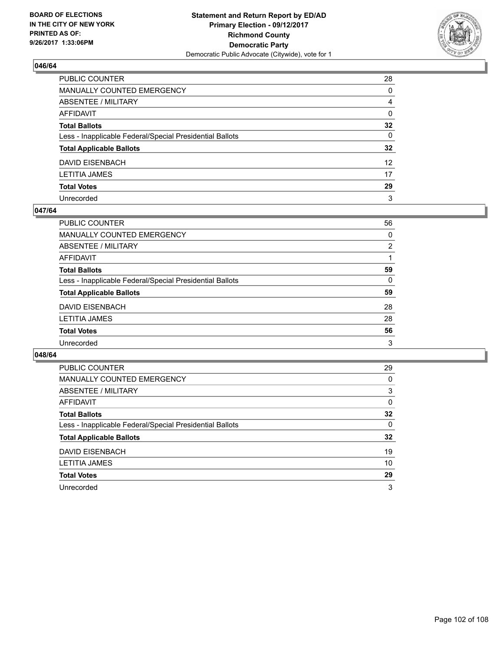

| PUBLIC COUNTER                                           | 28              |
|----------------------------------------------------------|-----------------|
| MANUALLY COUNTED EMERGENCY                               | 0               |
| ABSENTEE / MILITARY                                      | 4               |
| AFFIDAVIT                                                | 0               |
| Total Ballots                                            | $32\phantom{a}$ |
| Less - Inapplicable Federal/Special Presidential Ballots | $\mathbf{0}$    |
| <b>Total Applicable Ballots</b>                          | $32\phantom{a}$ |
| DAVID EISENBACH                                          | 12 <sup>2</sup> |
| LETITIA JAMES                                            | 17              |
| <b>Total Votes</b>                                       | 29              |
| Unrecorded                                               | 3               |

#### **047/64**

| <b>PUBLIC COUNTER</b>                                    | 56             |
|----------------------------------------------------------|----------------|
| MANUALLY COUNTED EMERGENCY                               | 0              |
| <b>ABSENTEE / MILITARY</b>                               | $\overline{2}$ |
| AFFIDAVIT                                                |                |
| <b>Total Ballots</b>                                     | 59             |
| Less - Inapplicable Federal/Special Presidential Ballots | 0              |
| <b>Total Applicable Ballots</b>                          | 59             |
| <b>DAVID EISENBACH</b>                                   | 28             |
| <b>LETITIA JAMES</b>                                     | 28             |
| <b>Total Votes</b>                                       | 56             |
| Unrecorded                                               | 3              |

| <b>PUBLIC COUNTER</b>                                    | 29 |
|----------------------------------------------------------|----|
| <b>MANUALLY COUNTED EMERGENCY</b>                        | 0  |
| ABSENTEE / MILITARY                                      | 3  |
| AFFIDAVIT                                                | 0  |
| <b>Total Ballots</b>                                     | 32 |
| Less - Inapplicable Federal/Special Presidential Ballots | 0  |
| <b>Total Applicable Ballots</b>                          | 32 |
| DAVID EISENBACH                                          | 19 |
| LETITIA JAMES                                            | 10 |
| <b>Total Votes</b>                                       | 29 |
|                                                          |    |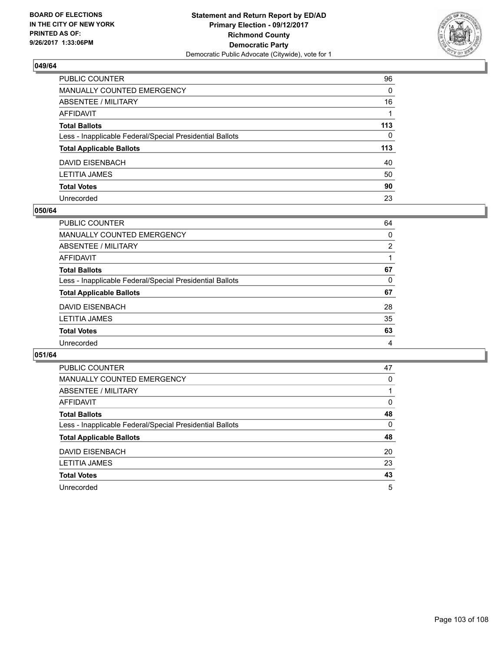

| PUBLIC COUNTER                                           | 96       |
|----------------------------------------------------------|----------|
| MANUALLY COUNTED EMERGENCY                               | 0        |
| ABSENTEE / MILITARY                                      | 16       |
| AFFIDAVIT                                                |          |
| Total Ballots                                            | 113      |
| Less - Inapplicable Federal/Special Presidential Ballots | $\Omega$ |
| <b>Total Applicable Ballots</b>                          | 113      |
| DAVID EISENBACH                                          | 40       |
| LETITIA JAMES                                            | 50       |
| <b>Total Votes</b>                                       | 90       |
| Unrecorded                                               | 23       |

#### **050/64**

| <b>PUBLIC COUNTER</b>                                    | 64 |
|----------------------------------------------------------|----|
| MANUALLY COUNTED EMERGENCY                               | 0  |
| ABSENTEE / MILITARY                                      | 2  |
| AFFIDAVIT                                                |    |
| <b>Total Ballots</b>                                     | 67 |
| Less - Inapplicable Federal/Special Presidential Ballots | 0  |
| <b>Total Applicable Ballots</b>                          | 67 |
| <b>DAVID EISENBACH</b>                                   | 28 |
| <b>LETITIA JAMES</b>                                     | 35 |
| <b>Total Votes</b>                                       | 63 |
| Unrecorded                                               | 4  |

| <b>PUBLIC COUNTER</b>                                    | 47 |
|----------------------------------------------------------|----|
| <b>MANUALLY COUNTED EMERGENCY</b>                        | 0  |
| ABSENTEE / MILITARY                                      |    |
| AFFIDAVIT                                                | 0  |
| <b>Total Ballots</b>                                     | 48 |
| Less - Inapplicable Federal/Special Presidential Ballots | 0  |
| <b>Total Applicable Ballots</b>                          | 48 |
| <b>DAVID EISENBACH</b>                                   | 20 |
| <b>LETITIA JAMES</b>                                     | 23 |
| <b>Total Votes</b>                                       | 43 |
| Unrecorded                                               | 5  |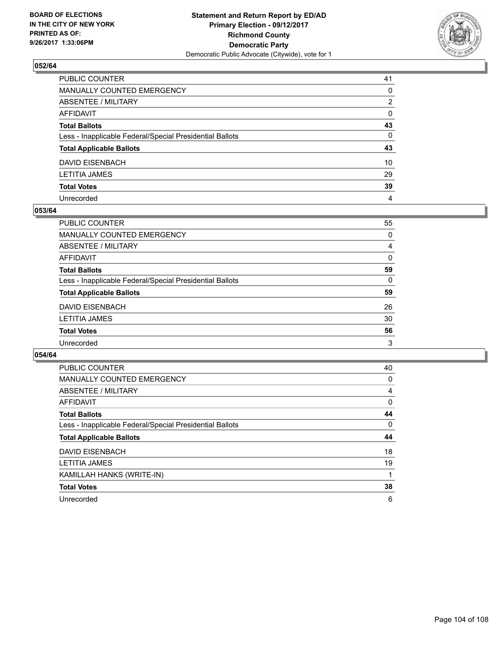

| PUBLIC COUNTER                                           | 41 |
|----------------------------------------------------------|----|
| MANUALLY COUNTED EMERGENCY                               | 0  |
| ABSENTEE / MILITARY                                      | 2  |
| AFFIDAVIT                                                | 0  |
| Total Ballots                                            | 43 |
| Less - Inapplicable Federal/Special Presidential Ballots | 0  |
| <b>Total Applicable Ballots</b>                          | 43 |
| DAVID EISENBACH                                          | 10 |
| LETITIA JAMES                                            | 29 |
| <b>Total Votes</b>                                       | 39 |
| Unrecorded                                               | 4  |

#### **053/64**

| <b>PUBLIC COUNTER</b>                                    | 55 |
|----------------------------------------------------------|----|
| <b>MANUALLY COUNTED EMERGENCY</b>                        | 0  |
| ABSENTEE / MILITARY                                      | 4  |
| <b>AFFIDAVIT</b>                                         | 0  |
| <b>Total Ballots</b>                                     | 59 |
| Less - Inapplicable Federal/Special Presidential Ballots | 0  |
| <b>Total Applicable Ballots</b>                          | 59 |
| <b>DAVID EISENBACH</b>                                   | 26 |
| <b>LETITIA JAMES</b>                                     | 30 |
| <b>Total Votes</b>                                       | 56 |
| Unrecorded                                               | 3  |

| <b>PUBLIC COUNTER</b>                                    | 40 |
|----------------------------------------------------------|----|
| <b>MANUALLY COUNTED EMERGENCY</b>                        | 0  |
| ABSENTEE / MILITARY                                      | 4  |
| <b>AFFIDAVIT</b>                                         | 0  |
| <b>Total Ballots</b>                                     | 44 |
| Less - Inapplicable Federal/Special Presidential Ballots | 0  |
|                                                          |    |
| <b>Total Applicable Ballots</b>                          | 44 |
| <b>DAVID EISENBACH</b>                                   | 18 |
| <b>LETITIA JAMES</b>                                     | 19 |
| KAMILLAH HANKS (WRITE-IN)                                |    |
| <b>Total Votes</b>                                       | 38 |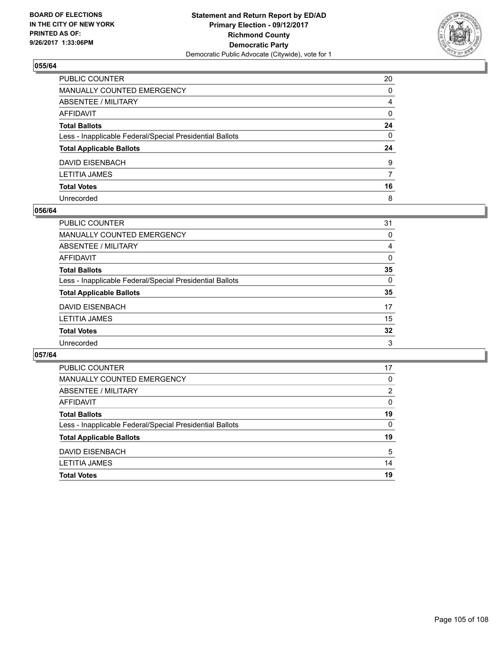

| PUBLIC COUNTER                                           | 20           |
|----------------------------------------------------------|--------------|
| MANUALLY COUNTED EMERGENCY                               | 0            |
| ABSENTEE / MILITARY                                      | 4            |
| AFFIDAVIT                                                | 0            |
| Total Ballots                                            | 24           |
| Less - Inapplicable Federal/Special Presidential Ballots | $\mathbf{0}$ |
| <b>Total Applicable Ballots</b>                          | 24           |
| DAVID EISENBACH                                          | 9            |
| LETITIA JAMES                                            | 7            |
| <b>Total Votes</b>                                       | 16           |
| Unrecorded                                               | 8            |

#### **056/64**

| <b>PUBLIC COUNTER</b>                                    | 31       |
|----------------------------------------------------------|----------|
| <b>MANUALLY COUNTED EMERGENCY</b>                        | 0        |
| <b>ABSENTEE / MILITARY</b>                               | 4        |
| <b>AFFIDAVIT</b>                                         | 0        |
| <b>Total Ballots</b>                                     | 35       |
| Less - Inapplicable Federal/Special Presidential Ballots | $\Omega$ |
| <b>Total Applicable Ballots</b>                          | 35       |
| <b>DAVID EISENBACH</b>                                   | 17       |
| <b>LETITIA JAMES</b>                                     | 15       |
| <b>Total Votes</b>                                       | 32       |
| Unrecorded                                               | 3        |

| <b>PUBLIC COUNTER</b>                                    | 17 |
|----------------------------------------------------------|----|
| MANUALLY COUNTED EMERGENCY                               | 0  |
| ABSENTEE / MILITARY                                      | 2  |
| AFFIDAVIT                                                | 0  |
| <b>Total Ballots</b>                                     | 19 |
| Less - Inapplicable Federal/Special Presidential Ballots | 0  |
| <b>Total Applicable Ballots</b>                          | 19 |
| DAVID EISENBACH                                          | 5  |
| <b>LETITIA JAMES</b>                                     | 14 |
| <b>Total Votes</b>                                       | 19 |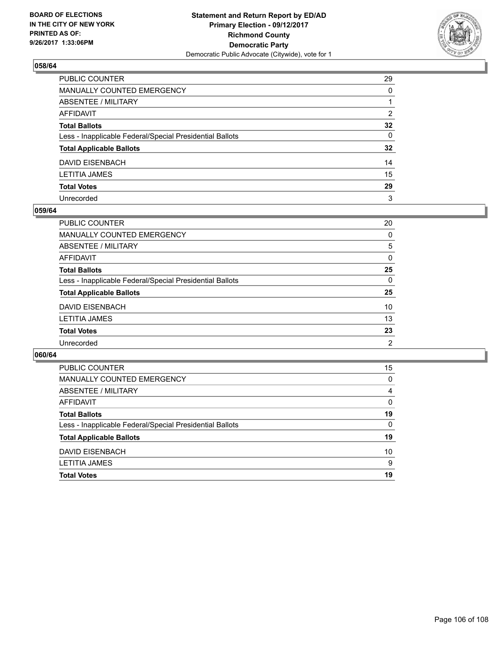

| PUBLIC COUNTER                                           | 29              |
|----------------------------------------------------------|-----------------|
| MANUALLY COUNTED EMERGENCY                               | 0               |
| ABSENTEE / MILITARY                                      |                 |
| AFFIDAVIT                                                | $\overline{2}$  |
| Total Ballots                                            | $32\phantom{a}$ |
| Less - Inapplicable Federal/Special Presidential Ballots | $\mathbf{0}$    |
| <b>Total Applicable Ballots</b>                          | $32\phantom{a}$ |
| DAVID EISENBACH                                          | 14              |
| LETITIA JAMES                                            | 15              |
| <b>Total Votes</b>                                       | 29              |
| Unrecorded                                               | 3               |

#### **059/64**

| <b>PUBLIC COUNTER</b>                                    | 20             |
|----------------------------------------------------------|----------------|
| <b>MANUALLY COUNTED EMERGENCY</b>                        | 0              |
| ABSENTEE / MILITARY                                      | 5              |
| AFFIDAVIT                                                | 0              |
| <b>Total Ballots</b>                                     | 25             |
| Less - Inapplicable Federal/Special Presidential Ballots | $\Omega$       |
| <b>Total Applicable Ballots</b>                          | 25             |
| <b>DAVID EISENBACH</b>                                   | 10             |
| <b>LETITIA JAMES</b>                                     | 13             |
| <b>Total Votes</b>                                       | 23             |
| Unrecorded                                               | $\overline{2}$ |

| 15       |
|----------|
| 0        |
| 4        |
| $\Omega$ |
| 19       |
| 0        |
| 19       |
| 10       |
| 9        |
| 19       |
|          |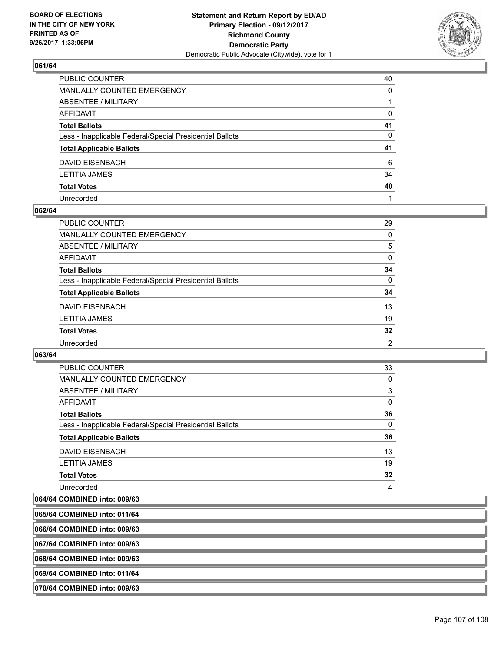

| PUBLIC COUNTER                                           | 40           |
|----------------------------------------------------------|--------------|
| MANUALLY COUNTED EMERGENCY                               | $\Omega$     |
| ABSENTEE / MILITARY                                      |              |
| AFFIDAVIT                                                | 0            |
| Total Ballots                                            | 41           |
| Less - Inapplicable Federal/Special Presidential Ballots | $\mathbf{0}$ |
| <b>Total Applicable Ballots</b>                          | 41           |
| DAVID EISENBACH                                          | 6            |
| LETITIA JAMES                                            | 34           |
| <b>Total Votes</b>                                       | 40           |
| Unrecorded                                               |              |

#### **062/64**

| <b>PUBLIC COUNTER</b>                                    | 29       |
|----------------------------------------------------------|----------|
| <b>MANUALLY COUNTED EMERGENCY</b>                        | 0        |
| ABSENTEE / MILITARY                                      | 5        |
| AFFIDAVIT                                                | $\Omega$ |
| <b>Total Ballots</b>                                     | 34       |
| Less - Inapplicable Federal/Special Presidential Ballots | $\Omega$ |
| <b>Total Applicable Ballots</b>                          | 34       |
| <b>DAVID EISENBACH</b>                                   | 13       |
| <b>LETITIA JAMES</b>                                     | 19       |
| <b>Total Votes</b>                                       | 32       |
| Unrecorded                                               | 2        |

**063/64** 

| <b>PUBLIC COUNTER</b>                                    | 33 |
|----------------------------------------------------------|----|
| <b>MANUALLY COUNTED EMERGENCY</b>                        | 0  |
| ABSENTEE / MILITARY                                      | 3  |
| AFFIDAVIT                                                | 0  |
| <b>Total Ballots</b>                                     | 36 |
| Less - Inapplicable Federal/Special Presidential Ballots | 0  |
| <b>Total Applicable Ballots</b>                          | 36 |
| DAVID EISENBACH                                          | 13 |
| <b>LETITIA JAMES</b>                                     | 19 |
| <b>Total Votes</b>                                       | 32 |
| Unrecorded                                               | 4  |

# **064/64 COMBINED into: 009/63**

| 065/64 COMBINED into: 011/64 |  |
|------------------------------|--|
| 066/64 COMBINED into: 009/63 |  |
| 067/64 COMBINED into: 009/63 |  |
| 068/64 COMBINED into: 009/63 |  |
| 069/64 COMBINED into: 011/64 |  |
| 070/64 COMBINED into: 009/63 |  |